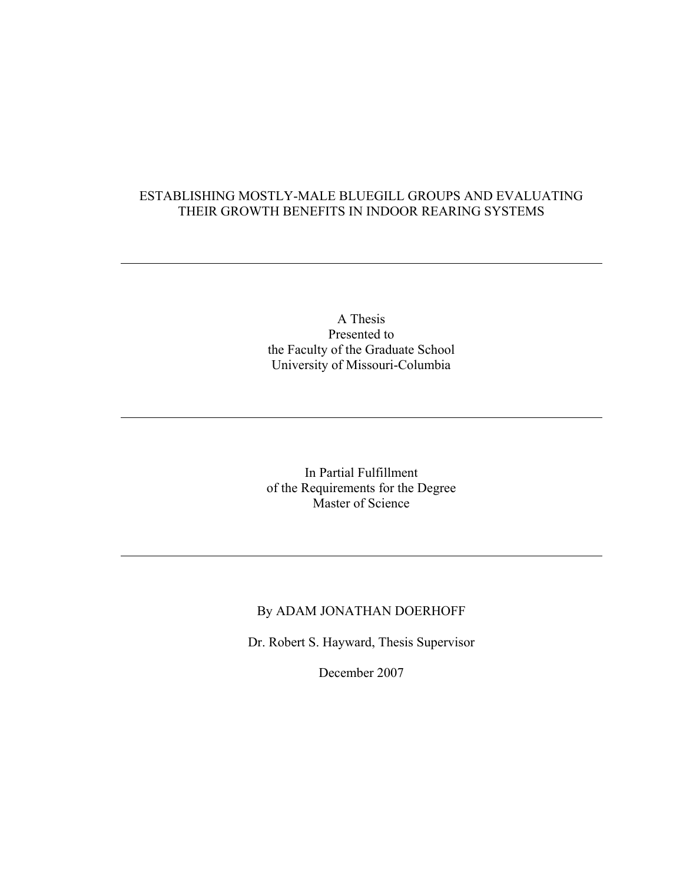### ESTABLISHING MOSTLY-MALE BLUEGILL GROUPS AND EVALUATING THEIR GROWTH BENEFITS IN INDOOR REARING SYSTEMS

 $\overline{a}$ 

 $\overline{a}$ 

 $\overline{a}$ 

A Thesis Presented to the Faculty of the Graduate School University of Missouri-Columbia

In Partial Fulfillment of the Requirements for the Degree Master of Science

# By ADAM JONATHAN DOERHOFF

Dr. Robert S. Hayward, Thesis Supervisor

December 2007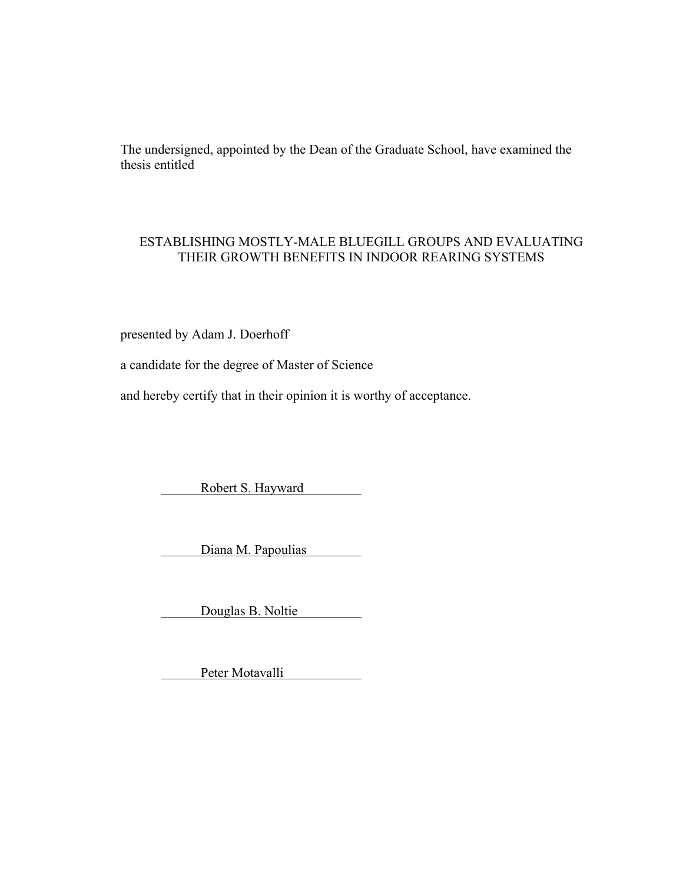The undersigned, appointed by the Dean of the Graduate School, have examined the thesis entitled

# ESTABLISHING MOSTLY-MALE BLUEGILL GROUPS AND EVALUATING THEIR GROWTH BENEFITS IN INDOOR REARING SYSTEMS

presented by Adam J. Doerhoff

a candidate for the degree of Master of Science

and hereby certify that in their opinion it is worthy of acceptance.

Robert S. Hayward

Diana M. Papoulias

Douglas B. Noltie

Peter Motavalli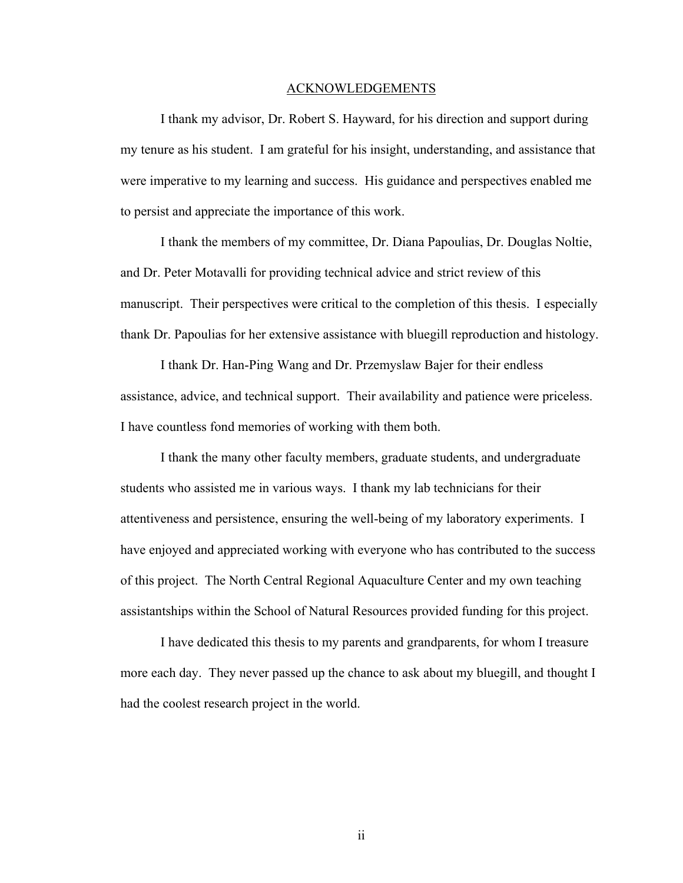#### ACKNOWLEDGEMENTS

 I thank my advisor, Dr. Robert S. Hayward, for his direction and support during my tenure as his student. I am grateful for his insight, understanding, and assistance that were imperative to my learning and success. His guidance and perspectives enabled me to persist and appreciate the importance of this work.

 I thank the members of my committee, Dr. Diana Papoulias, Dr. Douglas Noltie, and Dr. Peter Motavalli for providing technical advice and strict review of this manuscript. Their perspectives were critical to the completion of this thesis. I especially thank Dr. Papoulias for her extensive assistance with bluegill reproduction and histology.

I thank Dr. Han-Ping Wang and Dr. Przemyslaw Bajer for their endless assistance, advice, and technical support. Their availability and patience were priceless. I have countless fond memories of working with them both.

I thank the many other faculty members, graduate students, and undergraduate students who assisted me in various ways. I thank my lab technicians for their attentiveness and persistence, ensuring the well-being of my laboratory experiments. I have enjoyed and appreciated working with everyone who has contributed to the success of this project. The North Central Regional Aquaculture Center and my own teaching assistantships within the School of Natural Resources provided funding for this project.

I have dedicated this thesis to my parents and grandparents, for whom I treasure more each day. They never passed up the chance to ask about my bluegill, and thought I had the coolest research project in the world.

ii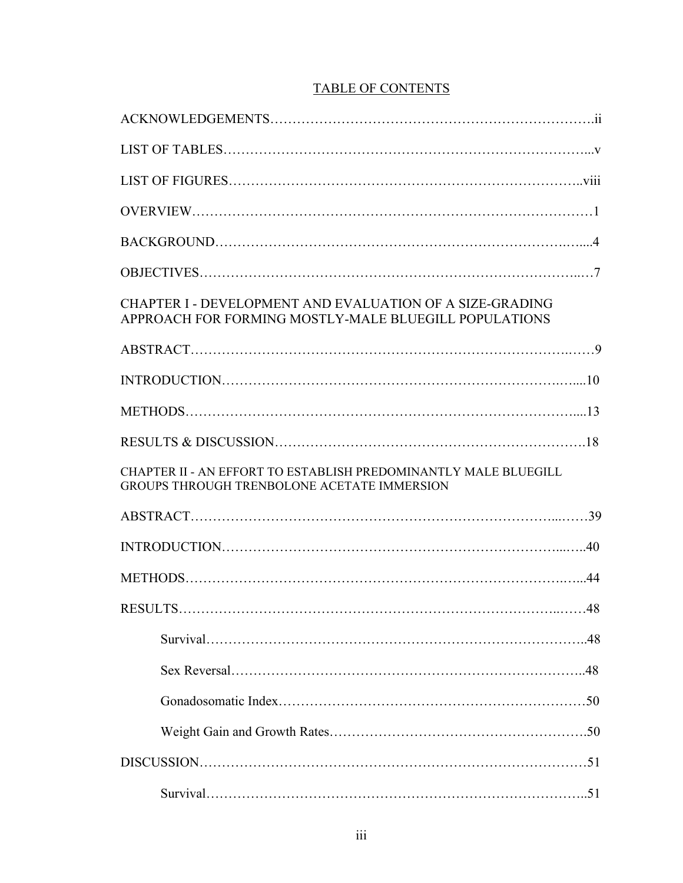| <b>TABLE OF CONTENTS</b> |
|--------------------------|
|--------------------------|

| CHAPTER I - DEVELOPMENT AND EVALUATION OF A SIZE-GRADING<br>APPROACH FOR FORMING MOSTLY-MALE BLUEGILL POPULATIONS |            |
|-------------------------------------------------------------------------------------------------------------------|------------|
|                                                                                                                   |            |
|                                                                                                                   |            |
|                                                                                                                   |            |
|                                                                                                                   |            |
|                                                                                                                   |            |
| CHAPTER II - AN EFFORT TO ESTABLISH PREDOMINANTLY MALE BLUEGILL<br>GROUPS THROUGH TRENBOLONE ACETATE IMMERSION    |            |
|                                                                                                                   |            |
|                                                                                                                   |            |
|                                                                                                                   |            |
| RESULTS.                                                                                                          | $\dots$ 48 |
|                                                                                                                   |            |
|                                                                                                                   |            |
|                                                                                                                   |            |
|                                                                                                                   |            |
|                                                                                                                   |            |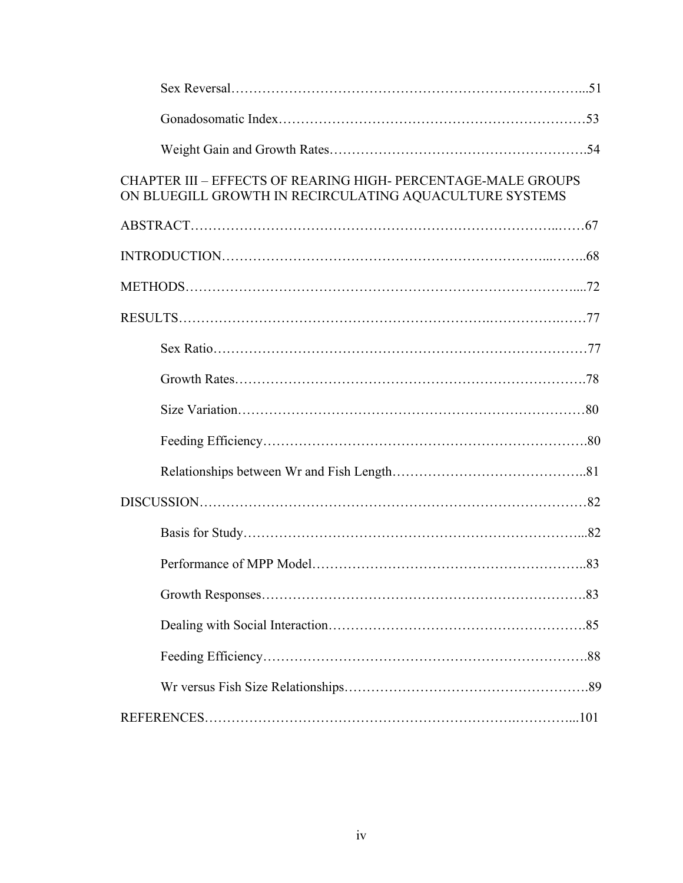| <b>CHAPTER III - EFFECTS OF REARING HIGH- PERCENTAGE-MALE GROUPS</b><br>ON BLUEGILL GROWTH IN RECIRCULATING AQUACULTURE SYSTEMS |  |
|---------------------------------------------------------------------------------------------------------------------------------|--|
|                                                                                                                                 |  |
|                                                                                                                                 |  |
|                                                                                                                                 |  |
|                                                                                                                                 |  |
|                                                                                                                                 |  |
|                                                                                                                                 |  |
|                                                                                                                                 |  |
|                                                                                                                                 |  |
|                                                                                                                                 |  |
|                                                                                                                                 |  |
|                                                                                                                                 |  |
|                                                                                                                                 |  |
|                                                                                                                                 |  |
|                                                                                                                                 |  |
|                                                                                                                                 |  |
|                                                                                                                                 |  |
|                                                                                                                                 |  |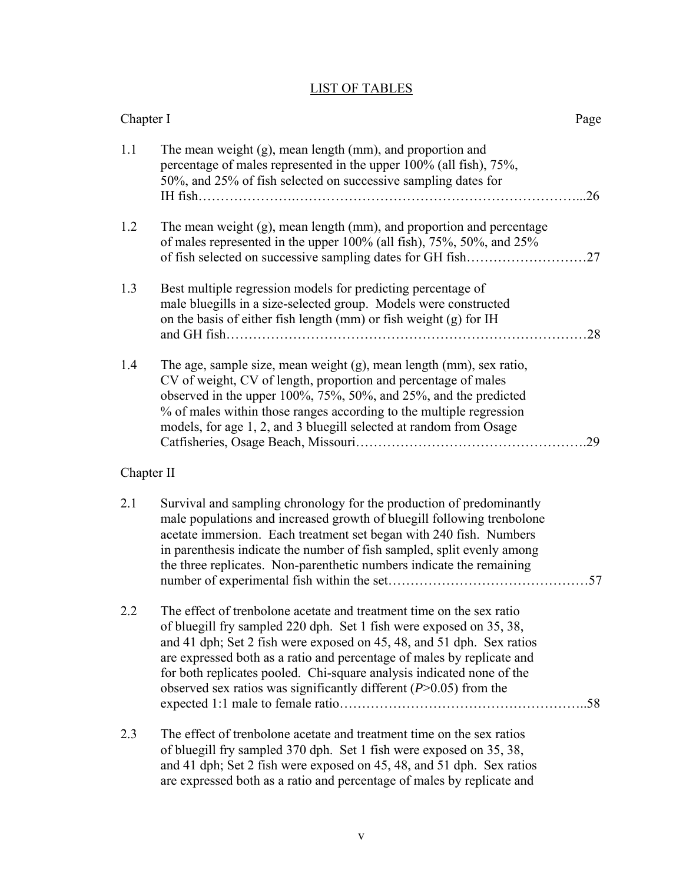# LIST OF TABLES

| Chapter I  |                                                                                                                                                                                                                                                                                                                                                                                                                                                | Page |
|------------|------------------------------------------------------------------------------------------------------------------------------------------------------------------------------------------------------------------------------------------------------------------------------------------------------------------------------------------------------------------------------------------------------------------------------------------------|------|
| 1.1        | The mean weight (g), mean length (mm), and proportion and<br>percentage of males represented in the upper 100% (all fish), 75%,<br>50%, and 25% of fish selected on successive sampling dates for                                                                                                                                                                                                                                              | 26   |
| 1.2        | The mean weight (g), mean length (mm), and proportion and percentage<br>of males represented in the upper 100% (all fish), 75%, 50%, and 25%<br>of fish selected on successive sampling dates for GH fish                                                                                                                                                                                                                                      | 27   |
| 1.3        | Best multiple regression models for predicting percentage of<br>male bluegills in a size-selected group. Models were constructed<br>on the basis of either fish length (mm) or fish weight (g) for IH                                                                                                                                                                                                                                          | 28   |
| 1.4        | The age, sample size, mean weight (g), mean length (mm), sex ratio,<br>CV of weight, CV of length, proportion and percentage of males<br>observed in the upper $100\%, 75\%, 50\%,$ and $25\%,$ and the predicted<br>% of males within those ranges according to the multiple regression<br>models, for age 1, 2, and 3 bluegill selected at random from Osage                                                                                 | 29   |
| Chapter II |                                                                                                                                                                                                                                                                                                                                                                                                                                                |      |
| 2.1        | Survival and sampling chronology for the production of predominantly<br>male populations and increased growth of bluegill following trenbolone<br>acetate immersion. Each treatment set began with 240 fish. Numbers<br>in parenthesis indicate the number of fish sampled, split evenly among<br>the three replicates. Non-parenthetic numbers indicate the remaining                                                                         | .57  |
| 2.2        | The effect of trenbolone acetate and treatment time on the sex ratio<br>of bluegill fry sampled 220 dph. Set 1 fish were exposed on 35, 38,<br>and 41 dph; Set 2 fish were exposed on 45, 48, and 51 dph. Sex ratios<br>are expressed both as a ratio and percentage of males by replicate and<br>for both replicates pooled. Chi-square analysis indicated none of the<br>observed sex ratios was significantly different $(P>0.05)$ from the |      |
| 2.3        | The effect of trenbolone acetate and treatment time on the sex ratios<br>of bluegill fry sampled 370 dph. Set 1 fish were exposed on 35, 38,<br>and 41 dph; Set 2 fish were exposed on 45, 48, and 51 dph. Sex ratios<br>are expressed both as a ratio and percentage of males by replicate and                                                                                                                                                |      |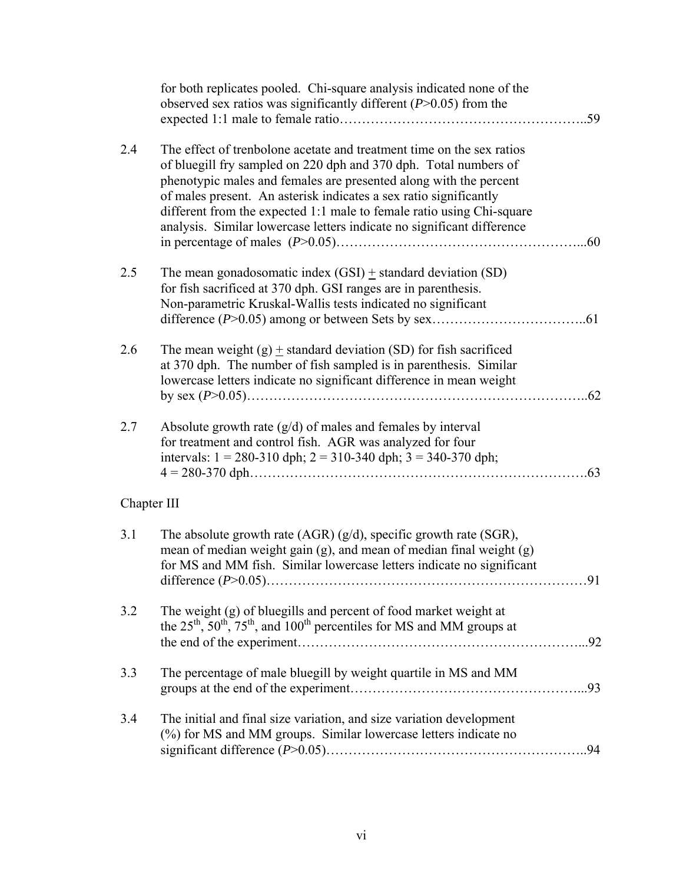|             | for both replicates pooled. Chi-square analysis indicated none of the<br>observed sex ratios was significantly different $(P>0.05)$ from the                                                                                                                                                                                                                                                                                           | .59 |
|-------------|----------------------------------------------------------------------------------------------------------------------------------------------------------------------------------------------------------------------------------------------------------------------------------------------------------------------------------------------------------------------------------------------------------------------------------------|-----|
| 2.4         | The effect of trenbolone acetate and treatment time on the sex ratios<br>of bluegill fry sampled on 220 dph and 370 dph. Total numbers of<br>phenotypic males and females are presented along with the percent<br>of males present. An asterisk indicates a sex ratio significantly<br>different from the expected 1:1 male to female ratio using Chi-square<br>analysis. Similar lowercase letters indicate no significant difference | .60 |
| 2.5         | The mean gonadosomatic index $(GSI)$ $\pm$ standard deviation $(SD)$<br>for fish sacrificed at 370 dph. GSI ranges are in parenthesis.<br>Non-parametric Kruskal-Wallis tests indicated no significant                                                                                                                                                                                                                                 | .61 |
| 2.6         | The mean weight $(g)$ + standard deviation (SD) for fish sacrificed<br>at 370 dph. The number of fish sampled is in parenthesis. Similar<br>lowercase letters indicate no significant difference in mean weight                                                                                                                                                                                                                        | .62 |
| 2.7         | Absolute growth rate $(g/d)$ of males and females by interval<br>for treatment and control fish. AGR was analyzed for four<br>intervals: $1 = 280-310$ dph; $2 = 310-340$ dph; $3 = 340-370$ dph;                                                                                                                                                                                                                                      | .63 |
| Chapter III |                                                                                                                                                                                                                                                                                                                                                                                                                                        |     |
| 3.1         | The absolute growth rate $(AGR) (g/d)$ , specific growth rate $(SGR)$ ,<br>mean of median weight gain (g), and mean of median final weight (g)<br>for MS and MM fish. Similar lowercase letters indicate no significant                                                                                                                                                                                                                | 91  |
| 3.2         | The weight (g) of bluegills and percent of food market weight at<br>the $25^{th}$ , $50^{th}$ , $75^{th}$ , and $100^{th}$ percentiles for MS and MM groups at                                                                                                                                                                                                                                                                         |     |
| 3.3         | The percentage of male bluegill by weight quartile in MS and MM                                                                                                                                                                                                                                                                                                                                                                        |     |
| 3.4         | The initial and final size variation, and size variation development<br>(%) for MS and MM groups. Similar lowercase letters indicate no                                                                                                                                                                                                                                                                                                |     |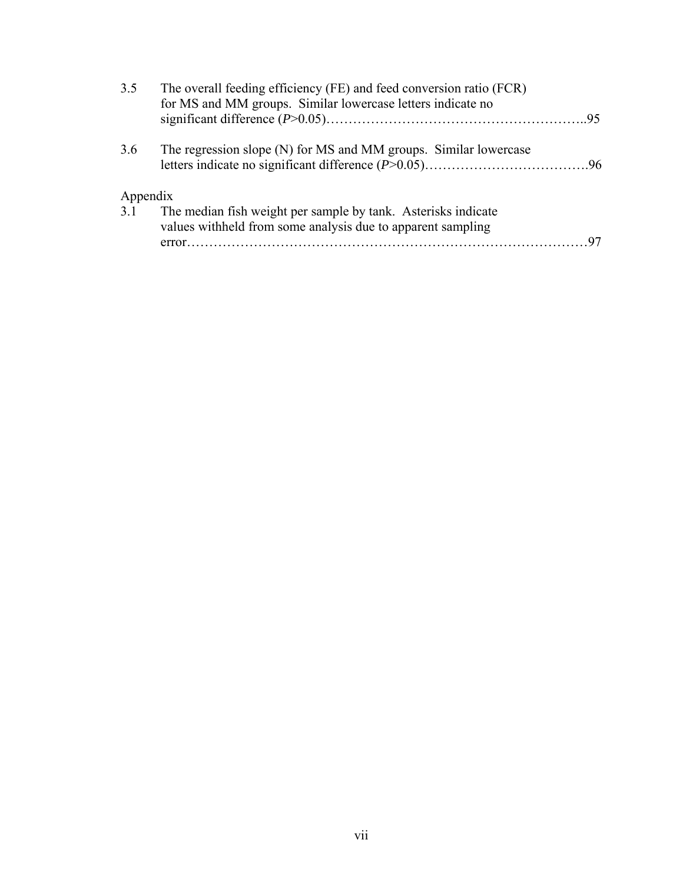| 3.5      | The overall feeding efficiency (FE) and feed conversion ratio (FCR)<br>for MS and MM groups. Similar lowercase letters indicate no |  |
|----------|------------------------------------------------------------------------------------------------------------------------------------|--|
|          |                                                                                                                                    |  |
| 3.6      | The regression slope (N) for MS and MM groups. Similar lowercase                                                                   |  |
| Appendix |                                                                                                                                    |  |
| 3.1      | The median fish weight per sample by tank. Asterisks indicate<br>values withheld from some analysis due to apparent sampling       |  |
|          |                                                                                                                                    |  |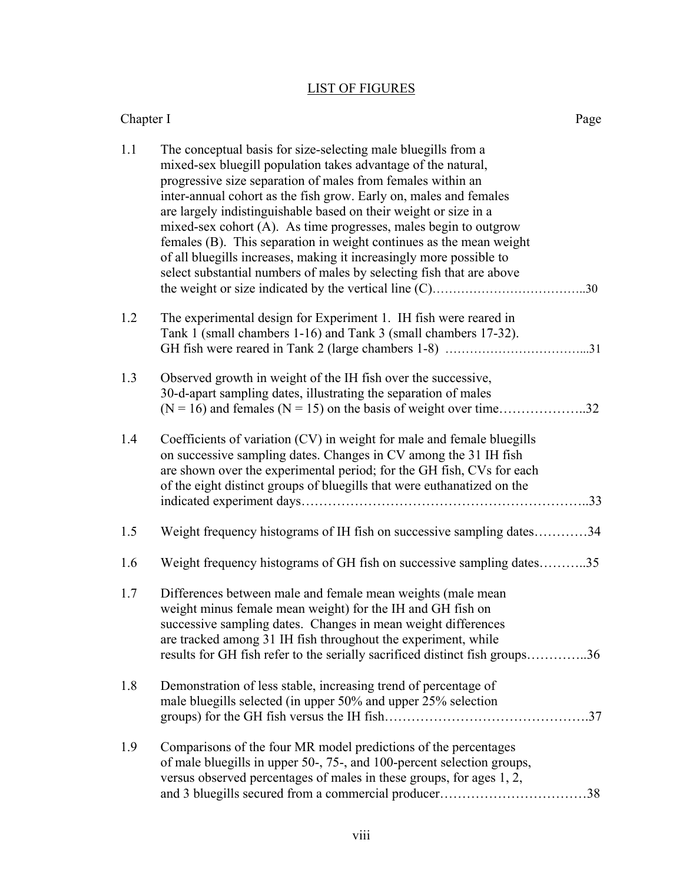# LIST OF FIGURES

Chapter I Page

| 1.1 | The conceptual basis for size-selecting male bluegills from a<br>mixed-sex bluegill population takes advantage of the natural,<br>progressive size separation of males from females within an<br>inter-annual cohort as the fish grow. Early on, males and females<br>are largely indistinguishable based on their weight or size in a<br>mixed-sex cohort (A). As time progresses, males begin to outgrow<br>females (B). This separation in weight continues as the mean weight<br>of all bluegills increases, making it increasingly more possible to<br>select substantial numbers of males by selecting fish that are above |
|-----|----------------------------------------------------------------------------------------------------------------------------------------------------------------------------------------------------------------------------------------------------------------------------------------------------------------------------------------------------------------------------------------------------------------------------------------------------------------------------------------------------------------------------------------------------------------------------------------------------------------------------------|
| 1.2 | The experimental design for Experiment 1. IH fish were reared in<br>Tank 1 (small chambers 1-16) and Tank 3 (small chambers 17-32).                                                                                                                                                                                                                                                                                                                                                                                                                                                                                              |
| 1.3 | Observed growth in weight of the IH fish over the successive,<br>30-d-apart sampling dates, illustrating the separation of males                                                                                                                                                                                                                                                                                                                                                                                                                                                                                                 |
| 1.4 | Coefficients of variation (CV) in weight for male and female bluegills<br>on successive sampling dates. Changes in CV among the 31 IH fish<br>are shown over the experimental period; for the GH fish, CVs for each<br>of the eight distinct groups of bluegills that were euthanatized on the                                                                                                                                                                                                                                                                                                                                   |
| 1.5 | Weight frequency histograms of IH fish on successive sampling dates34                                                                                                                                                                                                                                                                                                                                                                                                                                                                                                                                                            |
| 1.6 | Weight frequency histograms of GH fish on successive sampling dates35                                                                                                                                                                                                                                                                                                                                                                                                                                                                                                                                                            |
| 1.7 | Differences between male and female mean weights (male mean<br>weight minus female mean weight) for the IH and GH fish on<br>successive sampling dates. Changes in mean weight differences<br>are tracked among 31 IH fish throughout the experiment, while<br>results for GH fish refer to the serially sacrificed distinct fish groups36                                                                                                                                                                                                                                                                                       |
| 1.8 | Demonstration of less stable, increasing trend of percentage of<br>male bluegills selected (in upper 50% and upper 25% selection                                                                                                                                                                                                                                                                                                                                                                                                                                                                                                 |
| 1.9 | Comparisons of the four MR model predictions of the percentages<br>of male bluegills in upper 50-, 75-, and 100-percent selection groups,<br>versus observed percentages of males in these groups, for ages 1, 2,<br>and 3 bluegills secured from a commercial producer38                                                                                                                                                                                                                                                                                                                                                        |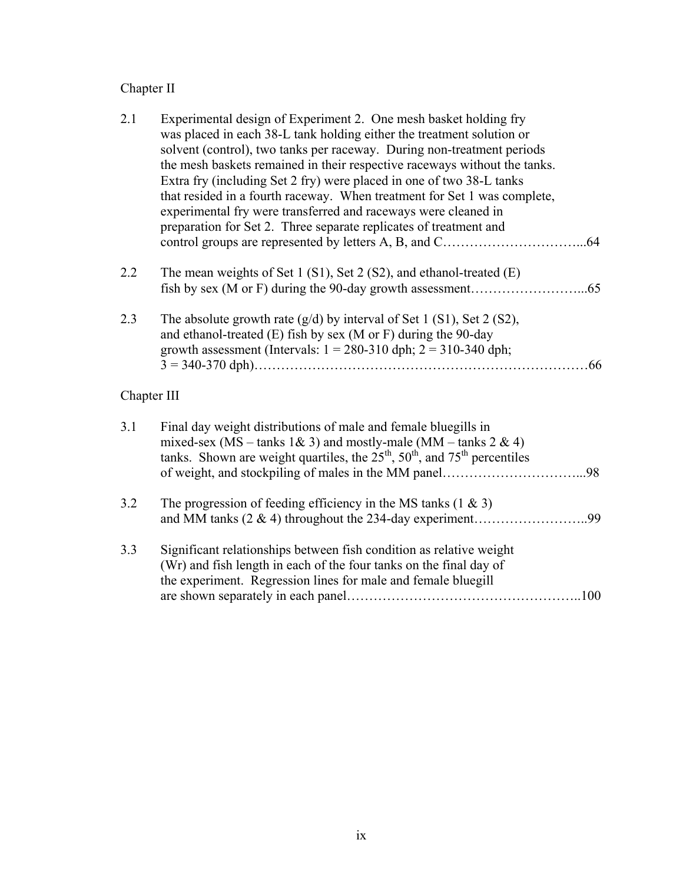# Chapter II

| 2.1         | Experimental design of Experiment 2. One mesh basket holding fry<br>was placed in each 38-L tank holding either the treatment solution or<br>solvent (control), two tanks per raceway. During non-treatment periods<br>the mesh baskets remained in their respective raceways without the tanks.<br>Extra fry (including Set 2 fry) were placed in one of two 38-L tanks<br>that resided in a fourth raceway. When treatment for Set 1 was complete,<br>experimental fry were transferred and raceways were cleaned in<br>preparation for Set 2. Three separate replicates of treatment and<br>.64 |
|-------------|----------------------------------------------------------------------------------------------------------------------------------------------------------------------------------------------------------------------------------------------------------------------------------------------------------------------------------------------------------------------------------------------------------------------------------------------------------------------------------------------------------------------------------------------------------------------------------------------------|
| 2.2         | The mean weights of Set 1 (S1), Set 2 (S2), and ethanol-treated (E)                                                                                                                                                                                                                                                                                                                                                                                                                                                                                                                                |
| 2.3         | The absolute growth rate $(g/d)$ by interval of Set 1 (S1), Set 2 (S2),<br>and ethanol-treated (E) fish by sex (M or F) during the 90-day<br>growth assessment (Intervals: $1 = 280-310$ dph; $2 = 310-340$ dph;<br>.66                                                                                                                                                                                                                                                                                                                                                                            |
| Chapter III |                                                                                                                                                                                                                                                                                                                                                                                                                                                                                                                                                                                                    |
| 3.1         | Final day weight distributions of male and female bluegills in<br>mixed-sex (MS – tanks $1\& 3$ ) and mostly-male (MM – tanks $2 \& 4$ )<br>tanks. Shown are weight quartiles, the $25th$ , $50th$ , and $75th$ percentiles                                                                                                                                                                                                                                                                                                                                                                        |
| 3.2         | The progression of feeding efficiency in the MS tanks $(1 \& 3)$                                                                                                                                                                                                                                                                                                                                                                                                                                                                                                                                   |
| 3.3         | Significant relationships between fish condition as relative weight<br>(Wr) and fish length in each of the four tanks on the final day of<br>the experiment. Regression lines for male and female bluegill                                                                                                                                                                                                                                                                                                                                                                                         |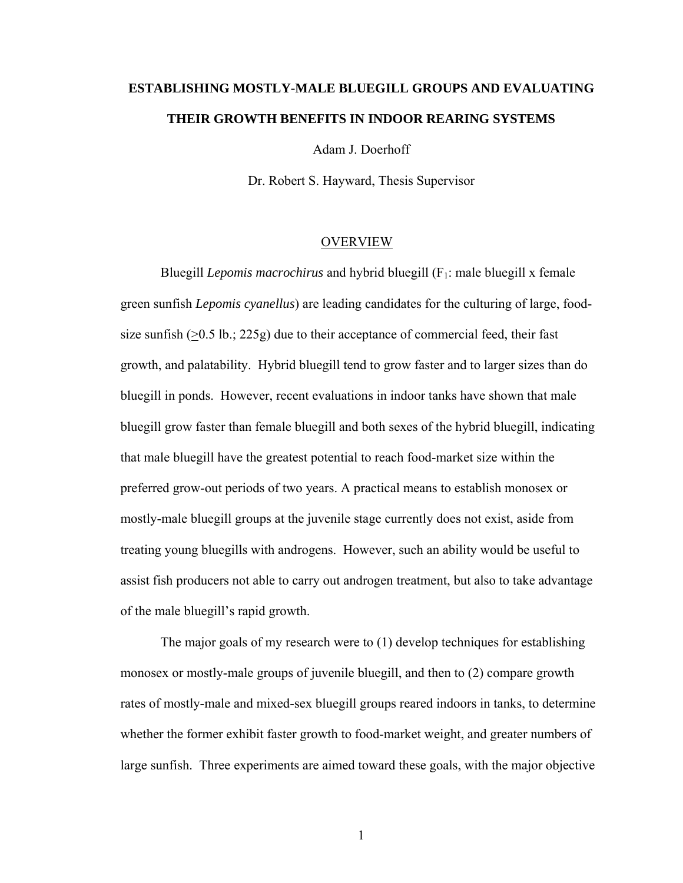# **ESTABLISHING MOSTLY-MALE BLUEGILL GROUPS AND EVALUATING THEIR GROWTH BENEFITS IN INDOOR REARING SYSTEMS**

Adam J. Doerhoff

Dr. Robert S. Hayward, Thesis Supervisor

#### OVERVIEW

Bluegill *Lepomis macrochirus* and hybrid bluegill (F1: male bluegill x female green sunfish *Lepomis cyanellus*) are leading candidates for the culturing of large, foodsize sunfish  $(0.5 \text{ lb.}; 225 \text{ g})$  due to their acceptance of commercial feed, their fast growth, and palatability. Hybrid bluegill tend to grow faster and to larger sizes than do bluegill in ponds. However, recent evaluations in indoor tanks have shown that male bluegill grow faster than female bluegill and both sexes of the hybrid bluegill, indicating that male bluegill have the greatest potential to reach food-market size within the preferred grow-out periods of two years. A practical means to establish monosex or mostly-male bluegill groups at the juvenile stage currently does not exist, aside from treating young bluegills with androgens. However, such an ability would be useful to assist fish producers not able to carry out androgen treatment, but also to take advantage of the male bluegill's rapid growth.

The major goals of my research were to (1) develop techniques for establishing monosex or mostly-male groups of juvenile bluegill, and then to (2) compare growth rates of mostly-male and mixed-sex bluegill groups reared indoors in tanks, to determine whether the former exhibit faster growth to food-market weight, and greater numbers of large sunfish. Three experiments are aimed toward these goals, with the major objective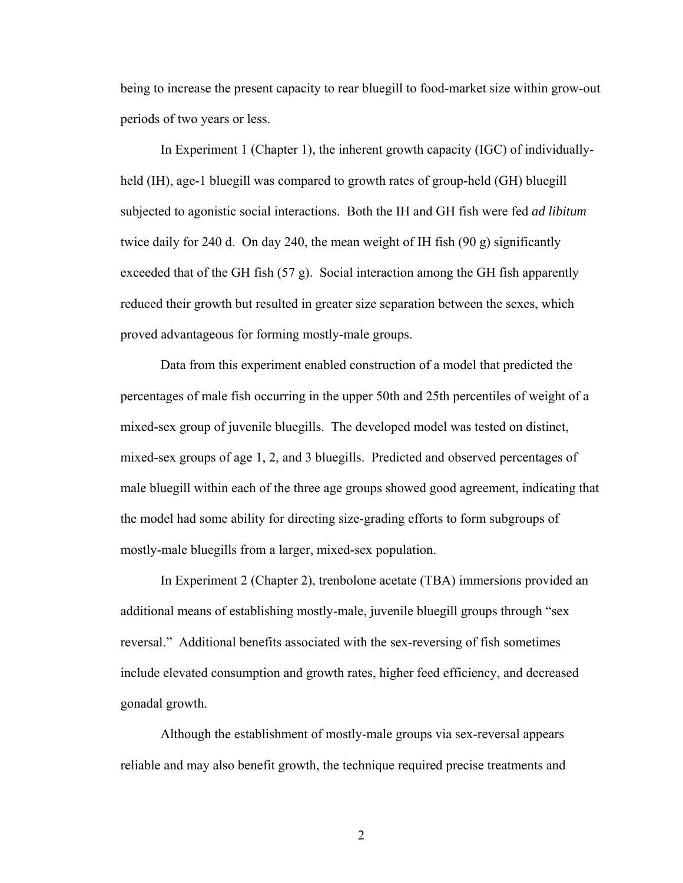being to increase the present capacity to rear bluegill to food-market size within grow-out periods of two years or less.

In Experiment 1 (Chapter 1), the inherent growth capacity (IGC) of individuallyheld (IH), age-1 bluegill was compared to growth rates of group-held (GH) bluegill subjected to agonistic social interactions. Both the IH and GH fish were fed *ad libitum*  twice daily for 240 d. On day 240, the mean weight of IH fish (90 g) significantly exceeded that of the GH fish  $(57 g)$ . Social interaction among the GH fish apparently reduced their growth but resulted in greater size separation between the sexes, which proved advantageous for forming mostly-male groups.

Data from this experiment enabled construction of a model that predicted the percentages of male fish occurring in the upper 50th and 25th percentiles of weight of a mixed-sex group of juvenile bluegills. The developed model was tested on distinct, mixed-sex groups of age 1, 2, and 3 bluegills. Predicted and observed percentages of male bluegill within each of the three age groups showed good agreement, indicating that the model had some ability for directing size-grading efforts to form subgroups of mostly-male bluegills from a larger, mixed-sex population.

In Experiment 2 (Chapter 2), trenbolone acetate (TBA) immersions provided an additional means of establishing mostly-male, juvenile bluegill groups through "sex reversal." Additional benefits associated with the sex-reversing of fish sometimes include elevated consumption and growth rates, higher feed efficiency, and decreased gonadal growth.

Although the establishment of mostly-male groups via sex-reversal appears reliable and may also benefit growth, the technique required precise treatments and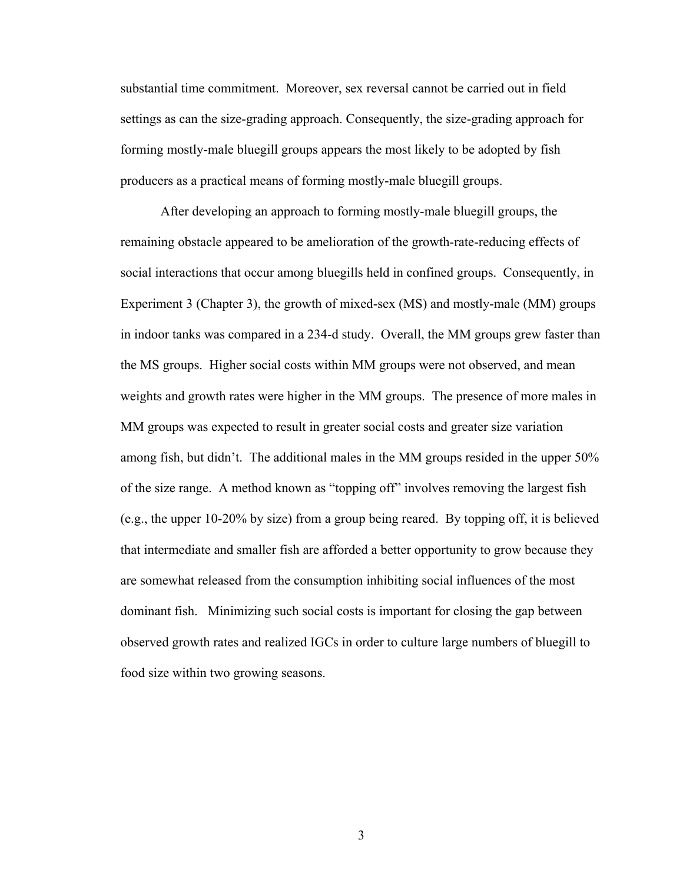substantial time commitment. Moreover, sex reversal cannot be carried out in field settings as can the size-grading approach. Consequently, the size-grading approach for forming mostly-male bluegill groups appears the most likely to be adopted by fish producers as a practical means of forming mostly-male bluegill groups.

After developing an approach to forming mostly-male bluegill groups, the remaining obstacle appeared to be amelioration of the growth-rate-reducing effects of social interactions that occur among bluegills held in confined groups. Consequently, in Experiment 3 (Chapter 3), the growth of mixed-sex (MS) and mostly-male (MM) groups in indoor tanks was compared in a 234-d study. Overall, the MM groups grew faster than the MS groups. Higher social costs within MM groups were not observed, and mean weights and growth rates were higher in the MM groups. The presence of more males in MM groups was expected to result in greater social costs and greater size variation among fish, but didn't. The additional males in the MM groups resided in the upper 50% of the size range. A method known as "topping off" involves removing the largest fish (e.g., the upper 10-20% by size) from a group being reared. By topping off, it is believed that intermediate and smaller fish are afforded a better opportunity to grow because they are somewhat released from the consumption inhibiting social influences of the most dominant fish. Minimizing such social costs is important for closing the gap between observed growth rates and realized IGCs in order to culture large numbers of bluegill to food size within two growing seasons.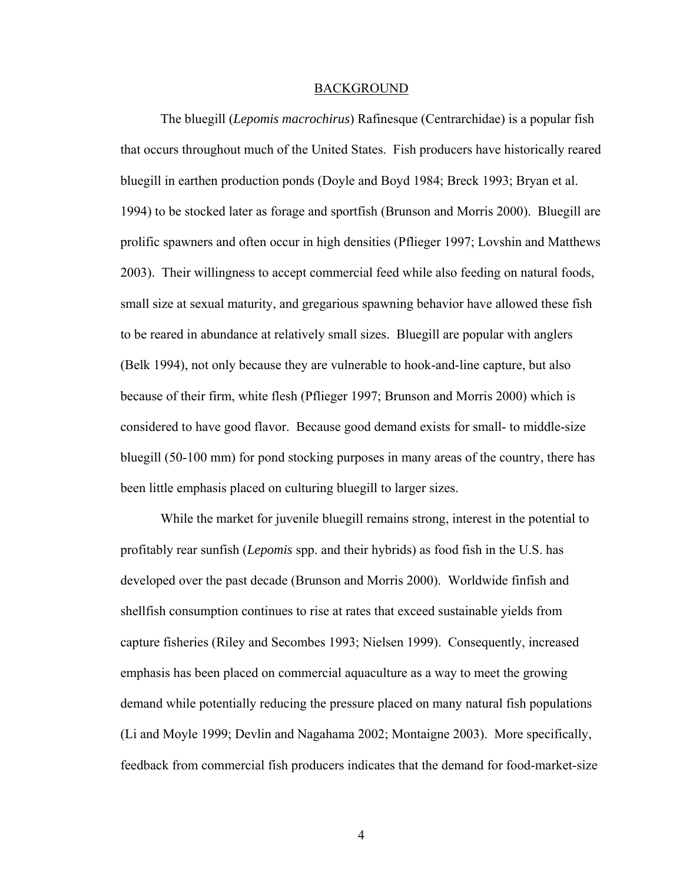#### BACKGROUND

The bluegill (*Lepomis macrochirus*) Rafinesque (Centrarchidae) is a popular fish that occurs throughout much of the United States. Fish producers have historically reared bluegill in earthen production ponds (Doyle and Boyd 1984; Breck 1993; Bryan et al. 1994) to be stocked later as forage and sportfish (Brunson and Morris 2000). Bluegill are prolific spawners and often occur in high densities (Pflieger 1997; Lovshin and Matthews 2003). Their willingness to accept commercial feed while also feeding on natural foods, small size at sexual maturity, and gregarious spawning behavior have allowed these fish to be reared in abundance at relatively small sizes. Bluegill are popular with anglers (Belk 1994), not only because they are vulnerable to hook-and-line capture, but also because of their firm, white flesh (Pflieger 1997; Brunson and Morris 2000) which is considered to have good flavor. Because good demand exists for small- to middle-size bluegill (50-100 mm) for pond stocking purposes in many areas of the country, there has been little emphasis placed on culturing bluegill to larger sizes.

While the market for juvenile bluegill remains strong, interest in the potential to profitably rear sunfish (*Lepomis* spp. and their hybrids) as food fish in the U.S. has developed over the past decade (Brunson and Morris 2000). Worldwide finfish and shellfish consumption continues to rise at rates that exceed sustainable yields from capture fisheries (Riley and Secombes 1993; Nielsen 1999). Consequently, increased emphasis has been placed on commercial aquaculture as a way to meet the growing demand while potentially reducing the pressure placed on many natural fish populations (Li and Moyle 1999; Devlin and Nagahama 2002; Montaigne 2003). More specifically, feedback from commercial fish producers indicates that the demand for food-market-size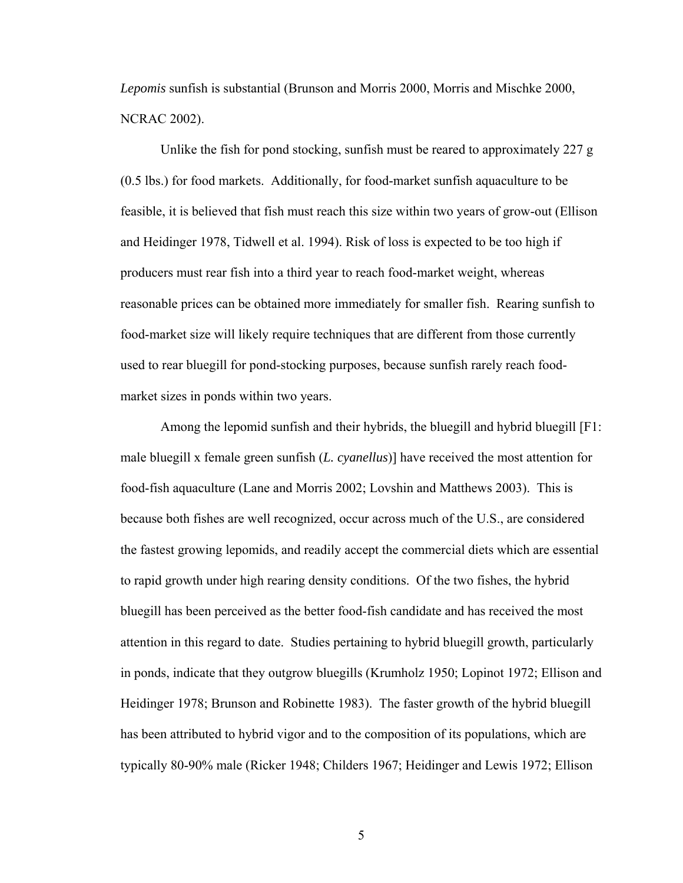*Lepomis* sunfish is substantial (Brunson and Morris 2000, Morris and Mischke 2000, NCRAC 2002).

Unlike the fish for pond stocking, sunfish must be reared to approximately 227  $g$ (0.5 lbs.) for food markets. Additionally, for food-market sunfish aquaculture to be feasible, it is believed that fish must reach this size within two years of grow-out (Ellison and Heidinger 1978, Tidwell et al. 1994). Risk of loss is expected to be too high if producers must rear fish into a third year to reach food-market weight, whereas reasonable prices can be obtained more immediately for smaller fish. Rearing sunfish to food-market size will likely require techniques that are different from those currently used to rear bluegill for pond-stocking purposes, because sunfish rarely reach foodmarket sizes in ponds within two years.

 Among the lepomid sunfish and their hybrids, the bluegill and hybrid bluegill [F1: male bluegill x female green sunfish (*L. cyanellus*)] have received the most attention for food-fish aquaculture (Lane and Morris 2002; Lovshin and Matthews 2003). This is because both fishes are well recognized, occur across much of the U.S., are considered the fastest growing lepomids, and readily accept the commercial diets which are essential to rapid growth under high rearing density conditions. Of the two fishes, the hybrid bluegill has been perceived as the better food-fish candidate and has received the most attention in this regard to date. Studies pertaining to hybrid bluegill growth, particularly in ponds, indicate that they outgrow bluegills (Krumholz 1950; Lopinot 1972; Ellison and Heidinger 1978; Brunson and Robinette 1983). The faster growth of the hybrid bluegill has been attributed to hybrid vigor and to the composition of its populations, which are typically 80-90% male (Ricker 1948; Childers 1967; Heidinger and Lewis 1972; Ellison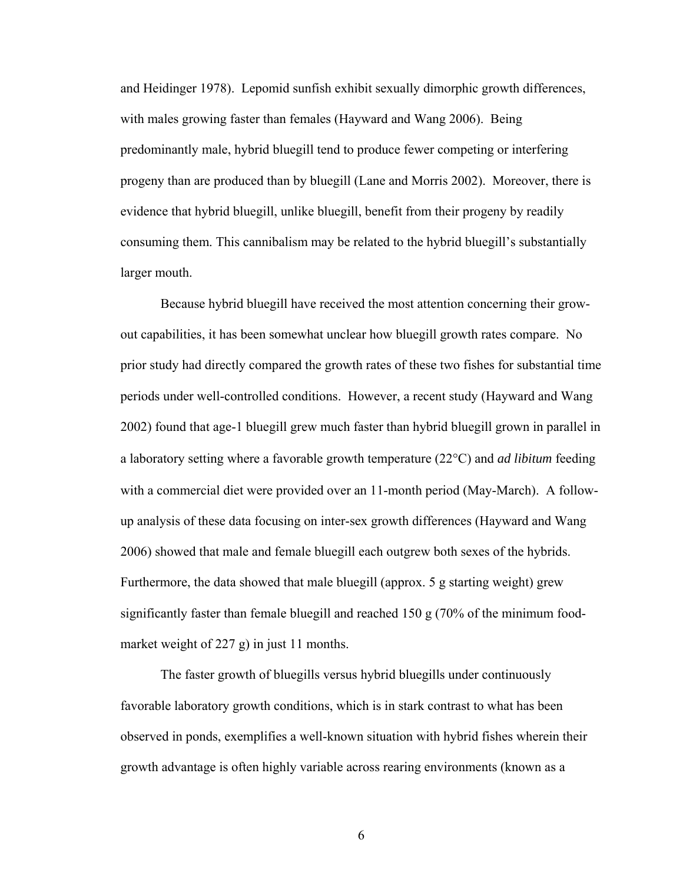and Heidinger 1978). Lepomid sunfish exhibit sexually dimorphic growth differences, with males growing faster than females (Hayward and Wang 2006). Being predominantly male, hybrid bluegill tend to produce fewer competing or interfering progeny than are produced than by bluegill (Lane and Morris 2002). Moreover, there is evidence that hybrid bluegill, unlike bluegill, benefit from their progeny by readily consuming them. This cannibalism may be related to the hybrid bluegill's substantially larger mouth.

 Because hybrid bluegill have received the most attention concerning their growout capabilities, it has been somewhat unclear how bluegill growth rates compare. No prior study had directly compared the growth rates of these two fishes for substantial time periods under well-controlled conditions. However, a recent study (Hayward and Wang 2002) found that age-1 bluegill grew much faster than hybrid bluegill grown in parallel in a laboratory setting where a favorable growth temperature (22°C) and *ad libitum* feeding with a commercial diet were provided over an 11-month period (May-March). A followup analysis of these data focusing on inter-sex growth differences (Hayward and Wang 2006) showed that male and female bluegill each outgrew both sexes of the hybrids. Furthermore, the data showed that male bluegill (approx. 5 g starting weight) grew significantly faster than female bluegill and reached 150 g (70% of the minimum foodmarket weight of 227 g) in just 11 months.

The faster growth of bluegills versus hybrid bluegills under continuously favorable laboratory growth conditions, which is in stark contrast to what has been observed in ponds, exemplifies a well-known situation with hybrid fishes wherein their growth advantage is often highly variable across rearing environments (known as a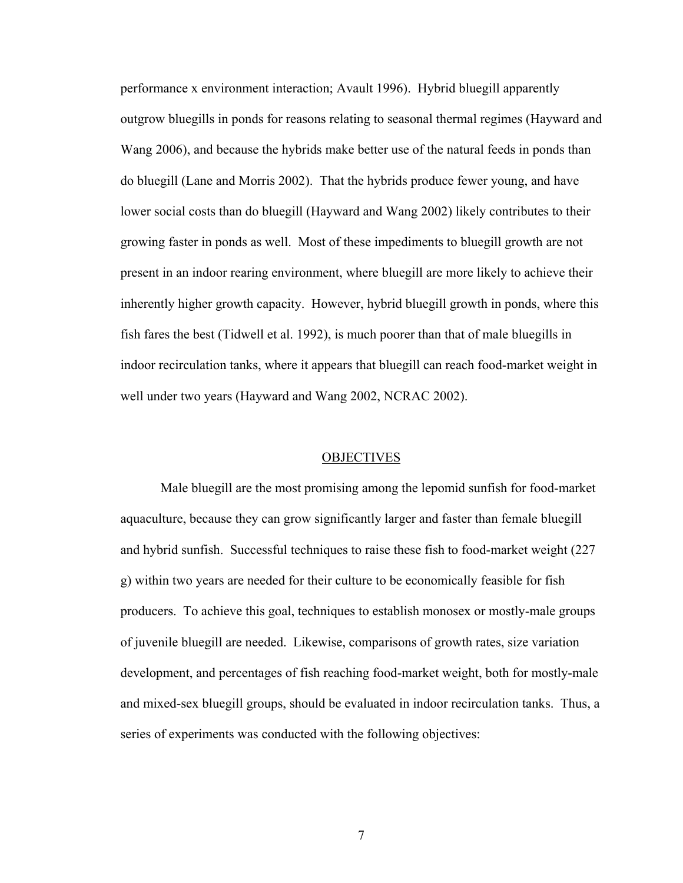performance x environment interaction; Avault 1996). Hybrid bluegill apparently outgrow bluegills in ponds for reasons relating to seasonal thermal regimes (Hayward and Wang 2006), and because the hybrids make better use of the natural feeds in ponds than do bluegill (Lane and Morris 2002). That the hybrids produce fewer young, and have lower social costs than do bluegill (Hayward and Wang 2002) likely contributes to their growing faster in ponds as well. Most of these impediments to bluegill growth are not present in an indoor rearing environment, where bluegill are more likely to achieve their inherently higher growth capacity. However, hybrid bluegill growth in ponds, where this fish fares the best (Tidwell et al. 1992), is much poorer than that of male bluegills in indoor recirculation tanks, where it appears that bluegill can reach food-market weight in well under two years (Hayward and Wang 2002, NCRAC 2002).

#### **OBJECTIVES**

Male bluegill are the most promising among the lepomid sunfish for food-market aquaculture, because they can grow significantly larger and faster than female bluegill and hybrid sunfish. Successful techniques to raise these fish to food-market weight (227 g) within two years are needed for their culture to be economically feasible for fish producers. To achieve this goal, techniques to establish monosex or mostly-male groups of juvenile bluegill are needed. Likewise, comparisons of growth rates, size variation development, and percentages of fish reaching food-market weight, both for mostly-male and mixed-sex bluegill groups, should be evaluated in indoor recirculation tanks. Thus, a series of experiments was conducted with the following objectives: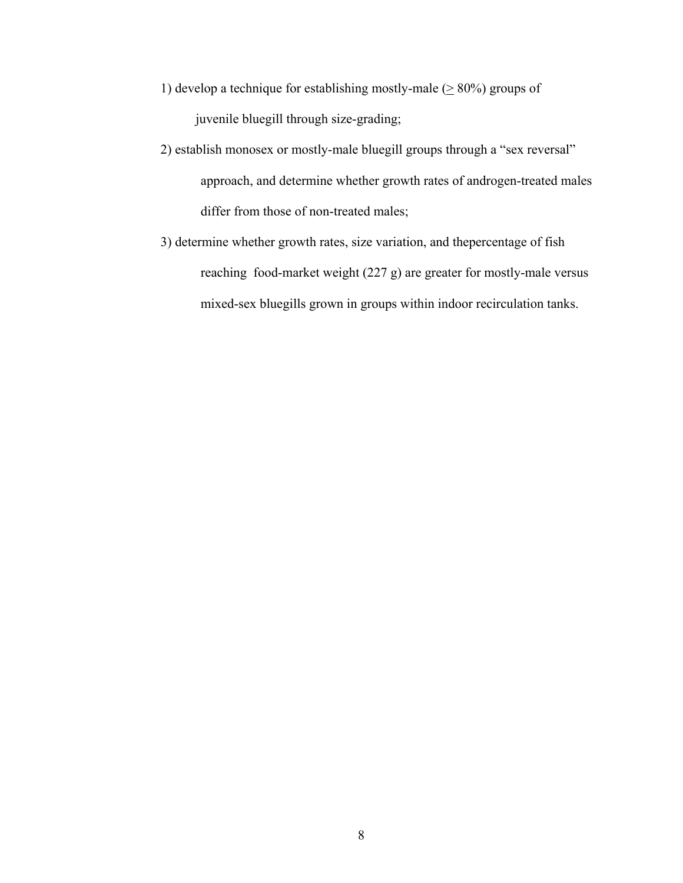- 1) develop a technique for establishing mostly-male  $(≥ 80%)$  groups of juvenile bluegill through size-grading;
- 2) establish monosex or mostly-male bluegill groups through a "sex reversal" approach, and determine whether growth rates of androgen-treated males differ from those of non-treated males;
- 3) determine whether growth rates, size variation, and thepercentage of fish reaching food-market weight (227 g) are greater for mostly-male versus mixed-sex bluegills grown in groups within indoor recirculation tanks.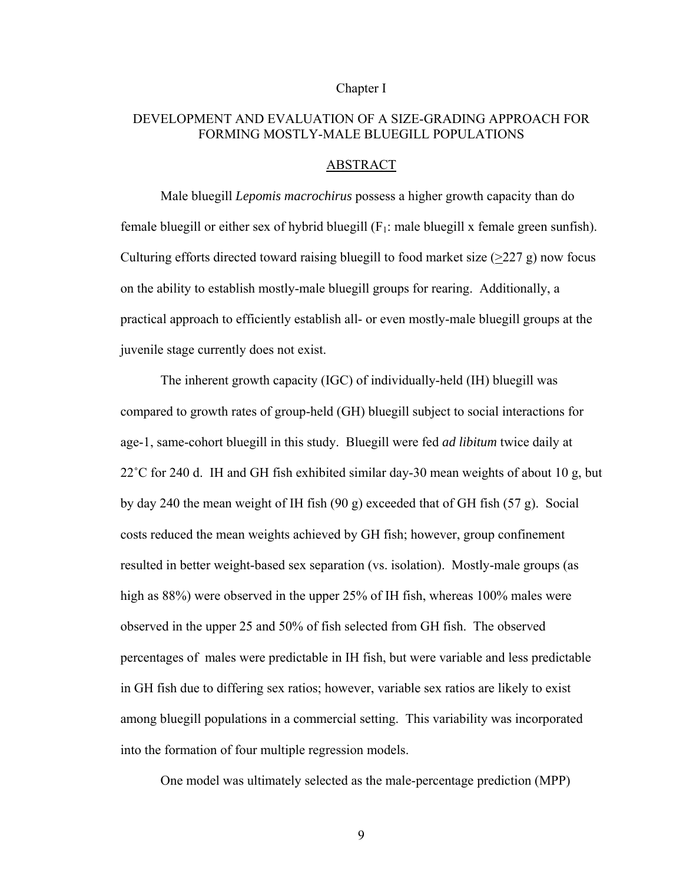#### Chapter I

### DEVELOPMENT AND EVALUATION OF A SIZE-GRADING APPROACH FOR FORMING MOSTLY-MALE BLUEGILL POPULATIONS

#### ABSTRACT

 Male bluegill *Lepomis macrochirus* possess a higher growth capacity than do female bluegill or either sex of hybrid bluegill  $(F_1)$ : male bluegill x female green sunfish). Culturing efforts directed toward raising bluegill to food market size  $(>227 \text{ g})$  now focus on the ability to establish mostly-male bluegill groups for rearing. Additionally, a practical approach to efficiently establish all- or even mostly-male bluegill groups at the juvenile stage currently does not exist.

The inherent growth capacity (IGC) of individually-held (IH) bluegill was compared to growth rates of group-held (GH) bluegill subject to social interactions for age-1, same-cohort bluegill in this study. Bluegill were fed *ad libitum* twice daily at 22˚C for 240 d. IH and GH fish exhibited similar day-30 mean weights of about 10 g, but by day 240 the mean weight of IH fish (90 g) exceeded that of GH fish (57 g). Social costs reduced the mean weights achieved by GH fish; however, group confinement resulted in better weight-based sex separation (vs. isolation). Mostly-male groups (as high as  $88\%$ ) were observed in the upper 25% of IH fish, whereas 100% males were observed in the upper 25 and 50% of fish selected from GH fish. The observed percentages of males were predictable in IH fish, but were variable and less predictable in GH fish due to differing sex ratios; however, variable sex ratios are likely to exist among bluegill populations in a commercial setting. This variability was incorporated into the formation of four multiple regression models.

One model was ultimately selected as the male-percentage prediction (MPP)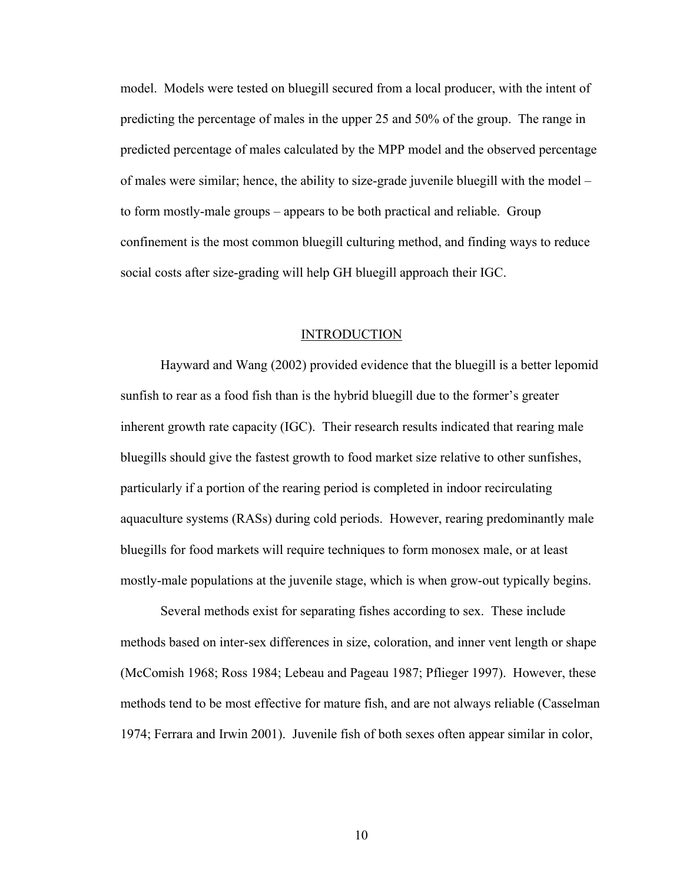model. Models were tested on bluegill secured from a local producer, with the intent of predicting the percentage of males in the upper 25 and 50% of the group. The range in predicted percentage of males calculated by the MPP model and the observed percentage of males were similar; hence, the ability to size-grade juvenile bluegill with the model – to form mostly-male groups – appears to be both practical and reliable. Group confinement is the most common bluegill culturing method, and finding ways to reduce social costs after size-grading will help GH bluegill approach their IGC.

#### INTRODUCTION

Hayward and Wang (2002) provided evidence that the bluegill is a better lepomid sunfish to rear as a food fish than is the hybrid bluegill due to the former's greater inherent growth rate capacity (IGC). Their research results indicated that rearing male bluegills should give the fastest growth to food market size relative to other sunfishes, particularly if a portion of the rearing period is completed in indoor recirculating aquaculture systems (RASs) during cold periods. However, rearing predominantly male bluegills for food markets will require techniques to form monosex male, or at least mostly-male populations at the juvenile stage, which is when grow-out typically begins.

 Several methods exist for separating fishes according to sex. These include methods based on inter-sex differences in size, coloration, and inner vent length or shape (McComish 1968; Ross 1984; Lebeau and Pageau 1987; Pflieger 1997). However, these methods tend to be most effective for mature fish, and are not always reliable (Casselman 1974; Ferrara and Irwin 2001). Juvenile fish of both sexes often appear similar in color,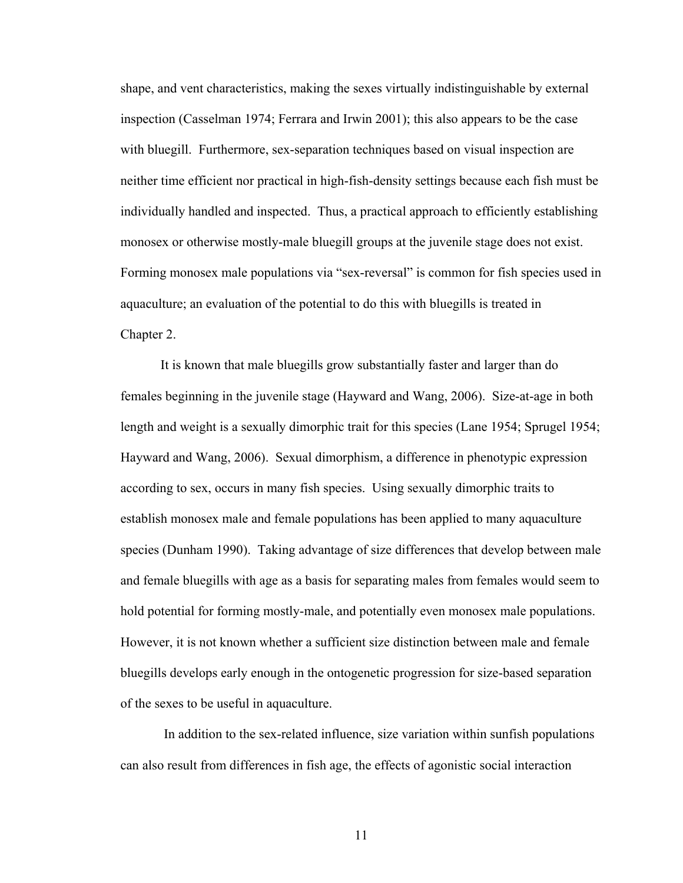shape, and vent characteristics, making the sexes virtually indistinguishable by external inspection (Casselman 1974; Ferrara and Irwin 2001); this also appears to be the case with bluegill. Furthermore, sex-separation techniques based on visual inspection are neither time efficient nor practical in high-fish-density settings because each fish must be individually handled and inspected. Thus, a practical approach to efficiently establishing monosex or otherwise mostly-male bluegill groups at the juvenile stage does not exist. Forming monosex male populations via "sex-reversal" is common for fish species used in aquaculture; an evaluation of the potential to do this with bluegills is treated in Chapter 2.

 It is known that male bluegills grow substantially faster and larger than do females beginning in the juvenile stage (Hayward and Wang, 2006). Size-at-age in both length and weight is a sexually dimorphic trait for this species (Lane 1954; Sprugel 1954; Hayward and Wang, 2006). Sexual dimorphism, a difference in phenotypic expression according to sex, occurs in many fish species. Using sexually dimorphic traits to establish monosex male and female populations has been applied to many aquaculture species (Dunham 1990). Taking advantage of size differences that develop between male and female bluegills with age as a basis for separating males from females would seem to hold potential for forming mostly-male, and potentially even monosex male populations. However, it is not known whether a sufficient size distinction between male and female bluegills develops early enough in the ontogenetic progression for size-based separation of the sexes to be useful in aquaculture.

 In addition to the sex-related influence, size variation within sunfish populations can also result from differences in fish age, the effects of agonistic social interaction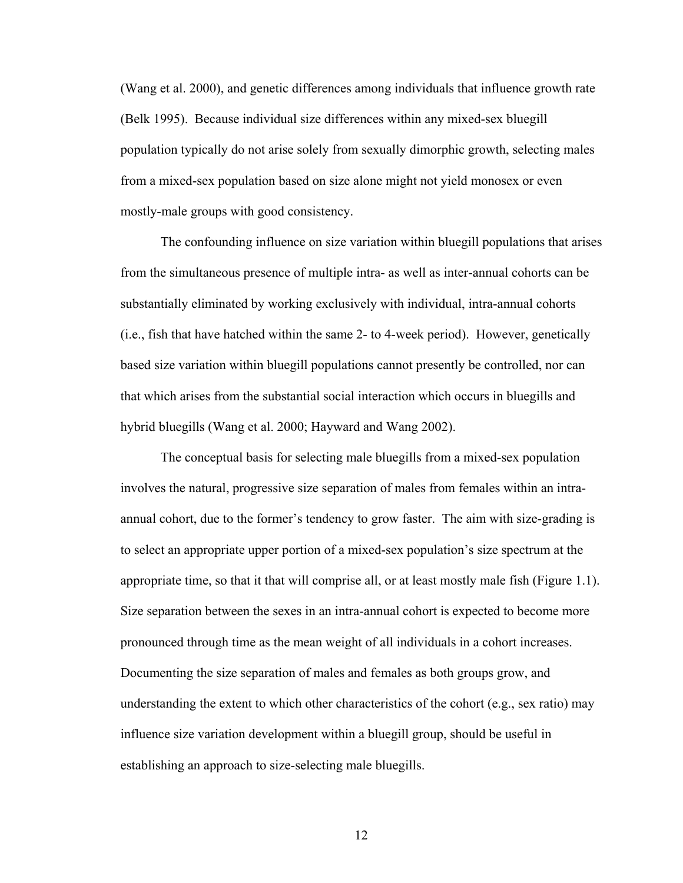(Wang et al. 2000), and genetic differences among individuals that influence growth rate (Belk 1995). Because individual size differences within any mixed-sex bluegill population typically do not arise solely from sexually dimorphic growth, selecting males from a mixed-sex population based on size alone might not yield monosex or even mostly-male groups with good consistency.

 The confounding influence on size variation within bluegill populations that arises from the simultaneous presence of multiple intra- as well as inter-annual cohorts can be substantially eliminated by working exclusively with individual, intra-annual cohorts (i.e., fish that have hatched within the same 2- to 4-week period). However, genetically based size variation within bluegill populations cannot presently be controlled, nor can that which arises from the substantial social interaction which occurs in bluegills and hybrid bluegills (Wang et al. 2000; Hayward and Wang 2002).

The conceptual basis for selecting male bluegills from a mixed-sex population involves the natural, progressive size separation of males from females within an intraannual cohort, due to the former's tendency to grow faster. The aim with size-grading is to select an appropriate upper portion of a mixed-sex population's size spectrum at the appropriate time, so that it that will comprise all, or at least mostly male fish (Figure 1.1). Size separation between the sexes in an intra-annual cohort is expected to become more pronounced through time as the mean weight of all individuals in a cohort increases. Documenting the size separation of males and females as both groups grow, and understanding the extent to which other characteristics of the cohort (e.g., sex ratio) may influence size variation development within a bluegill group, should be useful in establishing an approach to size-selecting male bluegills.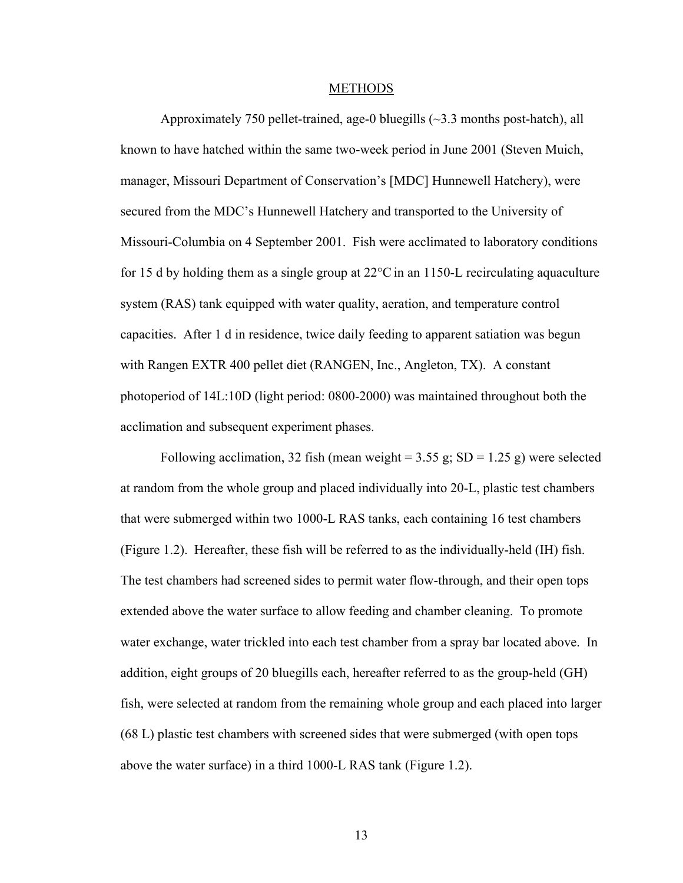#### METHODS

Approximately 750 pellet-trained, age-0 bluegills (~3.3 months post-hatch), all known to have hatched within the same two-week period in June 2001 (Steven Muich, manager, Missouri Department of Conservation's [MDC] Hunnewell Hatchery), were secured from the MDC's Hunnewell Hatchery and transported to the University of Missouri-Columbia on 4 September 2001. Fish were acclimated to laboratory conditions for 15 d by holding them as a single group at  $22^{\circ}$ C in an 1150-L recirculating aquaculture system (RAS) tank equipped with water quality, aeration, and temperature control capacities. After 1 d in residence, twice daily feeding to apparent satiation was begun with Rangen EXTR 400 pellet diet (RANGEN, Inc., Angleton, TX). A constant photoperiod of 14L:10D (light period: 0800-2000) was maintained throughout both the acclimation and subsequent experiment phases.

Following acclimation, 32 fish (mean weight =  $3.55$  g; SD =  $1.25$  g) were selected at random from the whole group and placed individually into 20-L, plastic test chambers that were submerged within two 1000-L RAS tanks, each containing 16 test chambers (Figure 1.2). Hereafter, these fish will be referred to as the individually-held (IH) fish. The test chambers had screened sides to permit water flow-through, and their open tops extended above the water surface to allow feeding and chamber cleaning. To promote water exchange, water trickled into each test chamber from a spray bar located above. In addition, eight groups of 20 bluegills each, hereafter referred to as the group-held (GH) fish, were selected at random from the remaining whole group and each placed into larger (68 L) plastic test chambers with screened sides that were submerged (with open tops above the water surface) in a third 1000-L RAS tank (Figure 1.2).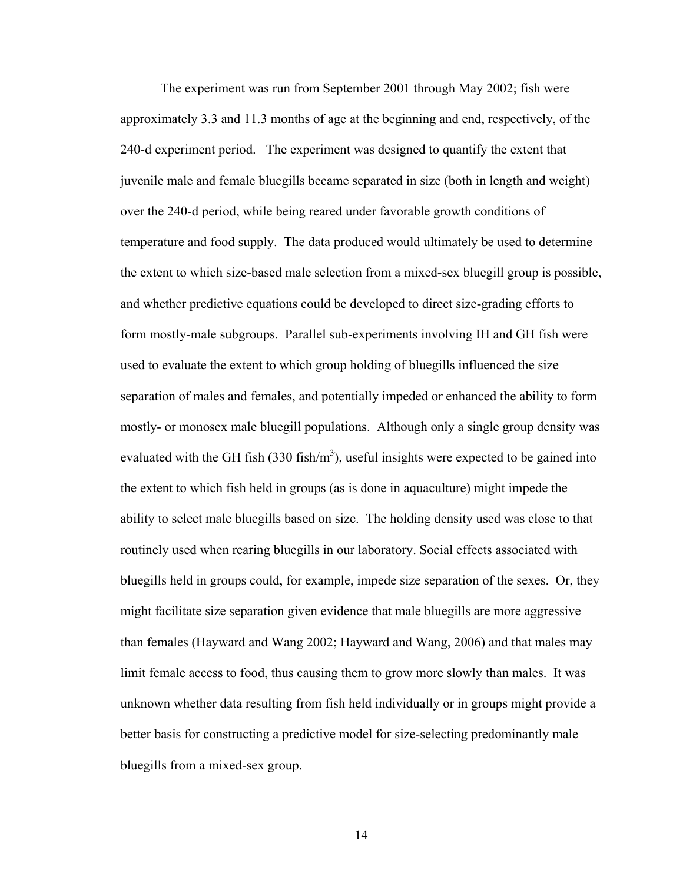The experiment was run from September 2001 through May 2002; fish were approximately 3.3 and 11.3 months of age at the beginning and end, respectively, of the 240-d experiment period. The experiment was designed to quantify the extent that juvenile male and female bluegills became separated in size (both in length and weight) over the 240-d period, while being reared under favorable growth conditions of temperature and food supply. The data produced would ultimately be used to determine the extent to which size-based male selection from a mixed-sex bluegill group is possible, and whether predictive equations could be developed to direct size-grading efforts to form mostly-male subgroups. Parallel sub-experiments involving IH and GH fish were used to evaluate the extent to which group holding of bluegills influenced the size separation of males and females, and potentially impeded or enhanced the ability to form mostly- or monosex male bluegill populations. Although only a single group density was evaluated with the GH fish (330 fish/ $m<sup>3</sup>$ ), useful insights were expected to be gained into the extent to which fish held in groups (as is done in aquaculture) might impede the ability to select male bluegills based on size. The holding density used was close to that routinely used when rearing bluegills in our laboratory. Social effects associated with bluegills held in groups could, for example, impede size separation of the sexes. Or, they might facilitate size separation given evidence that male bluegills are more aggressive than females (Hayward and Wang 2002; Hayward and Wang, 2006) and that males may limit female access to food, thus causing them to grow more slowly than males.It was unknown whether data resulting from fish held individually or in groups might provide a better basis for constructing a predictive model for size-selecting predominantly male bluegills from a mixed-sex group.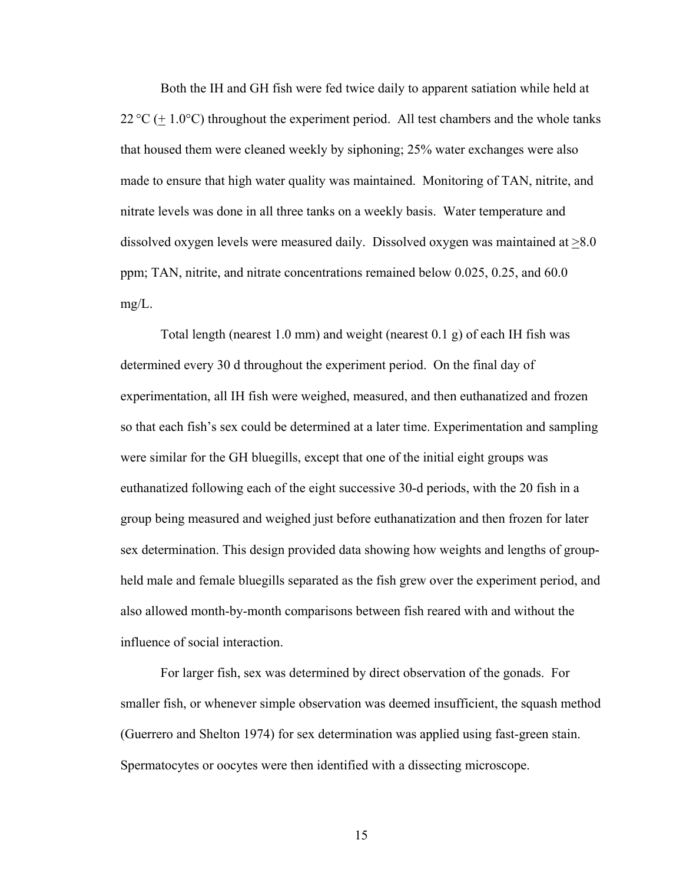Both the IH and GH fish were fed twice daily to apparent satiation while held at  $22^{\circ}C$  (+ 1.0°C) throughout the experiment period. All test chambers and the whole tanks that housed them were cleaned weekly by siphoning; 25% water exchanges were also made to ensure that high water quality was maintained. Monitoring of TAN, nitrite, and nitrate levels was done in all three tanks on a weekly basis. Water temperature and dissolved oxygen levels were measured daily. Dissolved oxygen was maintained at  $\geq 8.0$ ppm; TAN, nitrite, and nitrate concentrations remained below 0.025, 0.25, and 60.0 mg/L.

 Total length (nearest 1.0 mm) and weight (nearest 0.1 g) of each IH fish was determined every 30 d throughout the experiment period. On the final day of experimentation, all IH fish were weighed, measured, and then euthanatized and frozen so that each fish's sex could be determined at a later time. Experimentation and sampling were similar for the GH bluegills, except that one of the initial eight groups was euthanatized following each of the eight successive 30-d periods, with the 20 fish in a group being measured and weighed just before euthanatization and then frozen for later sex determination. This design provided data showing how weights and lengths of groupheld male and female bluegills separated as the fish grew over the experiment period, and also allowed month-by-month comparisons between fish reared with and without the influence of social interaction.

For larger fish, sex was determined by direct observation of the gonads. For smaller fish, or whenever simple observation was deemed insufficient, the squash method (Guerrero and Shelton 1974) for sex determination was applied using fast-green stain. Spermatocytes or oocytes were then identified with a dissecting microscope.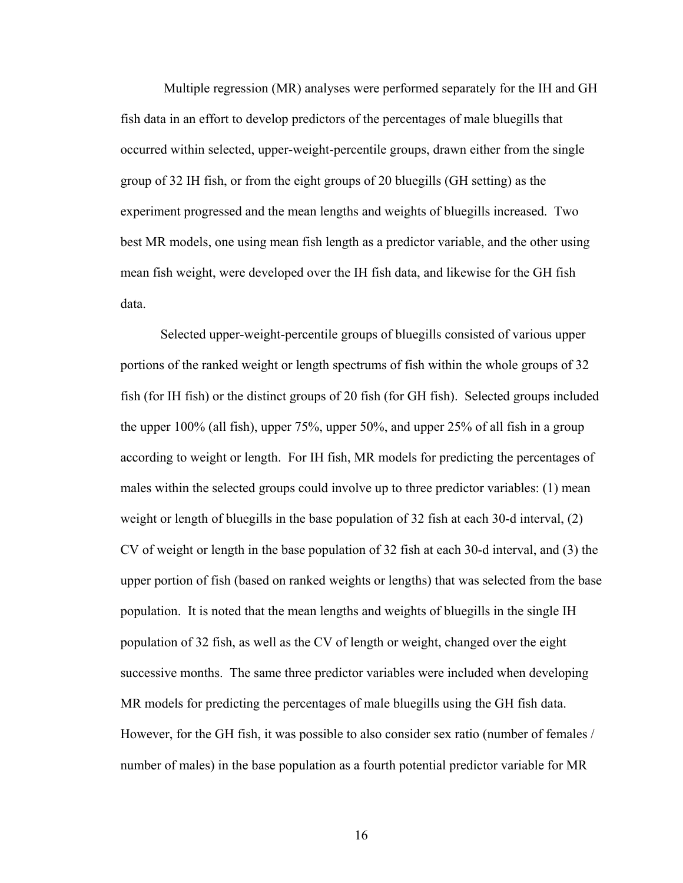Multiple regression (MR) analyses were performed separately for the IH and GH fish data in an effort to develop predictors of the percentages of male bluegills that occurred within selected, upper-weight-percentile groups, drawn either from the single group of 32 IH fish, or from the eight groups of 20 bluegills (GH setting) as the experiment progressed and the mean lengths and weights of bluegills increased. Two best MR models, one using mean fish length as a predictor variable, and the other using mean fish weight, were developed over the IH fish data, and likewise for the GH fish data.

Selected upper-weight-percentile groups of bluegills consisted of various upper portions of the ranked weight or length spectrums of fish within the whole groups of 32 fish (for IH fish) or the distinct groups of 20 fish (for GH fish). Selected groups included the upper 100% (all fish), upper 75%, upper 50%, and upper 25% of all fish in a group according to weight or length. For IH fish, MR models for predicting the percentages of males within the selected groups could involve up to three predictor variables: (1) mean weight or length of bluegills in the base population of 32 fish at each 30-d interval, (2) CV of weight or length in the base population of 32 fish at each 30-d interval, and (3) the upper portion of fish (based on ranked weights or lengths) that was selected from the base population. It is noted that the mean lengths and weights of bluegills in the single IH population of 32 fish, as well as the CV of length or weight, changed over the eight successive months. The same three predictor variables were included when developing MR models for predicting the percentages of male bluegills using the GH fish data. However, for the GH fish, it was possible to also consider sex ratio (number of females / number of males) in the base population as a fourth potential predictor variable for MR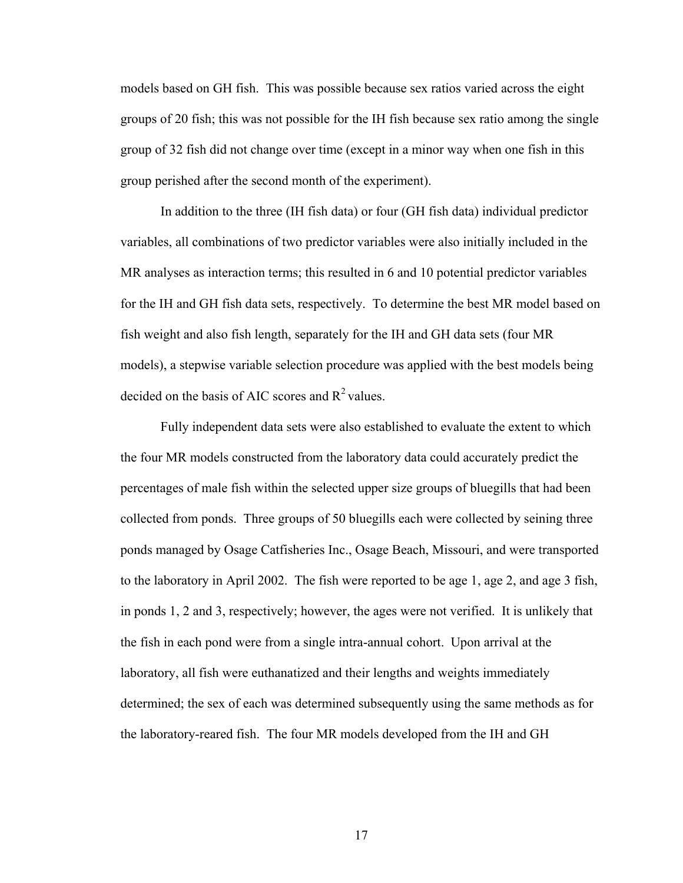models based on GH fish. This was possible because sex ratios varied across the eight groups of 20 fish; this was not possible for the IH fish because sex ratio among the single group of 32 fish did not change over time (except in a minor way when one fish in this group perished after the second month of the experiment).

In addition to the three (IH fish data) or four (GH fish data) individual predictor variables, all combinations of two predictor variables were also initially included in the MR analyses as interaction terms; this resulted in 6 and 10 potential predictor variables for the IH and GH fish data sets, respectively. To determine the best MR model based on fish weight and also fish length, separately for the IH and GH data sets (four MR models), a stepwise variable selection procedure was applied with the best models being decided on the basis of AIC scores and  $R^2$  values.

 Fully independent data sets were also established to evaluate the extent to which the four MR models constructed from the laboratory data could accurately predict the percentages of male fish within the selected upper size groups of bluegills that had been collected from ponds. Three groups of 50 bluegills each were collected by seining three ponds managed by Osage Catfisheries Inc., Osage Beach, Missouri, and were transported to the laboratory in April 2002. The fish were reported to be age 1, age 2, and age 3 fish, in ponds 1, 2 and 3, respectively; however, the ages were not verified. It is unlikely that the fish in each pond were from a single intra-annual cohort.Upon arrival at the laboratory, all fish were euthanatized and their lengths and weights immediately determined; the sex of each was determined subsequently using the same methods as for the laboratory-reared fish. The four MR models developed from the IH and GH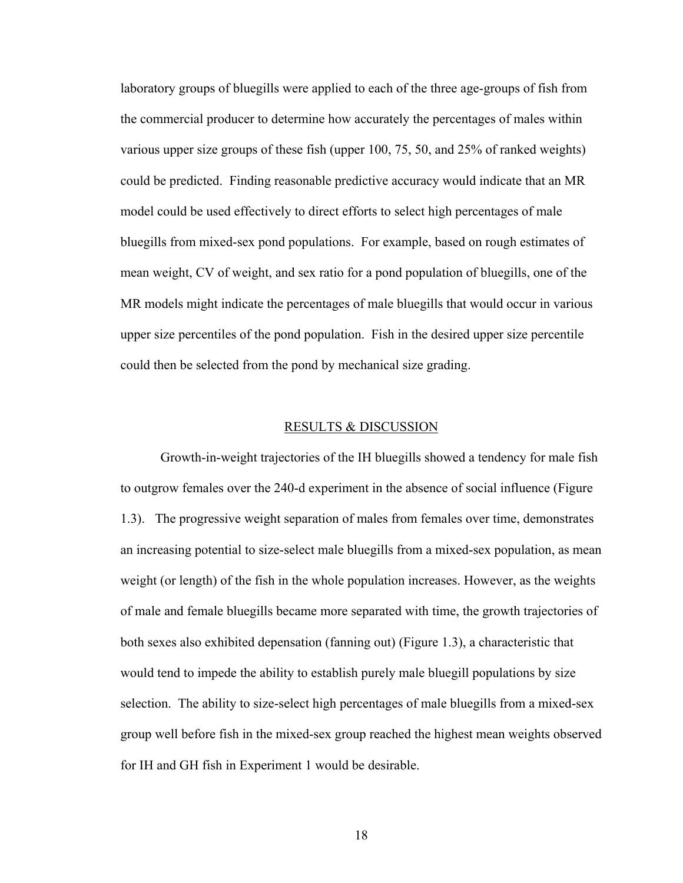laboratory groups of bluegills were applied to each of the three age-groups of fish from the commercial producer to determine how accurately the percentages of males within various upper size groups of these fish (upper 100, 75, 50, and 25% of ranked weights) could be predicted. Finding reasonable predictive accuracy would indicate that an MR model could be used effectively to direct efforts to select high percentages of male bluegills from mixed-sex pond populations. For example, based on rough estimates of mean weight, CV of weight, and sex ratio for a pond population of bluegills, one of the MR models might indicate the percentages of male bluegills that would occur in various upper size percentiles of the pond population. Fish in the desired upper size percentile could then be selected from the pond by mechanical size grading.

#### RESULTS & DISCUSSION

Growth-in-weight trajectories of the IH bluegills showed a tendency for male fish to outgrow females over the 240-d experiment in the absence of social influence (Figure 1.3). The progressive weight separation of males from females over time, demonstrates an increasing potential to size-select male bluegills from a mixed-sex population, as mean weight (or length) of the fish in the whole population increases. However, as the weights of male and female bluegills became more separated with time, the growth trajectories of both sexes also exhibited depensation (fanning out) (Figure 1.3), a characteristic that would tend to impede the ability to establish purely male bluegill populations by size selection. The ability to size-select high percentages of male bluegills from a mixed-sex group well before fish in the mixed-sex group reached the highest mean weights observed for IH and GH fish in Experiment 1 would be desirable.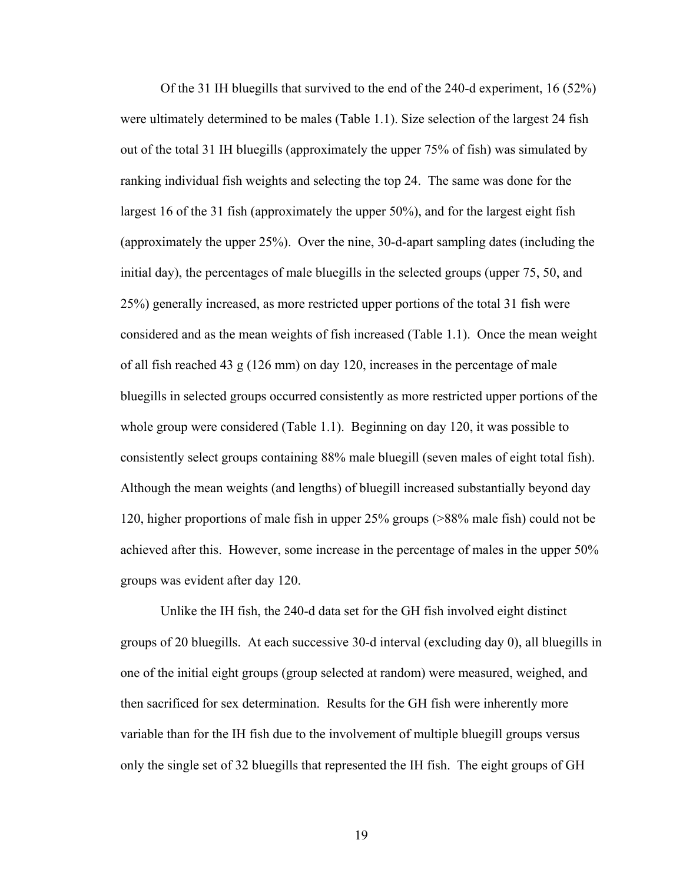Of the 31 IH bluegills that survived to the end of the 240-d experiment, 16 (52%) were ultimately determined to be males (Table 1.1). Size selection of the largest 24 fish out of the total 31 IH bluegills (approximately the upper 75% of fish) was simulated by ranking individual fish weights and selecting the top 24. The same was done for the largest 16 of the 31 fish (approximately the upper 50%), and for the largest eight fish (approximately the upper 25%). Over the nine, 30-d-apart sampling dates (including the initial day), the percentages of male bluegills in the selected groups (upper 75, 50, and 25%) generally increased, as more restricted upper portions of the total 31 fish were considered and as the mean weights of fish increased (Table 1.1). Once the mean weight of all fish reached 43 g (126 mm) on day 120, increases in the percentage of male bluegills in selected groups occurred consistently as more restricted upper portions of the whole group were considered (Table 1.1). Beginning on day 120, it was possible to consistently select groups containing 88% male bluegill (seven males of eight total fish). Although the mean weights (and lengths) of bluegill increased substantially beyond day 120, higher proportions of male fish in upper 25% groups (>88% male fish) could not be achieved after this. However, some increase in the percentage of males in the upper 50% groups was evident after day 120.

Unlike the IH fish, the 240-d data set for the GH fish involved eight distinct groups of 20 bluegills. At each successive 30-d interval (excluding day 0), all bluegills in one of the initial eight groups (group selected at random) were measured, weighed, and then sacrificed for sex determination. Results for the GH fish were inherently more variable than for the IH fish due to the involvement of multiple bluegill groups versus only the single set of 32 bluegills that represented the IH fish. The eight groups of GH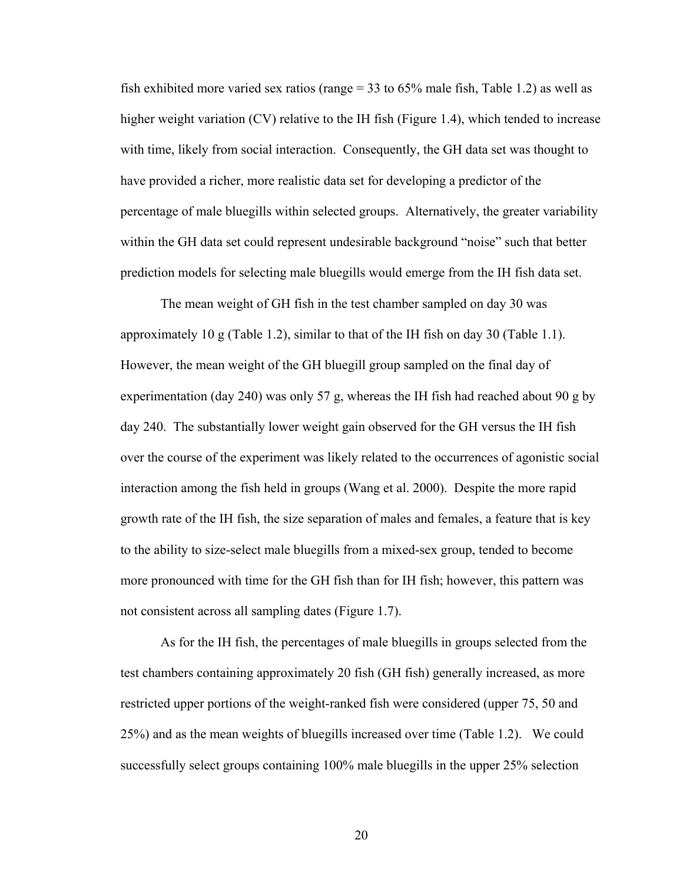fish exhibited more varied sex ratios (range = 33 to 65% male fish, Table 1.2) as well as higher weight variation (CV) relative to the IH fish (Figure 1.4), which tended to increase with time, likely from social interaction. Consequently, the GH data set was thought to have provided a richer, more realistic data set for developing a predictor of the percentage of male bluegills within selected groups. Alternatively, the greater variability within the GH data set could represent undesirable background "noise" such that better prediction models for selecting male bluegills would emerge from the IH fish data set.

The mean weight of GH fish in the test chamber sampled on day 30 was approximately 10 g (Table 1.2), similar to that of the IH fish on day 30 (Table 1.1). However, the mean weight of the GH bluegill group sampled on the final day of experimentation (day 240) was only 57 g, whereas the IH fish had reached about 90 g by day 240. The substantially lower weight gain observed for the GH versus the IH fish over the course of the experiment was likely related to the occurrences of agonistic social interaction among the fish held in groups (Wang et al. 2000). Despite the more rapid growth rate of the IH fish, the size separation of males and females, a feature that is key to the ability to size-select male bluegills from a mixed-sex group, tended to become more pronounced with time for the GH fish than for IH fish; however, this pattern was not consistent across all sampling dates (Figure 1.7).

As for the IH fish, the percentages of male bluegills in groups selected from the test chambers containing approximately 20 fish (GH fish) generally increased, as more restricted upper portions of the weight-ranked fish were considered (upper 75, 50 and 25%) and as the mean weights of bluegills increased over time (Table 1.2). We could successfully select groups containing 100% male bluegills in the upper 25% selection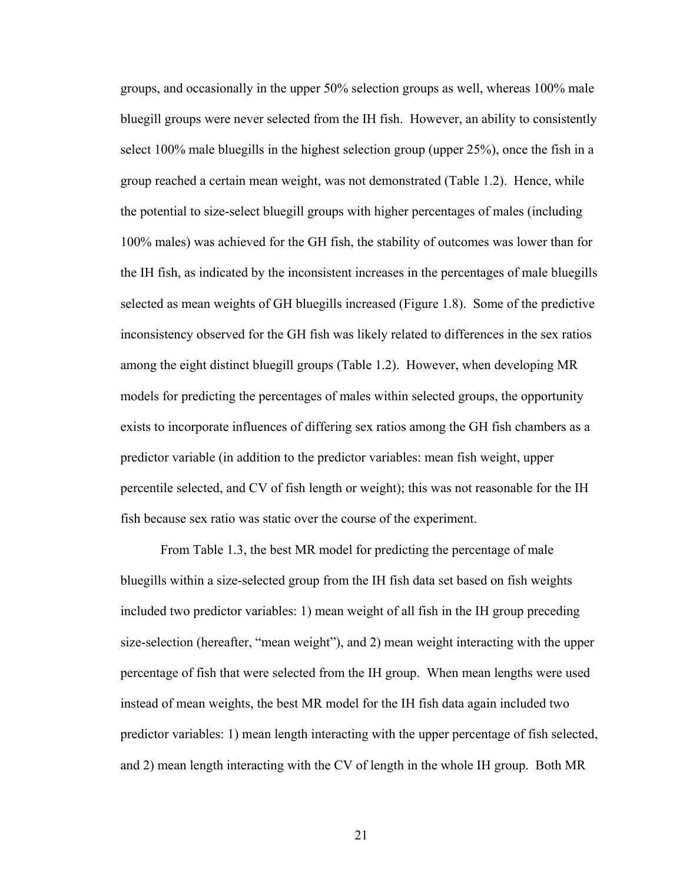groups, and occasionally in the upper 50% selection groups as well, whereas 100% male bluegill groups were never selected from the IH fish. However, an ability to consistently select 100% male bluegills in the highest selection group (upper 25%), once the fish in a group reached a certain mean weight, was not demonstrated (Table 1.2). Hence, while the potential to size-select bluegill groups with higher percentages of males (including 100% males) was achieved for the GH fish, the stability of outcomes was lower than for the IH fish, as indicated by the inconsistent increases in the percentages of male bluegills selected as mean weights of GH bluegills increased (Figure 1.8). Some of the predictive inconsistency observed for the GH fish was likely related to differences in the sex ratios among the eight distinct bluegill groups (Table 1.2).However, when developing MR models for predicting the percentages of males within selected groups, the opportunity exists to incorporate influences of differing sex ratios among the GH fish chambers as a predictor variable (in addition to the predictor variables: mean fish weight, upper percentile selected, and CV of fish length or weight); this was not reasonable for the IH fish because sex ratio was static over the course of the experiment.

From Table 1.3, the best MR model for predicting the percentage of male bluegills within a size-selected group from the IH fish data set based on fish weights included two predictor variables: 1) mean weight of all fish in the IH group preceding size-selection (hereafter, "mean weight"), and 2) mean weight interacting with the upper percentage of fish that were selected from the IH group. When mean lengths were used instead of mean weights, the best MR model for the IH fish data again included two predictor variables: 1) mean length interacting with the upper percentage of fish selected, and 2) mean length interacting with the CV of length in the whole IH group. Both MR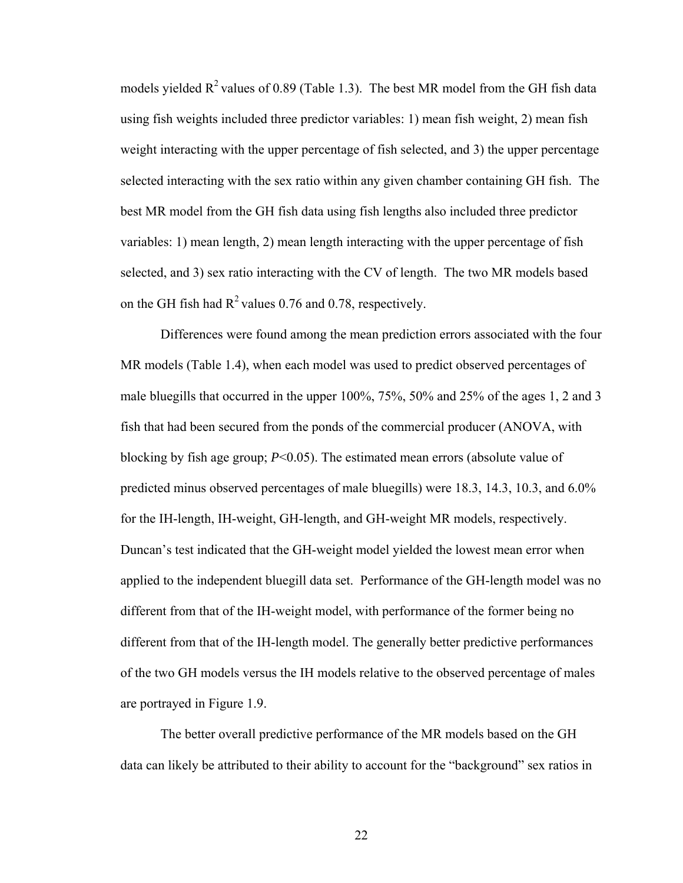models yielded  $R^2$  values of 0.89 (Table 1.3). The best MR model from the GH fish data using fish weights included three predictor variables: 1) mean fish weight, 2) mean fish weight interacting with the upper percentage of fish selected, and 3) the upper percentage selected interacting with the sex ratio within any given chamber containing GH fish. The best MR model from the GH fish data using fish lengths also included three predictor variables: 1) mean length, 2) mean length interacting with the upper percentage of fish selected, and 3) sex ratio interacting with the CV of length. The two MR models based on the GH fish had  $R^2$  values 0.76 and 0.78, respectively.

Differences were found among the mean prediction errors associated with the four MR models (Table 1.4), when each model was used to predict observed percentages of male bluegills that occurred in the upper 100%, 75%, 50% and 25% of the ages 1, 2 and 3 fish that had been secured from the ponds of the commercial producer (ANOVA, with blocking by fish age group; *P*<0.05). The estimated mean errors (absolute value of predicted minus observed percentages of male bluegills) were 18.3, 14.3, 10.3, and 6.0% for the IH-length, IH-weight, GH-length, and GH-weight MR models, respectively. Duncan's test indicated that the GH-weight model yielded the lowest mean error when applied to the independent bluegill data set. Performance of the GH-length model was no different from that of the IH-weight model, with performance of the former being no different from that of the IH-length model. The generally better predictive performances of the two GH models versus the IH models relative to the observed percentage of males are portrayed in Figure 1.9.

The better overall predictive performance of the MR models based on the GH data can likely be attributed to their ability to account for the "background" sex ratios in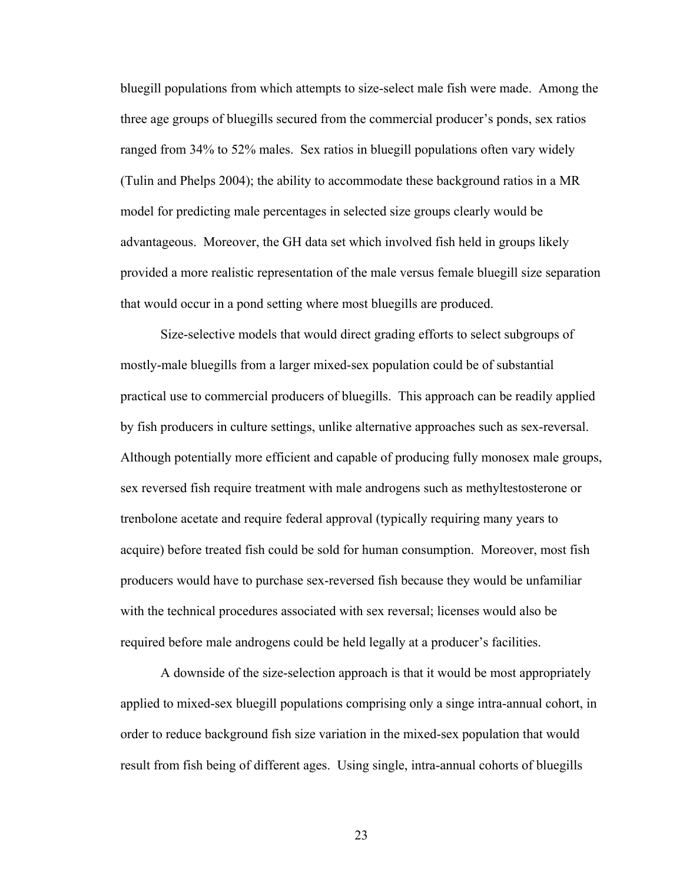bluegill populations from which attempts to size-select male fish were made. Among the three age groups of bluegills secured from the commercial producer's ponds, sex ratios ranged from 34% to 52% males. Sex ratios in bluegill populations often vary widely (Tulin and Phelps 2004); the ability to accommodate these background ratios in a MR model for predicting male percentages in selected size groups clearly would be advantageous. Moreover, the GH data set which involved fish held in groups likely provided a more realistic representation of the male versus female bluegill size separation that would occur in a pond setting where most bluegills are produced.

Size-selective models that would direct grading efforts to select subgroups of mostly-male bluegills from a larger mixed-sex population could be of substantial practical use to commercial producers of bluegills. This approach can be readily applied by fish producers in culture settings, unlike alternative approaches such as sex-reversal. Although potentially more efficient and capable of producing fully monosex male groups, sex reversed fish require treatment with male androgens such as methyltestosterone or trenbolone acetate and require federal approval (typically requiring many years to acquire) before treated fish could be sold for human consumption. Moreover, most fish producers would have to purchase sex-reversed fish because they would be unfamiliar with the technical procedures associated with sex reversal; licenses would also be required before male androgens could be held legally at a producer's facilities.

A downside of the size-selection approach is that it would be most appropriately applied to mixed-sex bluegill populations comprising only a singe intra-annual cohort, in order to reduce background fish size variation in the mixed-sex population that would result from fish being of different ages. Using single, intra-annual cohorts of bluegills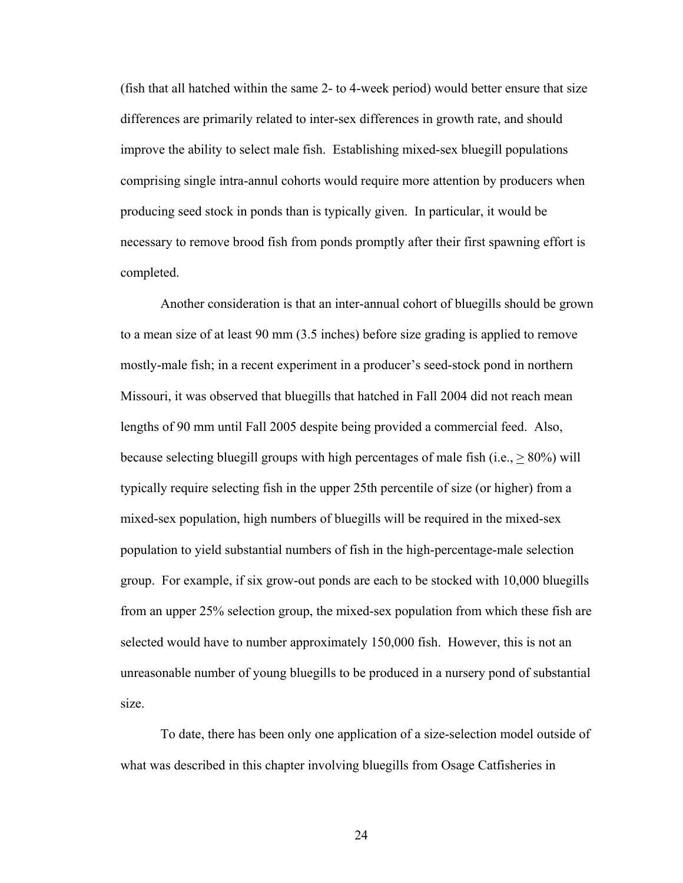(fish that all hatched within the same 2- to 4-week period) would better ensure that size differences are primarily related to inter-sex differences in growth rate, and should improve the ability to select male fish. Establishing mixed-sex bluegill populations comprising single intra-annul cohorts would require more attention by producers when producing seed stock in ponds than is typically given. In particular, it would be necessary to remove brood fish from ponds promptly after their first spawning effort is completed.

Another consideration is that an inter-annual cohort of bluegills should be grown to a mean size of at least 90 mm (3.5 inches) before size grading is applied to remove mostly-male fish; in a recent experiment in a producer's seed-stock pond in northern Missouri, it was observed that bluegills that hatched in Fall 2004 did not reach mean lengths of 90 mm until Fall 2005 despite being provided a commercial feed. Also, because selecting bluegill groups with high percentages of male fish (i.e.,  $> 80\%$ ) will typically require selecting fish in the upper 25th percentile of size (or higher) from a mixed-sex population, high numbers of bluegills will be required in the mixed-sex population to yield substantial numbers of fish in the high-percentage-male selection group. For example, if six grow-out ponds are each to be stocked with 10,000 bluegills from an upper 25% selection group, the mixed-sex population from which these fish are selected would have to number approximately 150,000 fish. However, this is not an unreasonable number of young bluegills to be produced in a nursery pond of substantial size.

To date, there has been only one application of a size-selection model outside of what was described in this chapter involving bluegills from Osage Catfisheries in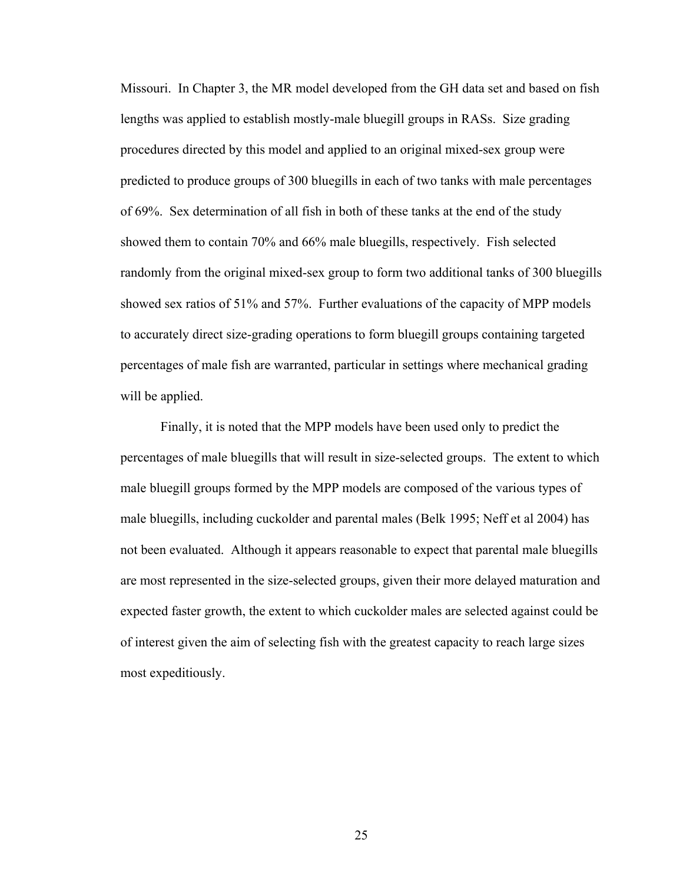Missouri. In Chapter 3, the MR model developed from the GH data set and based on fish lengths was applied to establish mostly-male bluegill groups in RASs. Size grading procedures directed by this model and applied to an original mixed-sex group were predicted to produce groups of 300 bluegills in each of two tanks with male percentages of 69%. Sex determination of all fish in both of these tanks at the end of the study showed them to contain 70% and 66% male bluegills, respectively. Fish selected randomly from the original mixed-sex group to form two additional tanks of 300 bluegills showed sex ratios of 51% and 57%. Further evaluations of the capacity of MPP models to accurately direct size-grading operations to form bluegill groups containing targeted percentages of male fish are warranted, particular in settings where mechanical grading will be applied.

Finally, it is noted that the MPP models have been used only to predict the percentages of male bluegills that will result in size-selected groups. The extent to which male bluegill groups formed by the MPP models are composed of the various types of male bluegills, including cuckolder and parental males (Belk 1995; Neff et al 2004) has not been evaluated. Although it appears reasonable to expect that parental male bluegills are most represented in the size-selected groups, given their more delayed maturation and expected faster growth, the extent to which cuckolder males are selected against could be of interest given the aim of selecting fish with the greatest capacity to reach large sizes most expeditiously.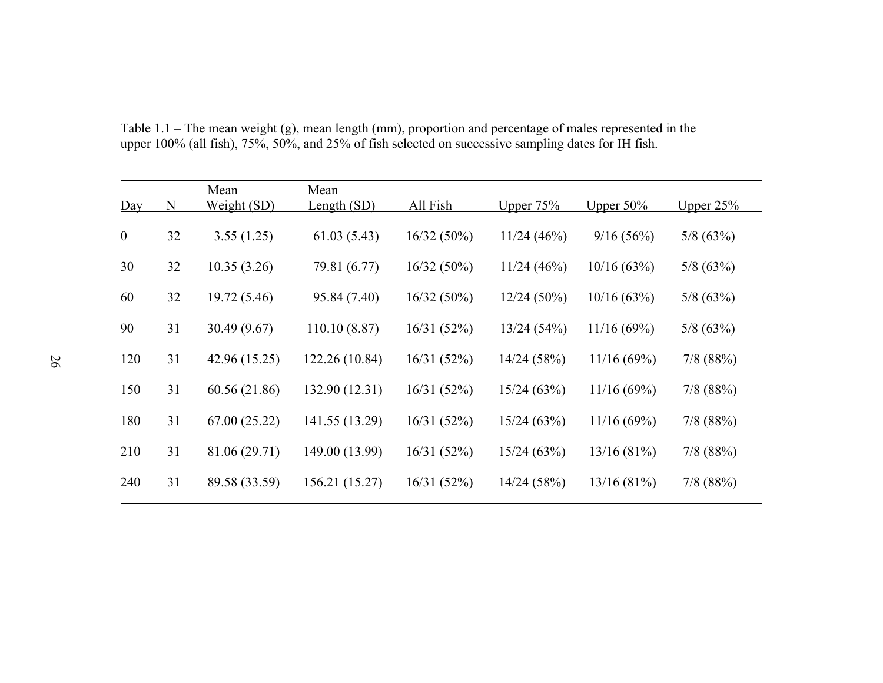| Day              | N  | Mean<br>Weight (SD) | Mean<br>Length $(SD)$ | All Fish      | Upper $75%$   | Upper $50\%$ | Upper $25%$ |
|------------------|----|---------------------|-----------------------|---------------|---------------|--------------|-------------|
| $\boldsymbol{0}$ | 32 | 3.55(1.25)          | 61.03(5.43)           | $16/32(50\%)$ | 11/24(46%)    | 9/16(56%)    | 5/8(63%)    |
| 30               | 32 | 10.35(3.26)         | 79.81 (6.77)          | $16/32(50\%)$ | 11/24(46%)    | 10/16(63%)   | 5/8(63%)    |
| 60               | 32 | 19.72 (5.46)        | 95.84 (7.40)          | $16/32(50\%)$ | $12/24(50\%)$ | 10/16(63%)   | 5/8(63%)    |
| 90               | 31 | 30.49(9.67)         | 110.10(8.87)          | 16/31(52%)    | 13/24(54%)    | 11/16(69%)   | 5/8(63%)    |
| 120              | 31 | 42.96 (15.25)       | 122.26 (10.84)        | 16/31(52%)    | 14/24(58%)    | 11/16(69%)   | $7/8$ (88%) |
| 150              | 31 | 60.56 (21.86)       | 132.90 (12.31)        | 16/31(52%)    | 15/24(63%)    | 11/16(69%)   | $7/8$ (88%) |
| 180              | 31 | 67.00(25.22)        | 141.55 (13.29)        | 16/31(52%)    | 15/24(63%)    | 11/16(69%)   | $7/8$ (88%) |
| 210              | 31 | 81.06 (29.71)       | 149.00 (13.99)        | 16/31(52%)    | 15/24(63%)    | 13/16(81%)   | $7/8$ (88%) |
| 240              | 31 | 89.58 (33.59)       | 156.21 (15.27)        | 16/31(52%)    | 14/24(58%)    | 13/16(81%)   | $7/8$ (88%) |

Table 1.1 – The mean weight (g), mean length (mm), proportion and percentage of males represented in the upper 100% (all fish), 75%, 50%, and 25% of fish selected on successive sampling dates for IH fish.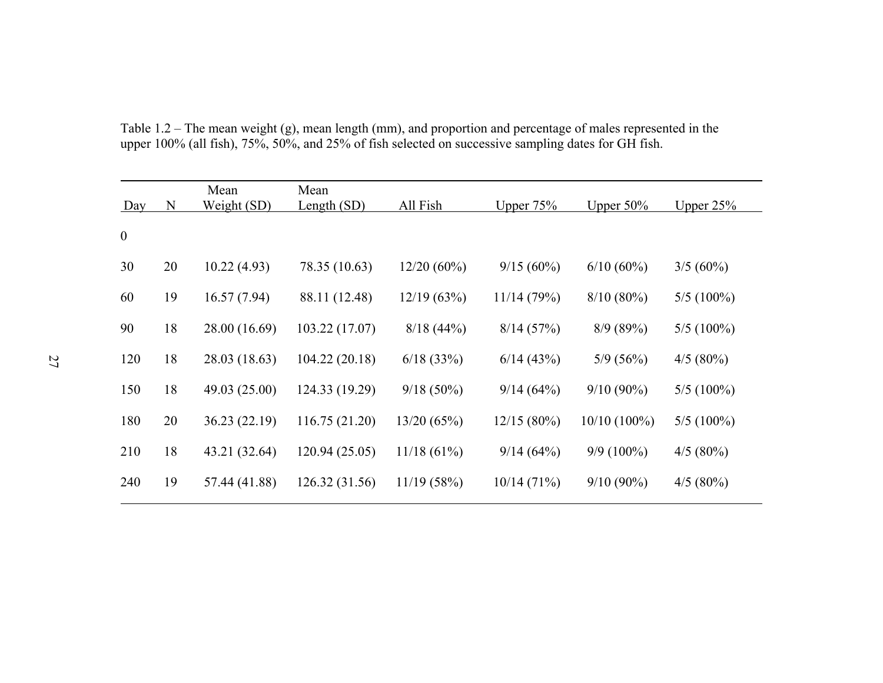| Day              | N  | Mean<br>Weight (SD) | Mean<br>Length $(SD)$ | All Fish      | Upper $75%$   | Upper $50\%$   | Upper $25%$  |
|------------------|----|---------------------|-----------------------|---------------|---------------|----------------|--------------|
| $\boldsymbol{0}$ |    |                     |                       |               |               |                |              |
| 30               | 20 | 10.22(4.93)         | 78.35 (10.63)         | $12/20(60\%)$ | $9/15(60\%)$  | $6/10(60\%)$   | $3/5(60\%)$  |
| 60               | 19 | 16.57(7.94)         | 88.11 (12.48)         | 12/19(63%)    | 11/14(79%)    | $8/10(80\%)$   | $5/5(100\%)$ |
| 90               | 18 | 28.00 (16.69)       | 103.22(17.07)         | 8/18(44%)     | 8/14(57%)     | 8/9(89%)       | $5/5(100\%)$ |
| 120              | 18 | 28.03 (18.63)       | 104.22(20.18)         | 6/18(33%)     | 6/14(43%)     | 5/9(56%)       | $4/5(80\%)$  |
| 150              | 18 | 49.03 (25.00)       | 124.33 (19.29)        | $9/18(50\%)$  | 9/14(64%)     | $9/10(90\%)$   | $5/5(100\%)$ |
| 180              | 20 | 36.23 (22.19)       | 116.75(21.20)         | 13/20(65%)    | $12/15(80\%)$ | $10/10(100\%)$ | $5/5(100\%)$ |
| 210              | 18 | 43.21 (32.64)       | 120.94(25.05)         | 11/18(61%)    | 9/14(64%)     | $9/9(100\%)$   | $4/5(80\%)$  |
| 240              | 19 | 57.44 (41.88)       | 126.32(31.56)         | 11/19(58%)    | 10/14(71%)    | $9/10(90\%)$   | $4/5(80\%)$  |

Table 1.2 – The mean weight (g), mean length (mm), and proportion and percentage of males represented in the upper 100% (all fish), 75%, 50%, and 25% of fish selected on successive sampling dates for GH fish.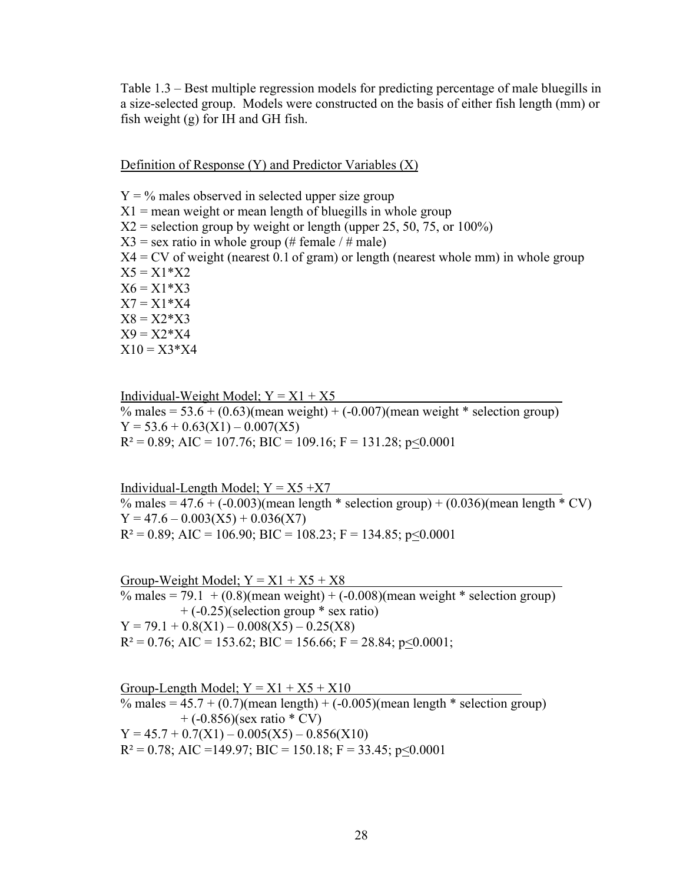Table 1.3 – Best multiple regression models for predicting percentage of male bluegills in a size-selected group. Models were constructed on the basis of either fish length (mm) or fish weight (g) for IH and GH fish.

Definition of Response (Y) and Predictor Variables (X)

 $Y = \%$  males observed in selected upper size group  $X1$  = mean weight or mean length of bluegills in whole group  $X2$  = selection group by weight or length (upper 25, 50, 75, or 100%)  $X3$  = sex ratio in whole group (# female / # male)  $X4 = CV$  of weight (nearest 0.1 of gram) or length (nearest whole mm) in whole group  $X5 = X1*X2$  $X6 = X1 * X3$  $X7 = X1*X4$  $X8 = X2*X3$  $X9 = X2*X4$  $X10 = X3*X4$ 

Individual-Weight Model;  $Y = X1 + X5$ % males =  $53.6 + (0.63)$ (mean weight) +  $(-0.007)$ (mean weight \* selection group)  $Y = 53.6 + 0.63(X1) - 0.007(X5)$  $R^2 = 0.89$ ; AIC = 107.76; BIC = 109.16; F = 131.28; p < 0.0001

Individual-Length Model;  $Y = X5 + X7$ % males = 47.6 + (-0.003)(mean length \* selection group) +  $(0.036)$ (mean length \* CV)  $Y = 47.6 - 0.003(X5) + 0.036(X7)$  $R^2 = 0.89$ ; AIC = 106.90; BIC = 108.23; F = 134.85; p<0.0001

Group-Weight Model;  $Y = X1 + X5 + X8$ % males =  $79.1 + (0.8)$ (mean weight) + (-0.008)(mean weight \* selection group)  $+$  (-0.25)(selection group  $*$  sex ratio)  $Y = 79.1 + 0.8(X1) - 0.008(X5) - 0.25(X8)$  $R^2 = 0.76$ ; AIC = 153.62; BIC = 156.66; F = 28.84; p $\leq 0.0001$ ;

Group-Length Model;  $Y = X1 + X5 + X10$ % males =  $45.7 + (0.7)$ (mean length) +  $(-0.005)$ (mean length \* selection group)  $+$  (-0.856)(sex ratio  $*$  CV)  $Y = 45.7 + 0.7(X1) - 0.005(X5) - 0.856(X10)$  $R^2 = 0.78$ ; AIC = 149.97; BIC = 150.18; F = 33.45; p < 0.0001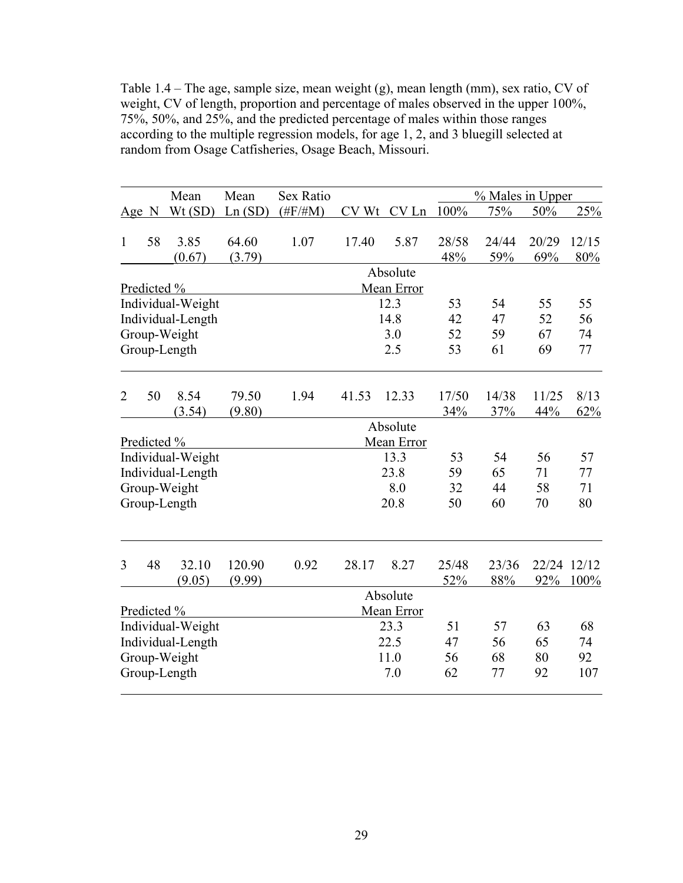Table 1.4 – The age, sample size, mean weight (g), mean length (mm), sex ratio, CV of weight, CV of length, proportion and percentage of males observed in the upper 100%, 75%, 50%, and 25%, and the predicted percentage of males within those ranges according to the multiple regression models, for age 1, 2, and 3 bluegill selected at random from Osage Catfisheries, Osage Beach, Missouri.

|                |    | Mean              | Mean            | Sex Ratio   |       |            |              | % Males in Upper |              |              |
|----------------|----|-------------------|-----------------|-------------|-------|------------|--------------|------------------|--------------|--------------|
| $Age$ N        |    | Wt(SD)            | Ln(SD)          | $(\#F/\#M)$ | CV Wt | CV Ln 100% |              | 75%              | 50%          | 25%          |
| $\mathbf{1}$   | 58 | 3.85<br>(0.67)    | 64.60<br>(3.79) | 1.07        | 17.40 | 5.87       | 28/58<br>48% | 24/44<br>59%     | 20/29<br>69% | 12/15<br>80% |
|                |    |                   |                 |             |       | Absolute   |              |                  |              |              |
| Predicted %    |    |                   |                 |             |       | Mean Error |              |                  |              |              |
|                |    | Individual-Weight |                 |             |       | 12.3       | 53           | 54               | 55           | 55           |
|                |    | Individual-Length |                 |             |       | 14.8       | 42           | 47               | 52           | 56           |
|                |    | Group-Weight      |                 |             |       | 3.0        | 52           | 59               | 67           | 74           |
|                |    | Group-Length      |                 |             |       | 2.5        | 53           | 61               | 69           | 77           |
| $\overline{2}$ | 50 | 8.54<br>(3.54)    | 79.50<br>(9.80) | 1.94        | 41.53 | 12.33      | 17/50<br>34% | 14/38<br>37%     | 11/25<br>44% | 8/13<br>62%  |
|                |    |                   |                 |             |       | Absolute   |              |                  |              |              |
| Predicted %    |    |                   |                 |             |       | Mean Error |              |                  |              |              |
|                |    | Individual-Weight |                 |             |       | 13.3       | 53           | 54               | 56           | 57           |
|                |    | Individual-Length |                 |             |       | 23.8       | 59           | 65               | 71           | 77           |
|                |    | Group-Weight      |                 |             |       | 8.0        | 32           | 44               | 58           | 71           |
|                |    | Group-Length      |                 |             |       | 20.8       | 50           | 60               | 70           | 80           |
|                |    |                   |                 |             |       |            |              |                  |              |              |
| 3              | 48 | 32.10             | 120.90          | 0.92        | 28.17 | 8.27       | 25/48        | 23/36            |              | 22/24 12/12  |
|                |    | (9.05)            | (9.99)          |             |       |            | 52%          | 88%              | 92%          | 100%         |
|                |    |                   |                 |             |       | Absolute   |              |                  |              |              |
| Predicted %    |    |                   |                 |             |       | Mean Error |              |                  |              |              |
|                |    | Individual-Weight |                 |             |       | 23.3       | 51           | 57               | 63           | 68           |
|                |    | Individual-Length |                 |             |       | 22.5       | 47           | 56               | 65           | 74           |
|                |    | Group-Weight      |                 |             |       | 11.0       | 56           | 68               | 80           | 92           |
|                |    | Group-Length      |                 |             |       | 7.0        | 62           | 77               | 92           | 107          |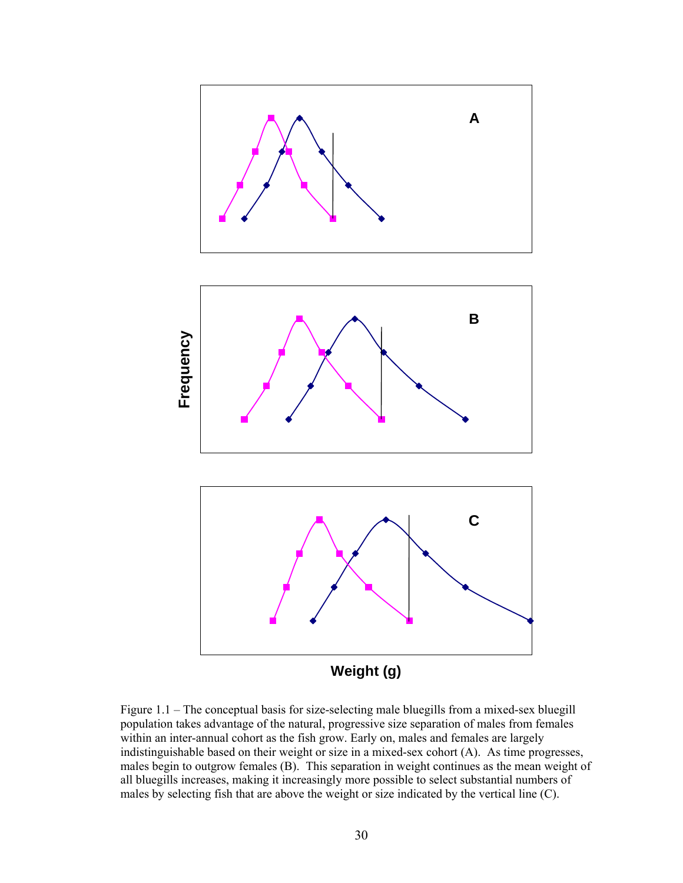

Figure 1.1 – The conceptual basis for size-selecting male bluegills from a mixed-sex bluegill population takes advantage of the natural, progressive size separation of males from females within an inter-annual cohort as the fish grow. Early on, males and females are largely indistinguishable based on their weight or size in a mixed-sex cohort (A). As time progresses, males begin to outgrow females (B). This separation in weight continues as the mean weight of all bluegills increases, making it increasingly more possible to select substantial numbers of males by selecting fish that are above the weight or size indicated by the vertical line (C).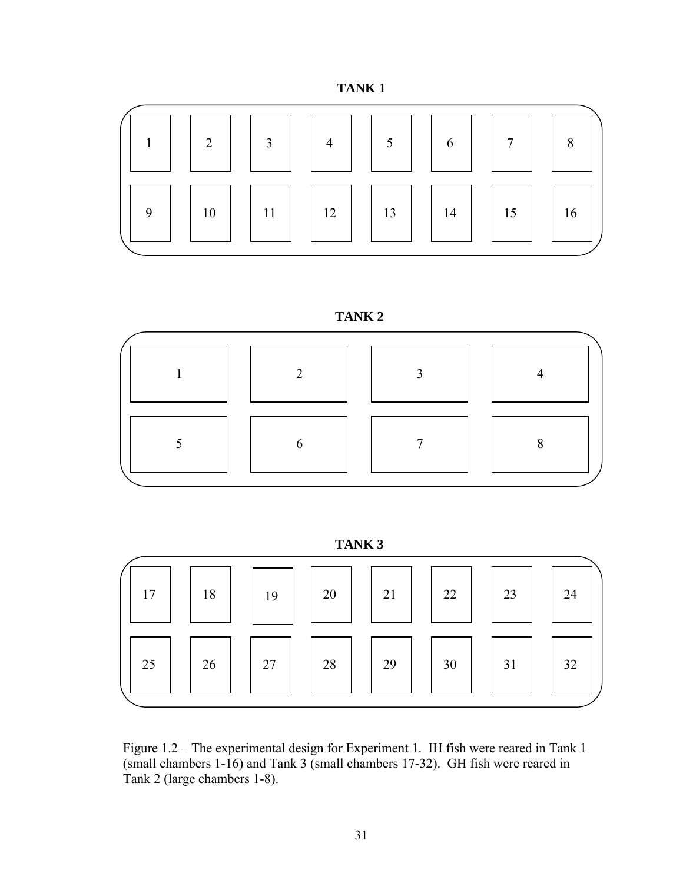







 **TANK 3** 

| 17 | 18 | 19 | 20 | 21 | 22 | 23 | 24 |
|----|----|----|----|----|----|----|----|
| 25 | 26 | 27 | 28 | 29 | 30 | 31 | 32 |

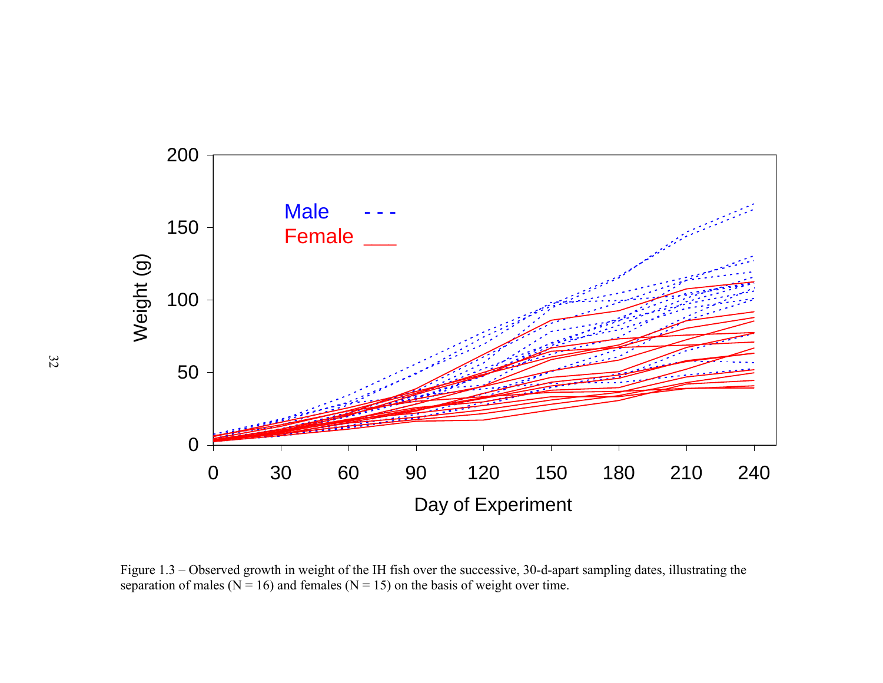

Figure 1.3 – Observed growth in weight of the IH fish over the successive, 30-d-apart sampling dates, illustrating the separation of males ( $N = 16$ ) and females ( $N = 15$ ) on the basis of weight over time.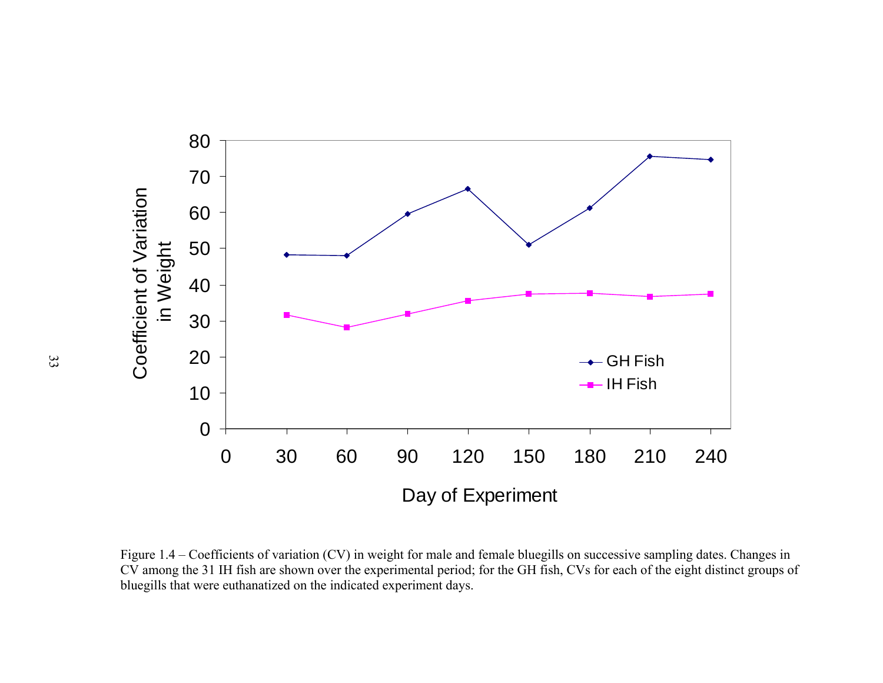

Figure 1.4 – Coefficients of variation (CV) in weight for male and female bluegills on successive sampling dates. Changes in CV among the 31 IH fish are shown over the experimental period; for the GH fish, CVs for each of the eight distinct groups of bluegills that were euthanatized on the indicated experiment days.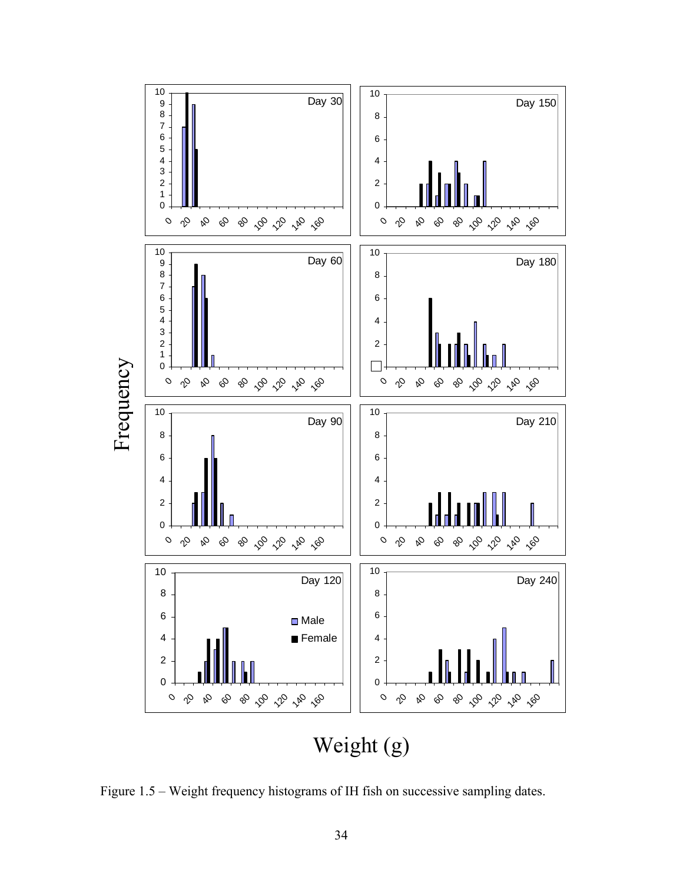

Figure 1.5 – Weight frequency histograms of IH fish on successive sampling dates.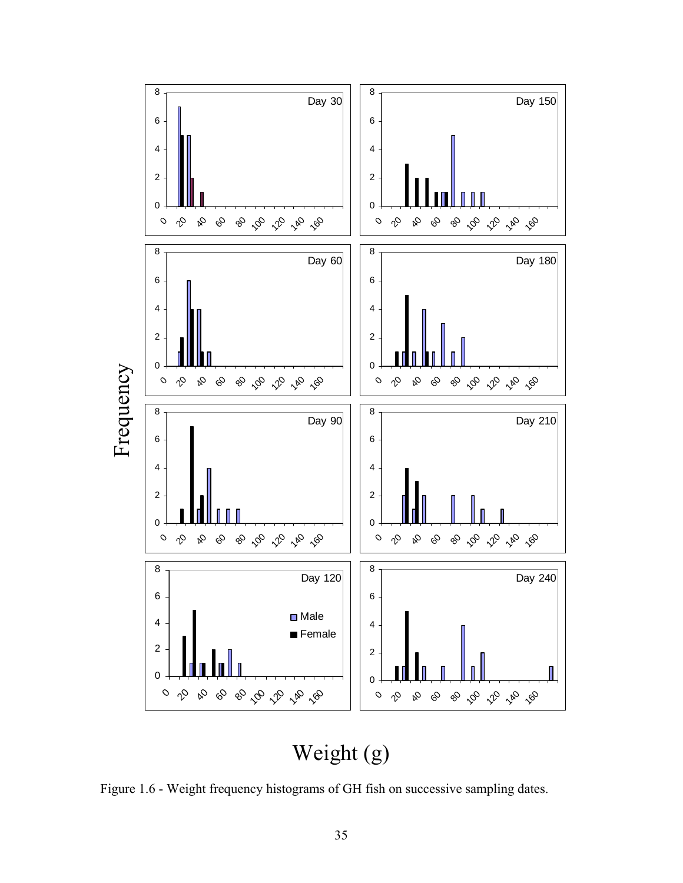

# Weight (g)

Figure 1.6 - Weight frequency histograms of GH fish on successive sampling dates.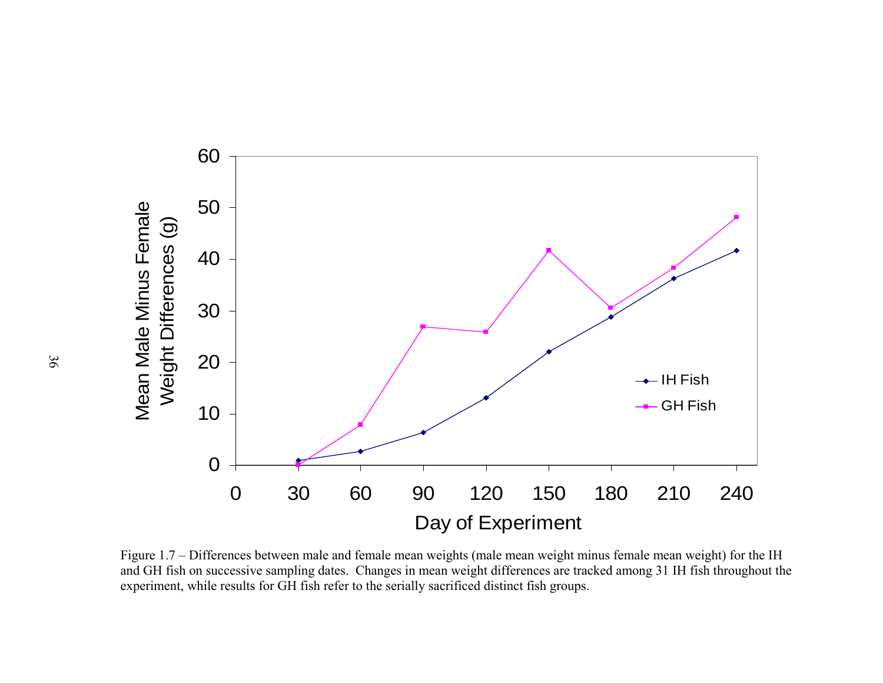

Figure 1.7 – Differences between male and female mean weights (male mean weight minus female mean weight) for the IH and GH fish on successive sampling dates. Changes in mean weight differences are tracked among 31 IH fish throughout the experiment, while results for GH fish refer to the serially sacrificed distinct fish groups.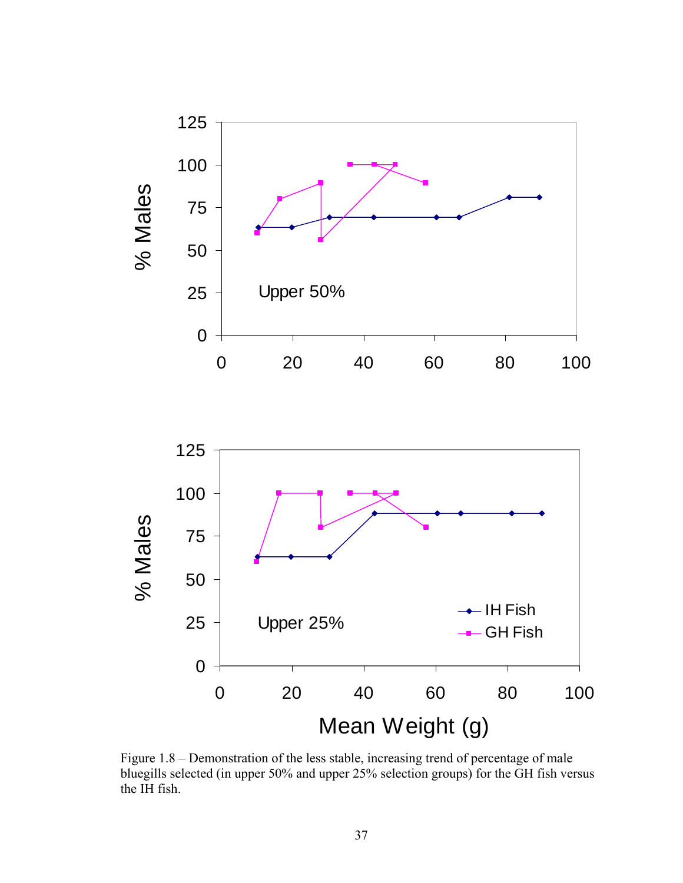



Figure 1.8 – Demonstration of the less stable, increasing trend of percentage of male bluegills selected (in upper 50% and upper 25% selection groups) for the GH fish versus the IH fish.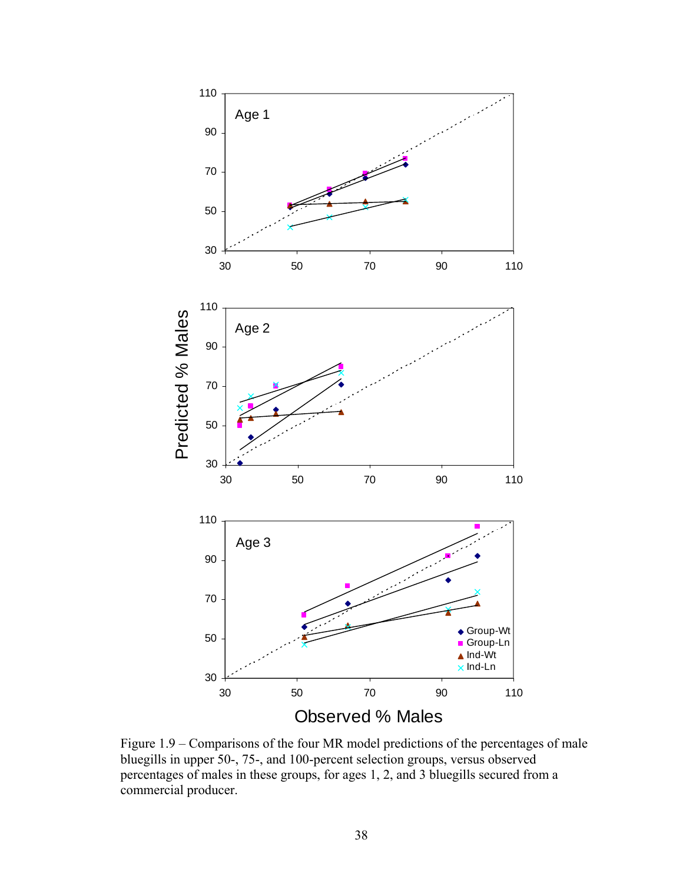

Figure 1.9 – Comparisons of the four MR model predictions of the percentages of male bluegills in upper 50-, 75-, and 100-percent selection groups, versus observed percentages of males in these groups, for ages 1, 2, and 3 bluegills secured from a commercial producer.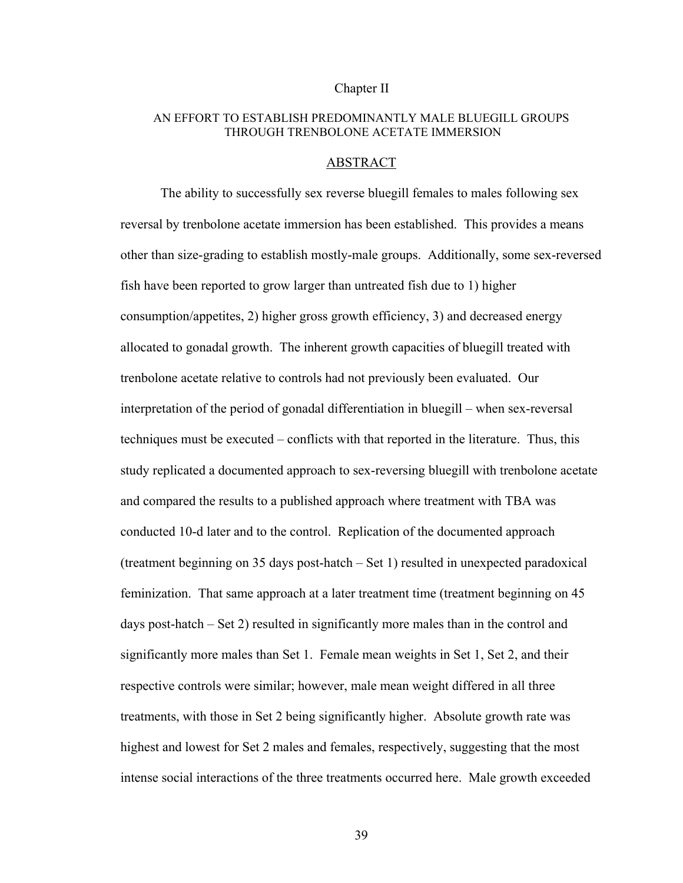## Chapter II

# AN EFFORT TO ESTABLISH PREDOMINANTLY MALE BLUEGILL GROUPS THROUGH TRENBOLONE ACETATE IMMERSION

#### ABSTRACT

The ability to successfully sex reverse bluegill females to males following sex reversal by trenbolone acetate immersion has been established. This provides a means other than size-grading to establish mostly-male groups. Additionally, some sex-reversed fish have been reported to grow larger than untreated fish due to 1) higher consumption/appetites, 2) higher gross growth efficiency, 3) and decreased energy allocated to gonadal growth. The inherent growth capacities of bluegill treated with trenbolone acetate relative to controls had not previously been evaluated. Our interpretation of the period of gonadal differentiation in bluegill – when sex-reversal techniques must be executed – conflicts with that reported in the literature. Thus, this study replicated a documented approach to sex-reversing bluegill with trenbolone acetate and compared the results to a published approach where treatment with TBA was conducted 10-d later and to the control. Replication of the documented approach (treatment beginning on 35 days post-hatch – Set 1) resulted in unexpected paradoxical feminization. That same approach at a later treatment time (treatment beginning on 45 days post-hatch – Set 2) resulted in significantly more males than in the control and significantly more males than Set 1. Female mean weights in Set 1, Set 2, and their respective controls were similar; however, male mean weight differed in all three treatments, with those in Set 2 being significantly higher. Absolute growth rate was highest and lowest for Set 2 males and females, respectively, suggesting that the most intense social interactions of the three treatments occurred here. Male growth exceeded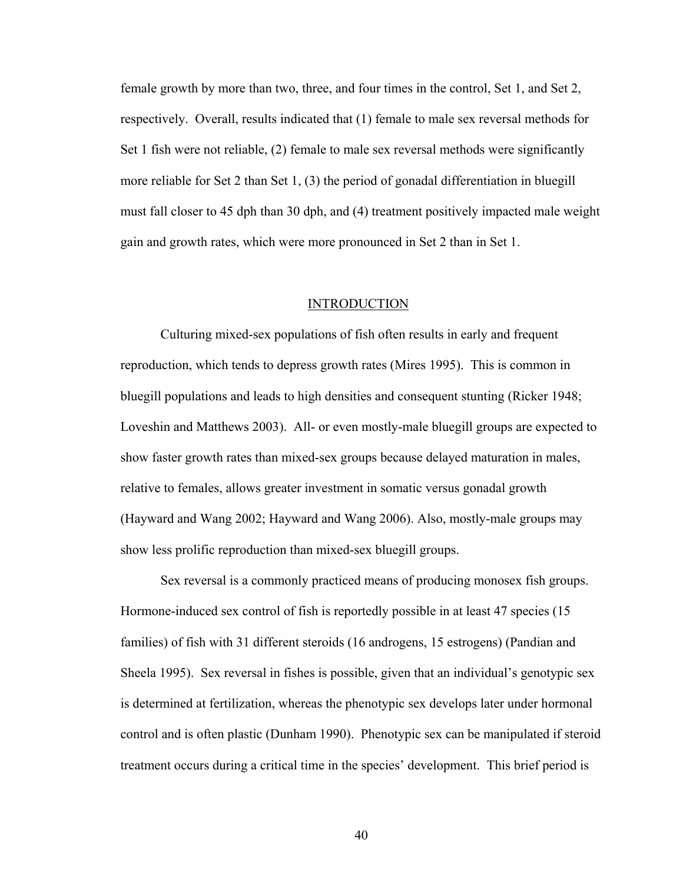female growth by more than two, three, and four times in the control, Set 1, and Set 2, respectively. Overall, results indicated that (1) female to male sex reversal methods for Set 1 fish were not reliable, (2) female to male sex reversal methods were significantly more reliable for Set 2 than Set 1, (3) the period of gonadal differentiation in bluegill must fall closer to 45 dph than 30 dph, and (4) treatment positively impacted male weight gain and growth rates, which were more pronounced in Set 2 than in Set 1.

# **INTRODUCTION**

Culturing mixed-sex populations of fish often results in early and frequent reproduction, which tends to depress growth rates (Mires 1995). This is common in bluegill populations and leads to high densities and consequent stunting (Ricker 1948; Loveshin and Matthews 2003). All- or even mostly-male bluegill groups are expected to show faster growth rates than mixed-sex groups because delayed maturation in males, relative to females, allows greater investment in somatic versus gonadal growth (Hayward and Wang 2002; Hayward and Wang 2006). Also, mostly-male groups may show less prolific reproduction than mixed-sex bluegill groups.

Sex reversal is a commonly practiced means of producing monosex fish groups. Hormone-induced sex control of fish is reportedly possible in at least 47 species (15 families) of fish with 31 different steroids (16 androgens, 15 estrogens) (Pandian and Sheela 1995).Sex reversal in fishes is possible, given that an individual's genotypic sex is determined at fertilization, whereas the phenotypic sex develops later under hormonal control and is often plastic (Dunham 1990). Phenotypic sex can be manipulated if steroid treatment occurs during a critical time in the species' development. This brief period is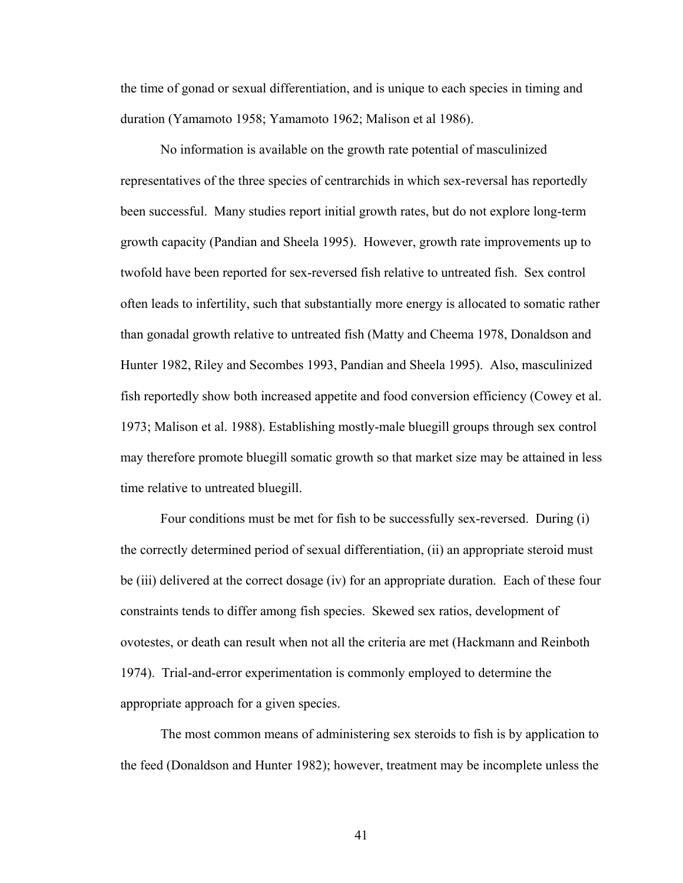the time of gonad or sexual differentiation, and is unique to each species in timing and duration (Yamamoto 1958; Yamamoto 1962; Malison et al 1986).

No information is available on the growth rate potential of masculinized representatives of the three species of centrarchids in which sex-reversal has reportedly been successful. Many studies report initial growth rates, but do not explore long-term growth capacity (Pandian and Sheela 1995). However, growth rate improvements up to twofold have been reported for sex-reversed fish relative to untreated fish. Sex control often leads to infertility, such that substantially more energy is allocated to somatic rather than gonadal growth relative to untreated fish (Matty and Cheema 1978, Donaldson and Hunter 1982, Riley and Secombes 1993, Pandian and Sheela 1995). Also, masculinized fish reportedly show both increased appetite and food conversion efficiency (Cowey et al. 1973; Malison et al. 1988). Establishing mostly-male bluegill groups through sex control may therefore promote bluegill somatic growth so that market size may be attained in less time relative to untreated bluegill.

Four conditions must be met for fish to be successfully sex-reversed. During (i) the correctly determined period of sexual differentiation, (ii) an appropriate steroid must be (iii) delivered at the correct dosage (iv) for an appropriate duration. Each of these four constraints tends to differ among fish species. Skewed sex ratios, development of ovotestes, or death can result when not all the criteria are met (Hackmann and Reinboth 1974). Trial-and-error experimentation is commonly employed to determine the appropriate approach for a given species.

The most common means of administering sex steroids to fish is by application to the feed (Donaldson and Hunter 1982); however, treatment may be incomplete unless the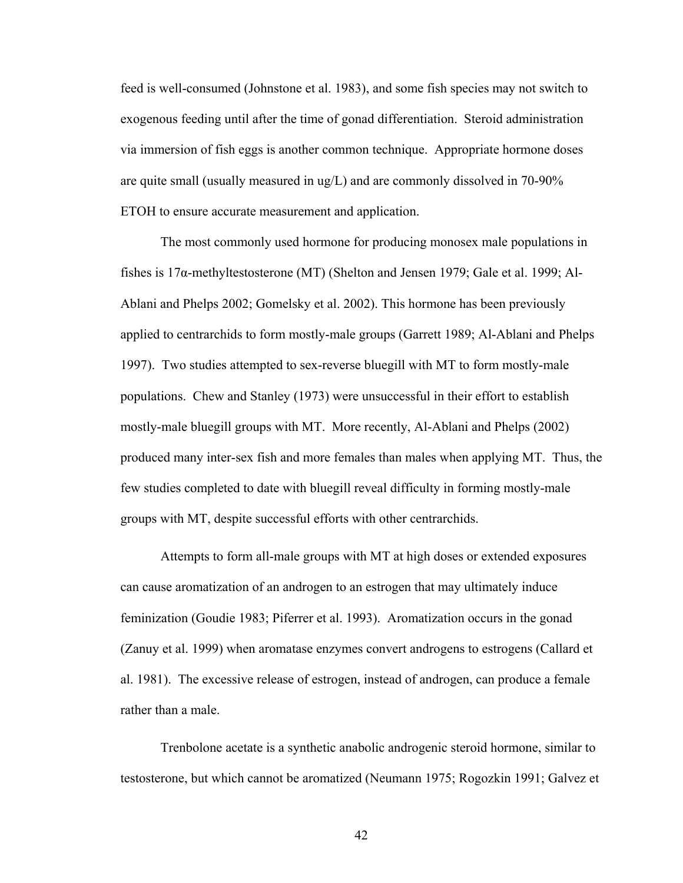feed is well-consumed (Johnstone et al. 1983), and some fish species may not switch to exogenous feeding until after the time of gonad differentiation. Steroid administration via immersion of fish eggs is another common technique. Appropriate hormone doses are quite small (usually measured in ug/L) and are commonly dissolved in 70-90% ETOH to ensure accurate measurement and application.

The most commonly used hormone for producing monosex male populations in fishes is 17α-methyltestosterone (MT) (Shelton and Jensen 1979; Gale et al. 1999; Al-Ablani and Phelps 2002; Gomelsky et al. 2002). This hormone has been previously applied to centrarchids to form mostly-male groups (Garrett 1989; Al-Ablani and Phelps 1997). Two studies attempted to sex-reverse bluegill with MT to form mostly-male populations. Chew and Stanley (1973) were unsuccessful in their effort to establish mostly-male bluegill groups with MT. More recently, Al-Ablani and Phelps (2002) produced many inter-sex fish and more females than males when applying MT. Thus, the few studies completed to date with bluegill reveal difficulty in forming mostly-male groups with MT, despite successful efforts with other centrarchids.

Attempts to form all-male groups with MT at high doses or extended exposures can cause aromatization of an androgen to an estrogen that may ultimately induce feminization (Goudie 1983; Piferrer et al. 1993). Aromatization occurs in the gonad (Zanuy et al. 1999) when aromatase enzymes convert androgens to estrogens (Callard et al. 1981). The excessive release of estrogen, instead of androgen, can produce a female rather than a male.

Trenbolone acetate is a synthetic anabolic androgenic steroid hormone, similar to testosterone, but which cannot be aromatized (Neumann 1975; Rogozkin 1991; Galvez et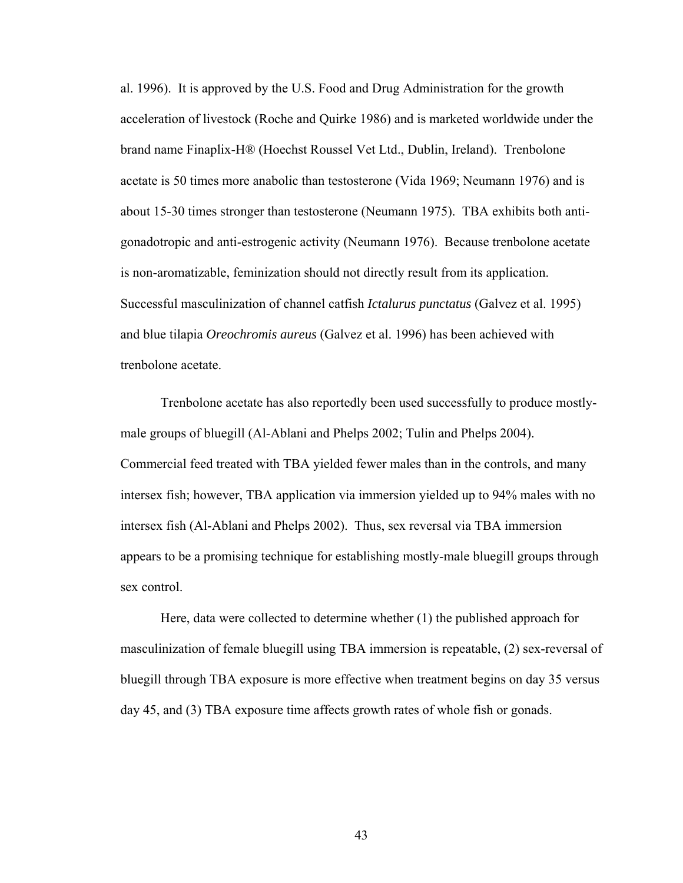al. 1996). It is approved by the U.S. Food and Drug Administration for the growth acceleration of livestock (Roche and Quirke 1986) and is marketed worldwide under the brand name Finaplix-H® (Hoechst Roussel Vet Ltd., Dublin, Ireland). Trenbolone acetate is 50 times more anabolic than testosterone (Vida 1969; Neumann 1976) and is about 15-30 times stronger than testosterone (Neumann 1975). TBA exhibits both antigonadotropic and anti-estrogenic activity (Neumann 1976). Because trenbolone acetate is non-aromatizable, feminization should not directly result from its application. Successful masculinization of channel catfish *Ictalurus punctatus* (Galvez et al. 1995) and blue tilapia *Oreochromis aureus* (Galvez et al. 1996) has been achieved with trenbolone acetate.

Trenbolone acetate has also reportedly been used successfully to produce mostlymale groups of bluegill (Al-Ablani and Phelps 2002; Tulin and Phelps 2004). Commercial feed treated with TBA yielded fewer males than in the controls, and many intersex fish; however, TBA application via immersion yielded up to 94% males with no intersex fish (Al-Ablani and Phelps 2002). Thus, sex reversal via TBA immersion appears to be a promising technique for establishing mostly-male bluegill groups through sex control.

Here, data were collected to determine whether (1) the published approach for masculinization of female bluegill using TBA immersion is repeatable, (2) sex-reversal of bluegill through TBA exposure is more effective when treatment begins on day 35 versus day 45, and (3) TBA exposure time affects growth rates of whole fish or gonads.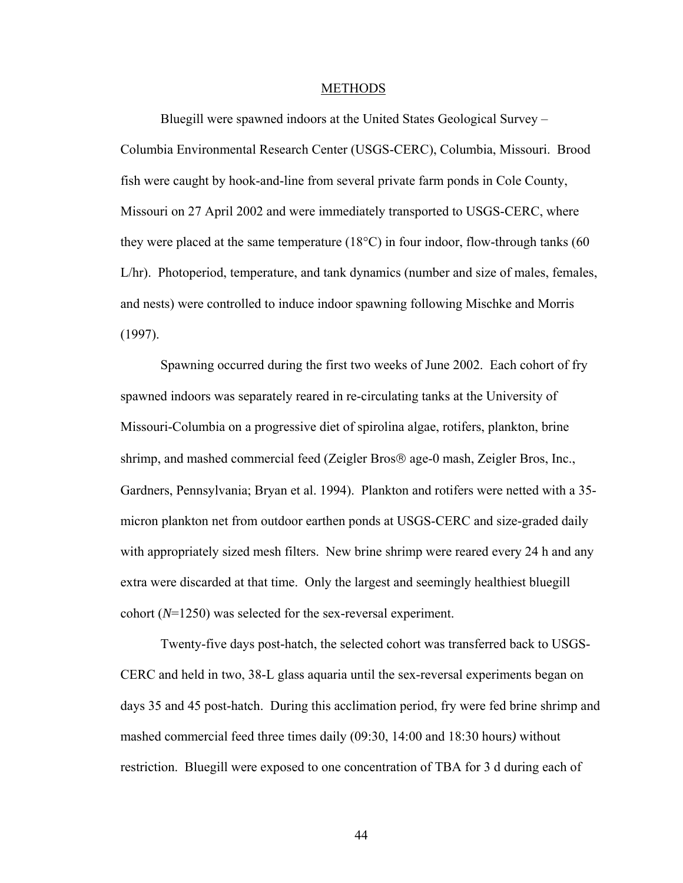#### METHODS

Bluegill were spawned indoors at the United States Geological Survey – Columbia Environmental Research Center (USGS-CERC), Columbia, Missouri. Brood fish were caught by hook-and-line from several private farm ponds in Cole County, Missouri on 27 April 2002 and were immediately transported to USGS-CERC, where they were placed at the same temperature  $(18^{\circ}C)$  in four indoor, flow-through tanks (60 L/hr). Photoperiod, temperature, and tank dynamics (number and size of males, females, and nests) were controlled to induce indoor spawning following Mischke and Morris (1997).

Spawning occurred during the first two weeks of June 2002. Each cohort of fry spawned indoors was separately reared in re-circulating tanks at the University of Missouri-Columbia on a progressive diet of spirolina algae, rotifers, plankton, brine shrimp, and mashed commercial feed (Zeigler Bros® age-0 mash, Zeigler Bros, Inc., Gardners, Pennsylvania; Bryan et al. 1994).Plankton and rotifers were netted with a 35 micron plankton net from outdoor earthen ponds at USGS-CERC and size-graded daily with appropriately sized mesh filters. New brine shrimp were reared every 24 h and any extra were discarded at that time. Only the largest and seemingly healthiest bluegill cohort (*N*=1250) was selected for the sex-reversal experiment.

Twenty-five days post-hatch, the selected cohort was transferred back to USGS-CERC and held in two, 38-L glass aquaria until the sex-reversal experiments began on days 35 and 45 post-hatch. During this acclimation period, fry were fed brine shrimp and mashed commercial feed three times daily (09:30, 14:00 and 18:30 hours*)* without restriction. Bluegill were exposed to one concentration of TBA for 3 d during each of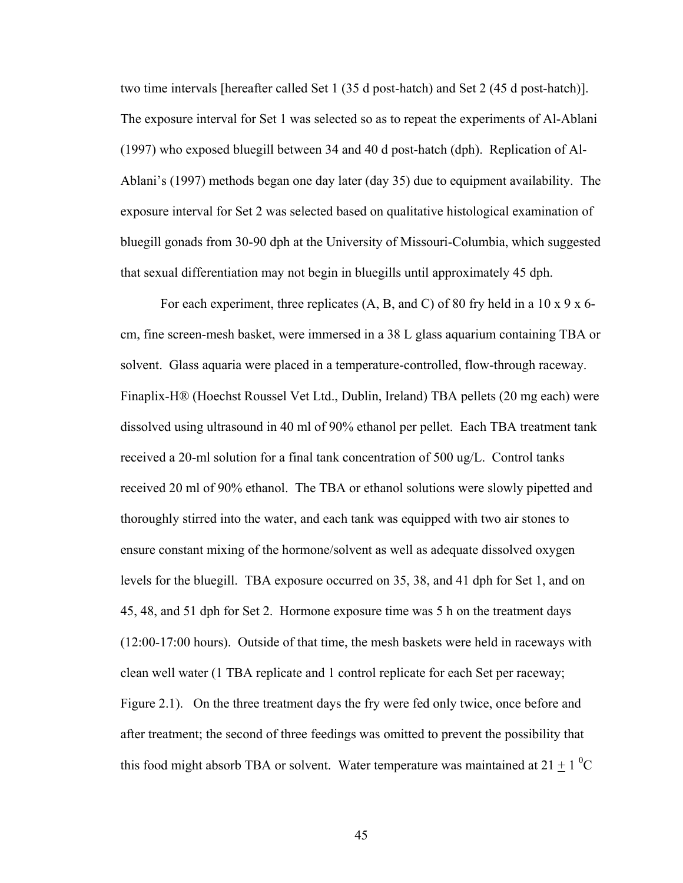two time intervals [hereafter called Set 1 (35 d post-hatch) and Set 2 (45 d post-hatch)]. The exposure interval for Set 1 was selected so as to repeat the experiments of Al-Ablani (1997) who exposed bluegill between 34 and 40 d post-hatch (dph). Replication of Al-Ablani's (1997) methods began one day later (day 35) due to equipment availability. The exposure interval for Set 2 was selected based on qualitative histological examination of bluegill gonads from 30-90 dph at the University of Missouri-Columbia, which suggested that sexual differentiation may not begin in bluegills until approximately 45 dph.

For each experiment, three replicates  $(A, B, and C)$  of 80 fry held in a 10 x 9 x 6cm, fine screen-mesh basket, were immersed in a 38 L glass aquarium containing TBA or solvent. Glass aquaria were placed in a temperature-controlled, flow-through raceway. Finaplix-H® (Hoechst Roussel Vet Ltd., Dublin, Ireland) TBA pellets (20 mg each) were dissolved using ultrasound in 40 ml of 90% ethanol per pellet. Each TBA treatment tank received a 20-ml solution for a final tank concentration of 500 ug/L. Control tanks received 20 ml of 90% ethanol. The TBA or ethanol solutions were slowly pipetted and thoroughly stirred into the water, and each tank was equipped with two air stones to ensure constant mixing of the hormone/solvent as well as adequate dissolved oxygen levels for the bluegill. TBA exposure occurred on 35, 38, and 41 dph for Set 1, and on 45, 48, and 51 dph for Set 2. Hormone exposure time was 5 h on the treatment days (12:00-17:00 hours). Outside of that time, the mesh baskets were held in raceways with clean well water (1 TBA replicate and 1 control replicate for each Set per raceway; Figure 2.1). On the three treatment days the fry were fed only twice, once before and after treatment; the second of three feedings was omitted to prevent the possibility that this food might absorb TBA or solvent. Water temperature was maintained at  $21 \pm 1$  <sup>0</sup>C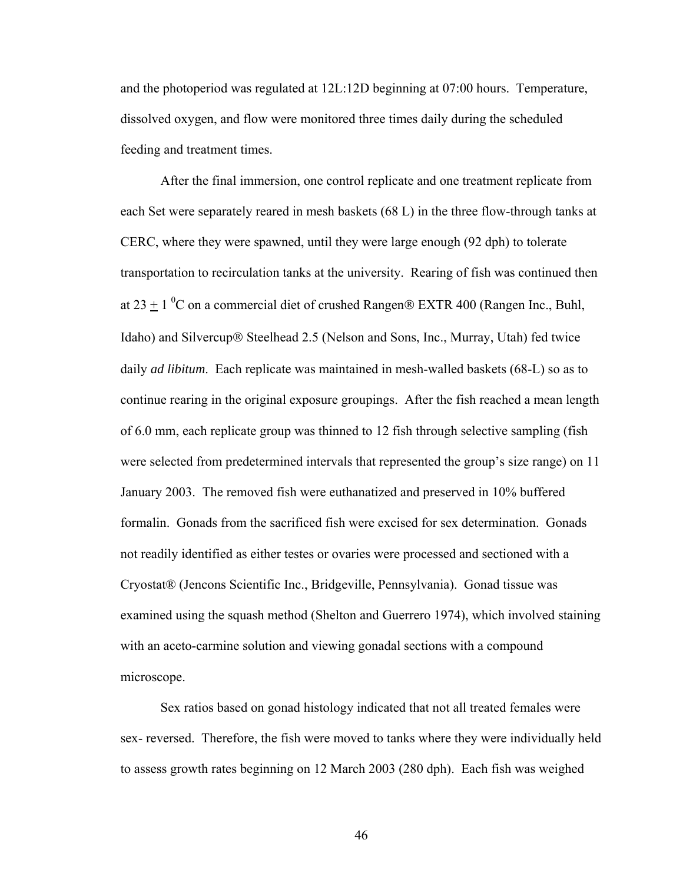and the photoperiod was regulated at 12L:12D beginning at 07:00 hours. Temperature, dissolved oxygen, and flow were monitored three times daily during the scheduled feeding and treatment times.

After the final immersion, one control replicate and one treatment replicate from each Set were separately reared in mesh baskets (68 L) in the three flow-through tanks at CERC, where they were spawned, until they were large enough (92 dph) to tolerate transportation to recirculation tanks at the university. Rearing of fish was continued then at 23  $\pm$  1 <sup>0</sup>C on a commercial diet of crushed Rangen® EXTR 400 (Rangen Inc., Buhl, Idaho) and Silvercup® Steelhead 2.5 (Nelson and Sons, Inc., Murray, Utah) fed twice daily *ad libitum*. Each replicate was maintained in mesh-walled baskets (68-L) so as to continue rearing in the original exposure groupings. After the fish reached a mean length of 6.0 mm, each replicate group was thinned to 12 fish through selective sampling (fish were selected from predetermined intervals that represented the group's size range) on 11 January 2003. The removed fish were euthanatized and preserved in 10% buffered formalin. Gonads from the sacrificed fish were excised for sex determination. Gonads not readily identified as either testes or ovaries were processed and sectioned with a Cryostat® (Jencons Scientific Inc., Bridgeville, Pennsylvania). Gonad tissue was examined using the squash method (Shelton and Guerrero 1974), which involved staining with an aceto-carmine solution and viewing gonadal sections with a compound microscope.

Sex ratios based on gonad histology indicated that not all treated females were sex- reversed. Therefore, the fish were moved to tanks where they were individually held to assess growth rates beginning on 12 March 2003 (280 dph). Each fish was weighed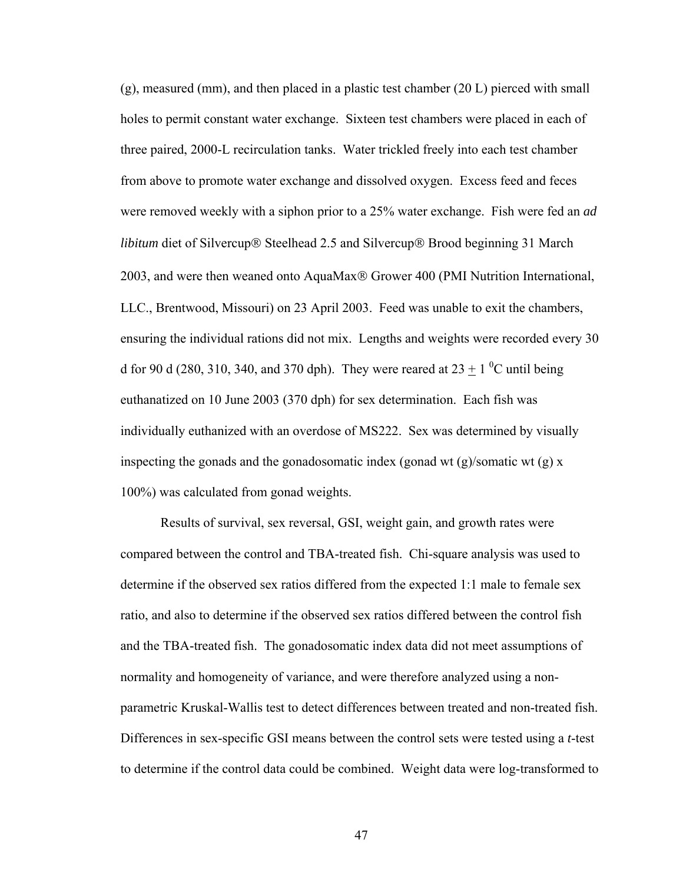(g), measured (mm), and then placed in a plastic test chamber (20 L) pierced with small holes to permit constant water exchange. Sixteen test chambers were placed in each of three paired, 2000-L recirculation tanks. Water trickled freely into each test chamber from above to promote water exchange and dissolved oxygen. Excess feed and feces were removed weekly with a siphon prior to a 25% water exchange. Fish were fed an *ad libitum* diet of Silvercup® Steelhead 2.5 and Silvercup® Brood beginning 31 March 2003, and were then weaned onto AquaMax® Grower 400 (PMI Nutrition International, LLC., Brentwood, Missouri) on 23 April 2003. Feed was unable to exit the chambers, ensuring the individual rations did not mix. Lengths and weights were recorded every 30 d for 90 d (280, 310, 340, and 370 dph). They were reared at  $23 \pm 1$  <sup>0</sup>C until being euthanatized on 10 June 2003 (370 dph) for sex determination. Each fish was individually euthanized with an overdose of MS222. Sex was determined by visually inspecting the gonads and the gonadosomatic index (gonad wt  $(g)$ /somatic wt  $(g)$  x 100%) was calculated from gonad weights.

Results of survival, sex reversal, GSI, weight gain, and growth rates were compared between the control and TBA-treated fish. Chi-square analysis was used to determine if the observed sex ratios differed from the expected 1:1 male to female sex ratio, and also to determine if the observed sex ratios differed between the control fish and the TBA-treated fish. The gonadosomatic index data did not meet assumptions of normality and homogeneity of variance, and were therefore analyzed using a nonparametric Kruskal-Wallis test to detect differences between treated and non-treated fish. Differences in sex-specific GSI means between the control sets were tested using a *t*-test to determine if the control data could be combined. Weight data were log-transformed to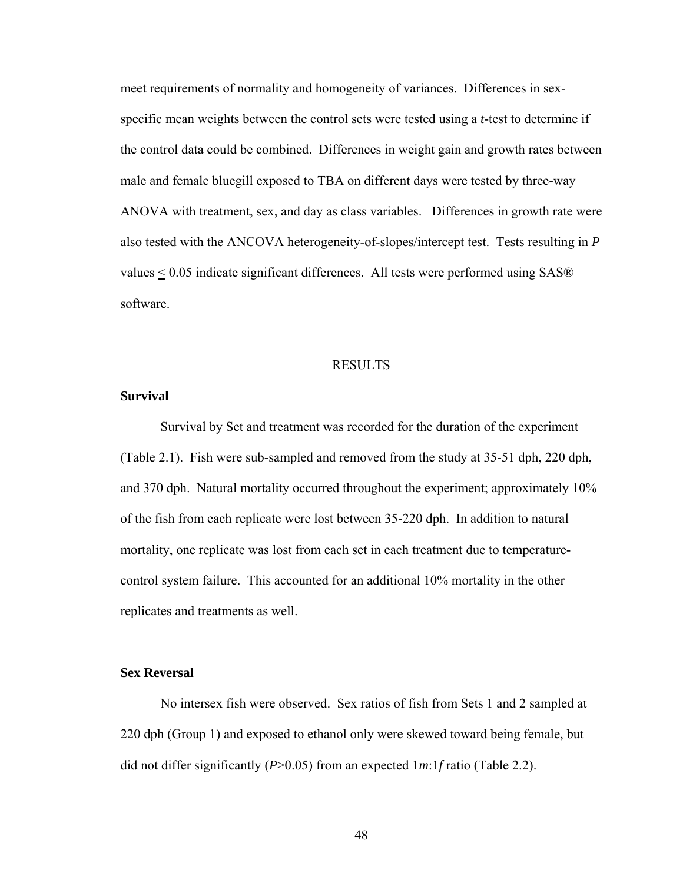meet requirements of normality and homogeneity of variances. Differences in sexspecific mean weights between the control sets were tested using a *t*-test to determine if the control data could be combined. Differences in weight gain and growth rates between male and female bluegill exposed to TBA on different days were tested by three-way ANOVA with treatment, sex, and day as class variables. Differences in growth rate were also tested with the ANCOVA heterogeneity-of-slopes/intercept test. Tests resulting in *P* values < 0.05 indicate significant differences. All tests were performed using SAS® software.

#### RESULTS

#### **Survival**

Survival by Set and treatment was recorded for the duration of the experiment (Table 2.1). Fish were sub-sampled and removed from the study at 35-51 dph, 220 dph, and 370 dph. Natural mortality occurred throughout the experiment; approximately 10% of the fish from each replicate were lost between 35-220 dph. In addition to natural mortality, one replicate was lost from each set in each treatment due to temperaturecontrol system failure. This accounted for an additional 10% mortality in the other replicates and treatments as well.

# **Sex Reversal**

No intersex fish were observed. Sex ratios of fish from Sets 1 and 2 sampled at 220 dph (Group 1) and exposed to ethanol only were skewed toward being female, but did not differ significantly (*P*>0.05) from an expected 1*m*:1*f* ratio (Table 2.2).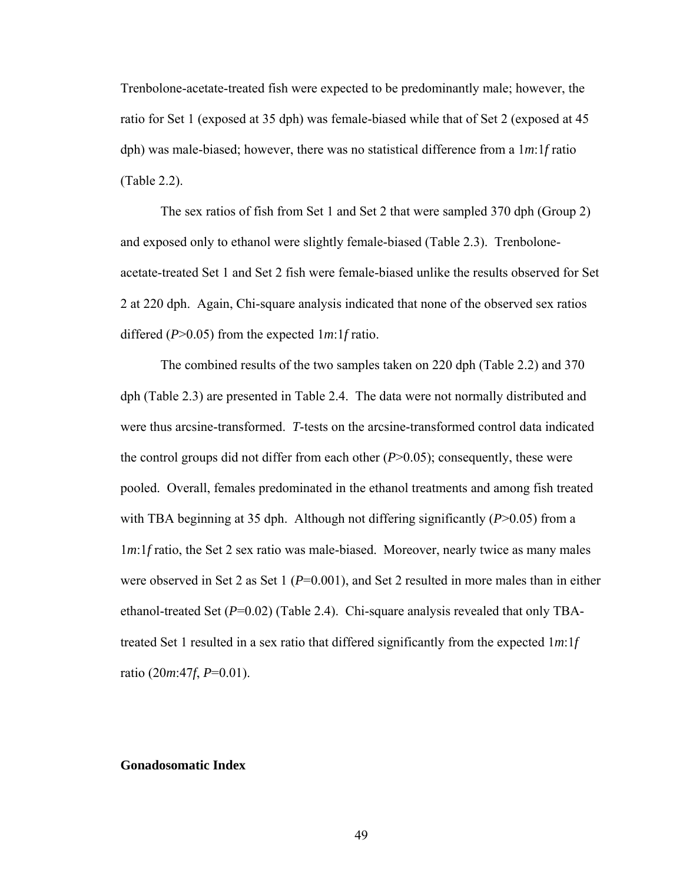Trenbolone-acetate-treated fish were expected to be predominantly male; however, the ratio for Set 1 (exposed at 35 dph) was female-biased while that of Set 2 (exposed at 45 dph) was male-biased; however, there was no statistical difference from a 1*m*:1*f* ratio (Table 2.2).

The sex ratios of fish from Set 1 and Set 2 that were sampled 370 dph (Group 2) and exposed only to ethanol were slightly female-biased (Table 2.3). Trenboloneacetate-treated Set 1 and Set 2 fish were female-biased unlike the results observed for Set 2 at 220 dph. Again, Chi-square analysis indicated that none of the observed sex ratios differed (*P*>0.05) from the expected 1*m*:1*f* ratio.

The combined results of the two samples taken on 220 dph (Table 2.2) and 370 dph (Table 2.3) are presented in Table 2.4. The data were not normally distributed and were thus arcsine-transformed. *T*-tests on the arcsine-transformed control data indicated the control groups did not differ from each other (*P*>0.05); consequently, these were pooled. Overall, females predominated in the ethanol treatments and among fish treated with TBA beginning at 35 dph. Although not differing significantly (*P*>0.05) from a 1*m*:1*f* ratio, the Set 2 sex ratio was male-biased. Moreover, nearly twice as many males were observed in Set 2 as Set 1 ( $P=0.001$ ), and Set 2 resulted in more males than in either ethanol-treated Set (*P*=0.02) (Table 2.4). Chi-square analysis revealed that only TBAtreated Set 1 resulted in a sex ratio that differed significantly from the expected 1*m*:1*f*  ratio (20*m*:47*f*, *P*=0.01).

# **Gonadosomatic Index**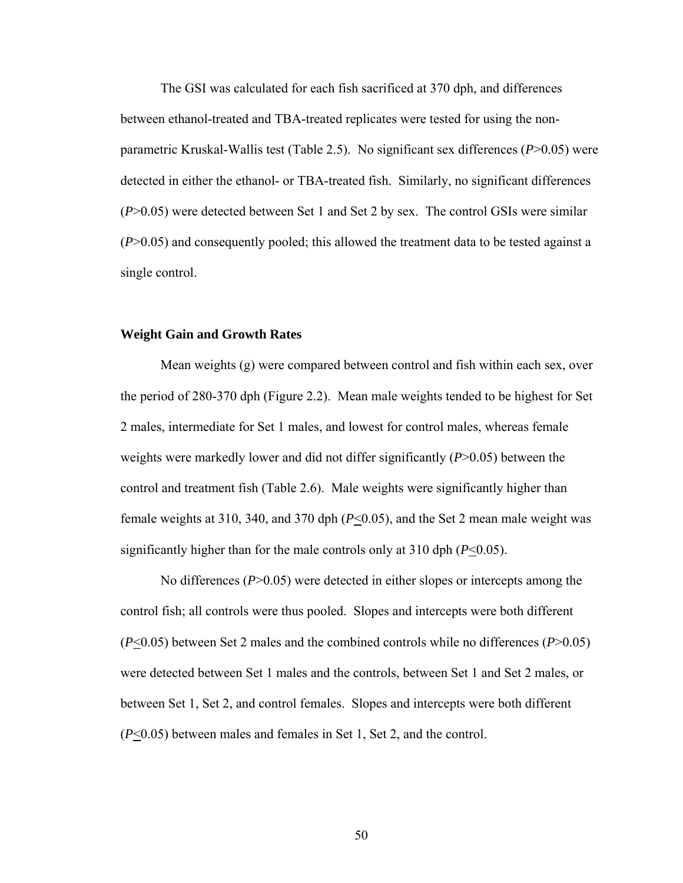The GSI was calculated for each fish sacrificed at 370 dph, and differences between ethanol-treated and TBA-treated replicates were tested for using the nonparametric Kruskal-Wallis test (Table 2.5). No significant sex differences (*P*>0.05) were detected in either the ethanol- or TBA-treated fish. Similarly, no significant differences (*P*>0.05) were detected between Set 1 and Set 2 by sex. The control GSIs were similar (*P*>0.05) and consequently pooled; this allowed the treatment data to be tested against a single control.

# **Weight Gain and Growth Rates**

 Mean weights (g) were compared between control and fish within each sex, over the period of 280-370 dph (Figure 2.2).Mean male weights tended to be highest for Set 2 males, intermediate for Set 1 males, and lowest for control males, whereas female weights were markedly lower and did not differ significantly (*P*>0.05) between the control and treatment fish (Table 2.6). Male weights were significantly higher than female weights at 310, 340, and 370 dph (*P*<0.05), and the Set 2 mean male weight was significantly higher than for the male controls only at 310 dph (*P*<0.05).

No differences (*P*>0.05) were detected in either slopes or intercepts among the control fish; all controls were thus pooled. Slopes and intercepts were both different (*P*<0.05) between Set 2 males and the combined controls while no differences (*P*>0.05) were detected between Set 1 males and the controls, between Set 1 and Set 2 males, or between Set 1, Set 2, and control females. Slopes and intercepts were both different (*P*<0.05) between males and females in Set 1, Set 2, and the control.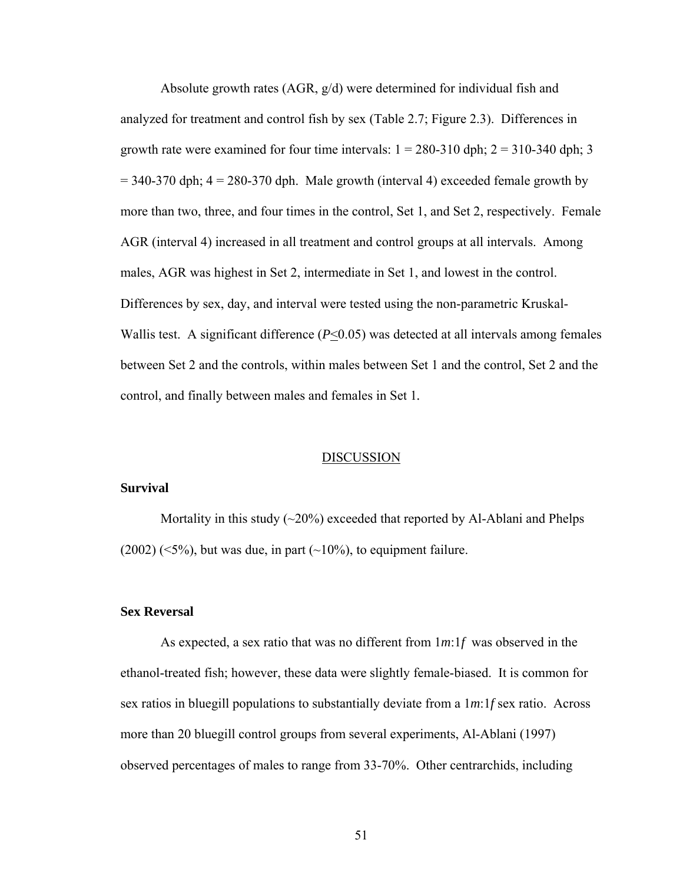Absolute growth rates (AGR, g/d) were determined for individual fish and analyzed for treatment and control fish by sex (Table 2.7; Figure 2.3). Differences in growth rate were examined for four time intervals:  $1 = 280-310$  dph;  $2 = 310-340$  dph; 3  $= 340-370$  dph;  $4 = 280-370$  dph. Male growth (interval 4) exceeded female growth by more than two, three, and four times in the control, Set 1, and Set 2, respectively. Female AGR (interval 4) increased in all treatment and control groups at all intervals. Among males, AGR was highest in Set 2, intermediate in Set 1, and lowest in the control. Differences by sex, day, and interval were tested using the non-parametric Kruskal-Wallis test. A significant difference (*P*<0.05) was detected at all intervals among females between Set 2 and the controls, within males between Set 1 and the control, Set 2 and the control, and finally between males and females in Set 1*.* 

## DISCUSSION

## **Survival**

Mortality in this study  $(\sim 20\%)$  exceeded that reported by Al-Ablani and Phelps  $(2002)$  ( $\leq$ 5%), but was due, in part ( $\sim$ 10%), to equipment failure.

## **Sex Reversal**

As expected, a sex ratio that was no different from 1*m*:1*f* was observed in the ethanol-treated fish; however, these data were slightly female-biased. It is common for sex ratios in bluegill populations to substantially deviate from a 1*m*:1*f* sex ratio. Across more than 20 bluegill control groups from several experiments, Al-Ablani (1997) observed percentages of males to range from 33-70%. Other centrarchids, including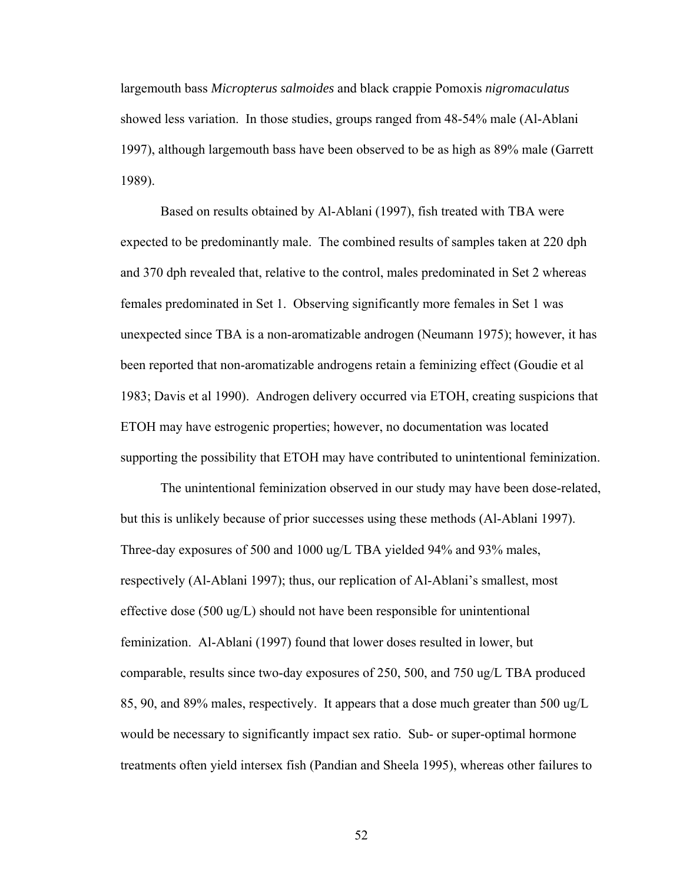largemouth bass *Micropterus salmoides* and black crappie Pomoxis *nigromaculatus* showed less variation. In those studies, groups ranged from 48-54% male (Al-Ablani 1997), although largemouth bass have been observed to be as high as 89% male (Garrett 1989).

Based on results obtained by Al-Ablani (1997), fish treated with TBA were expected to be predominantly male. The combined results of samples taken at 220 dph and 370 dph revealed that, relative to the control, males predominated in Set 2 whereas females predominated in Set 1. Observing significantly more females in Set 1 was unexpected since TBA is a non-aromatizable androgen (Neumann 1975); however, it has been reported that non-aromatizable androgens retain a feminizing effect (Goudie et al 1983; Davis et al 1990). Androgen delivery occurred via ETOH, creating suspicions that ETOH may have estrogenic properties; however, no documentation was located supporting the possibility that ETOH may have contributed to unintentional feminization.

The unintentional feminization observed in our study may have been dose-related, but this is unlikely because of prior successes using these methods (Al-Ablani 1997). Three-day exposures of 500 and 1000 ug/L TBA yielded 94% and 93% males, respectively (Al-Ablani 1997); thus, our replication of Al-Ablani's smallest, most effective dose (500 ug/L) should not have been responsible for unintentional feminization. Al-Ablani (1997) found that lower doses resulted in lower, but comparable, results since two-day exposures of 250, 500, and 750 ug/L TBA produced 85, 90, and 89% males, respectively. It appears that a dose much greater than 500 ug/L would be necessary to significantly impact sex ratio.Sub- or super-optimal hormone treatments often yield intersex fish (Pandian and Sheela 1995), whereas other failures to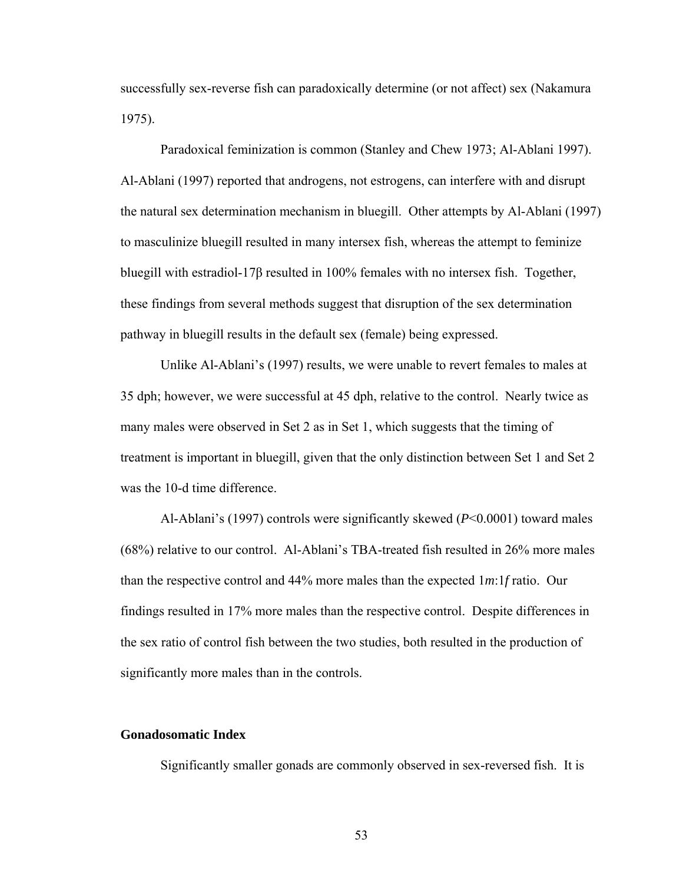successfully sex-reverse fish can paradoxically determine (or not affect) sex (Nakamura 1975).

Paradoxical feminization is common (Stanley and Chew 1973; Al-Ablani 1997). Al-Ablani (1997) reported that androgens, not estrogens, can interfere with and disrupt the natural sex determination mechanism in bluegill. Other attempts by Al-Ablani (1997) to masculinize bluegill resulted in many intersex fish, whereas the attempt to feminize bluegill with estradiol-17β resulted in 100% females with no intersex fish. Together, these findings from several methods suggest that disruption of the sex determination pathway in bluegill results in the default sex (female) being expressed.

Unlike Al-Ablani's (1997) results, we were unable to revert females to males at 35 dph; however, we were successful at 45 dph, relative to the control. Nearly twice as many males were observed in Set 2 as in Set 1, which suggests that the timing of treatment is important in bluegill, given that the only distinction between Set 1 and Set 2 was the 10-d time difference.

Al-Ablani's (1997) controls were significantly skewed (*P*<0.0001) toward males (68%) relative to our control. Al-Ablani's TBA-treated fish resulted in 26% more males than the respective control and 44% more males than the expected 1*m*:1*f* ratio. Our findings resulted in 17% more males than the respective control. Despite differences in the sex ratio of control fish between the two studies, both resulted in the production of significantly more males than in the controls.

# **Gonadosomatic Index**

Significantly smaller gonads are commonly observed in sex-reversed fish. It is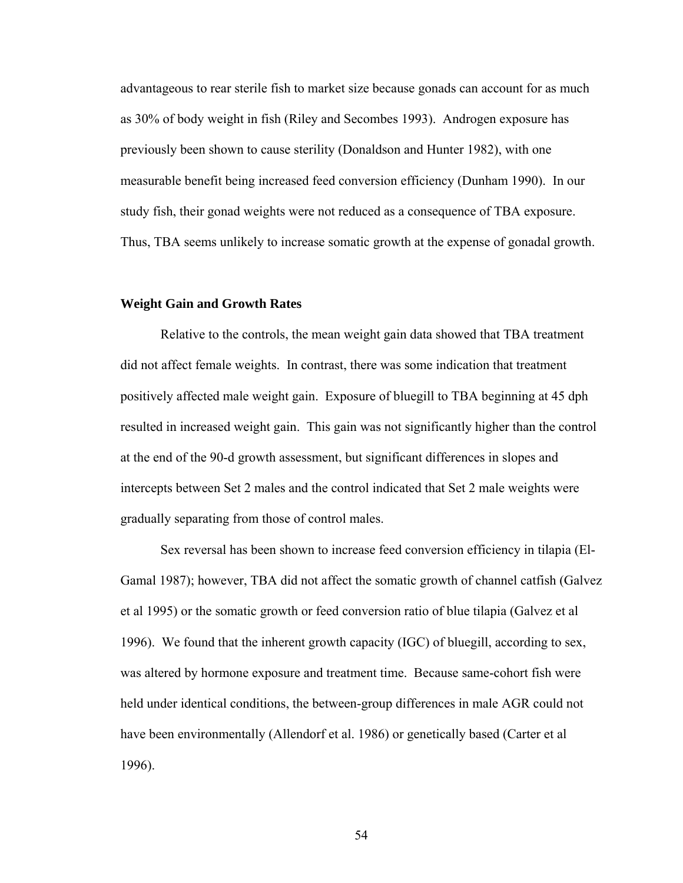advantageous to rear sterile fish to market size because gonads can account for as much as 30% of body weight in fish (Riley and Secombes 1993). Androgen exposure has previously been shown to cause sterility (Donaldson and Hunter 1982), with one measurable benefit being increased feed conversion efficiency (Dunham 1990). In our study fish, their gonad weights were not reduced as a consequence of TBA exposure. Thus, TBA seems unlikely to increase somatic growth at the expense of gonadal growth.

#### **Weight Gain and Growth Rates**

Relative to the controls, the mean weight gain data showed that TBA treatment did not affect female weights. In contrast, there was some indication that treatment positively affected male weight gain. Exposure of bluegill to TBA beginning at 45 dph resulted in increased weight gain. This gain was not significantly higher than the control at the end of the 90-d growth assessment, but significant differences in slopes and intercepts between Set 2 males and the control indicated that Set 2 male weights were gradually separating from those of control males.

Sex reversal has been shown to increase feed conversion efficiency in tilapia (El-Gamal 1987); however, TBA did not affect the somatic growth of channel catfish (Galvez et al 1995) or the somatic growth or feed conversion ratio of blue tilapia (Galvez et al 1996). We found that the inherent growth capacity (IGC) of bluegill, according to sex, was altered by hormone exposure and treatment time. Because same-cohort fish were held under identical conditions, the between-group differences in male AGR could not have been environmentally (Allendorf et al. 1986) or genetically based (Carter et al 1996).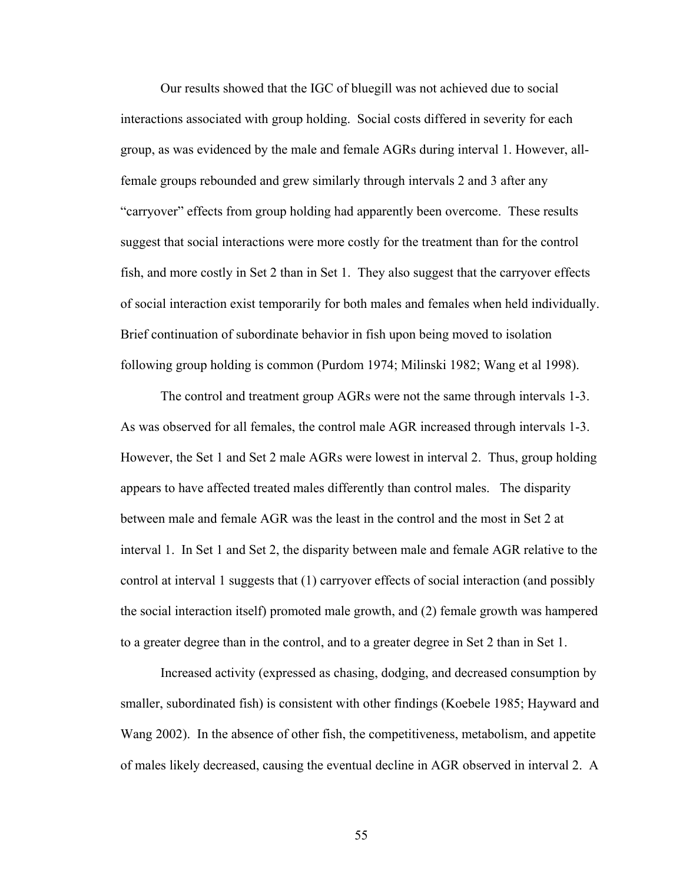Our results showed that the IGC of bluegill was not achieved due to social interactions associated with group holding. Social costs differed in severity for each group, as was evidenced by the male and female AGRs during interval 1. However, allfemale groups rebounded and grew similarly through intervals 2 and 3 after any "carryover" effects from group holding had apparently been overcome. These results suggest that social interactions were more costly for the treatment than for the control fish, and more costly in Set 2 than in Set 1. They also suggest that the carryover effects of social interaction exist temporarily for both males and females when held individually. Brief continuation of subordinate behavior in fish upon being moved to isolation following group holding is common (Purdom 1974; Milinski 1982; Wang et al 1998).

The control and treatment group AGRs were not the same through intervals 1-3. As was observed for all females, the control male AGR increased through intervals 1-3. However, the Set 1 and Set 2 male AGRs were lowest in interval 2. Thus, group holding appears to have affected treated males differently than control males. The disparity between male and female AGR was the least in the control and the most in Set 2 at interval 1. In Set 1 and Set 2, the disparity between male and female AGR relative to the control at interval 1 suggests that (1) carryover effects of social interaction (and possibly the social interaction itself) promoted male growth, and (2) female growth was hampered to a greater degree than in the control, and to a greater degree in Set 2 than in Set 1.

Increased activity (expressed as chasing, dodging, and decreased consumption by smaller, subordinated fish) is consistent with other findings (Koebele 1985; Hayward and Wang 2002). In the absence of other fish, the competitiveness, metabolism, and appetite of males likely decreased, causing the eventual decline in AGR observed in interval 2. A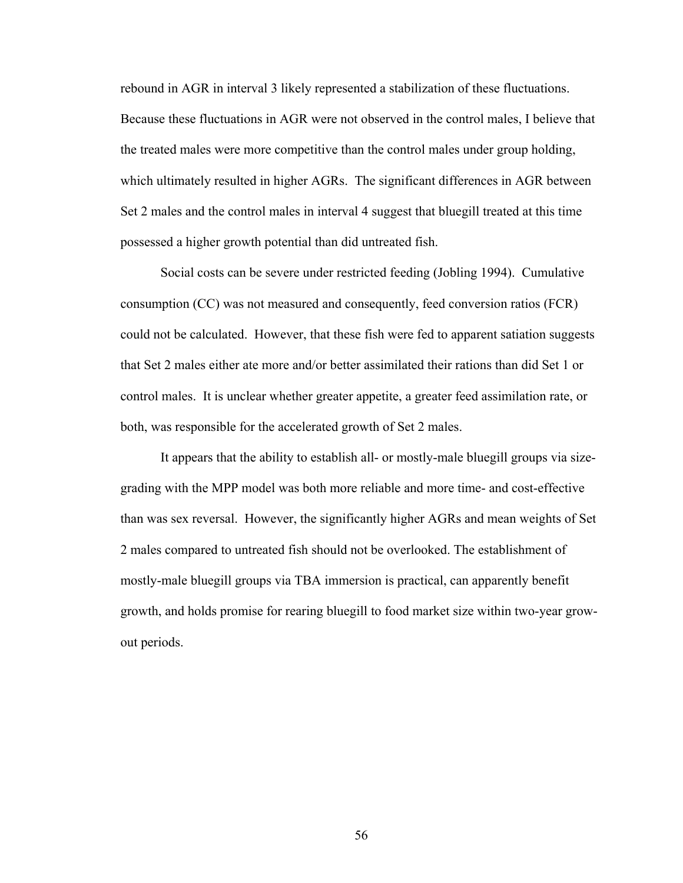rebound in AGR in interval 3 likely represented a stabilization of these fluctuations. Because these fluctuations in AGR were not observed in the control males, I believe that the treated males were more competitive than the control males under group holding, which ultimately resulted in higher AGRs. The significant differences in AGR between Set 2 males and the control males in interval 4 suggest that bluegill treated at this time possessed a higher growth potential than did untreated fish.

Social costs can be severe under restricted feeding (Jobling 1994). Cumulative consumption (CC) was not measured and consequently, feed conversion ratios (FCR) could not be calculated. However, that these fish were fed to apparent satiation suggests that Set 2 males either ate more and/or better assimilated their rations than did Set 1 or control males. It is unclear whether greater appetite, a greater feed assimilation rate, or both, was responsible for the accelerated growth of Set 2 males.

It appears that the ability to establish all- or mostly-male bluegill groups via sizegrading with the MPP model was both more reliable and more time- and cost-effective than was sex reversal. However, the significantly higher AGRs and mean weights of Set 2 males compared to untreated fish should not be overlooked. The establishment of mostly-male bluegill groups via TBA immersion is practical, can apparently benefit growth, and holds promise for rearing bluegill to food market size within two-year growout periods.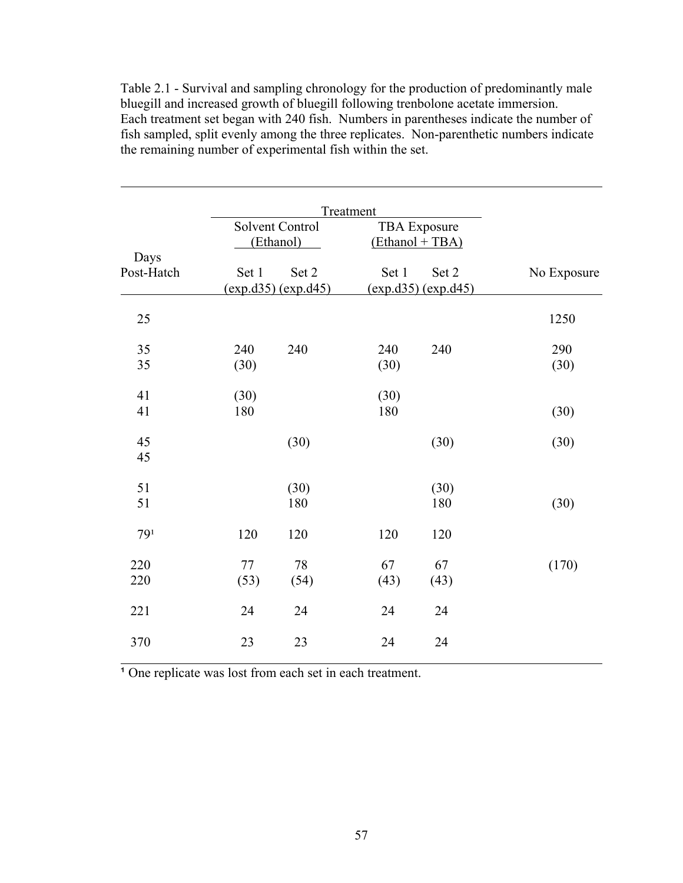Table 2.1 - Survival and sampling chronology for the production of predominantly male bluegill and increased growth of bluegill following trenbolone acetate immersion. Each treatment set began with 240 fish. Numbers in parentheses indicate the number of fish sampled, split evenly among the three replicates. Non-parenthetic numbers indicate the remaining number of experimental fish within the set.

l

|                    |             |                              | Treatment                              |                              |             |
|--------------------|-------------|------------------------------|----------------------------------------|------------------------------|-------------|
|                    |             | Solvent Control<br>(Ethanol) | <b>TBA</b> Exposure<br>(Ethanol + TBA) |                              |             |
| Days<br>Post-Hatch | Set 1       | Set 2<br>(exp.d35) (exp.d45) | Set 1                                  | Set 2<br>(exp.d35) (exp.d45) | No Exposure |
| 25                 |             |                              |                                        |                              | 1250        |
| 35<br>35           | 240<br>(30) | 240                          | 240<br>(30)                            | 240                          | 290<br>(30) |
| 41<br>41           | (30)<br>180 |                              | (30)<br>180                            |                              | (30)        |
| 45<br>45           |             | (30)                         |                                        | (30)                         | (30)        |
| 51<br>51           |             | (30)<br>180                  |                                        | (30)<br>180                  | (30)        |
| 79 <sup>1</sup>    | 120         | 120                          | 120                                    | 120                          |             |
| 220<br>220         | 77<br>(53)  | 78<br>(54)                   | 67<br>(43)                             | 67<br>(43)                   | (170)       |
| 221                | 24          | 24                           | 24                                     | 24                           |             |
| 370                | 23          | 23                           | 24                                     | 24                           |             |

<sup>1</sup> One replicate was lost from each set in each treatment.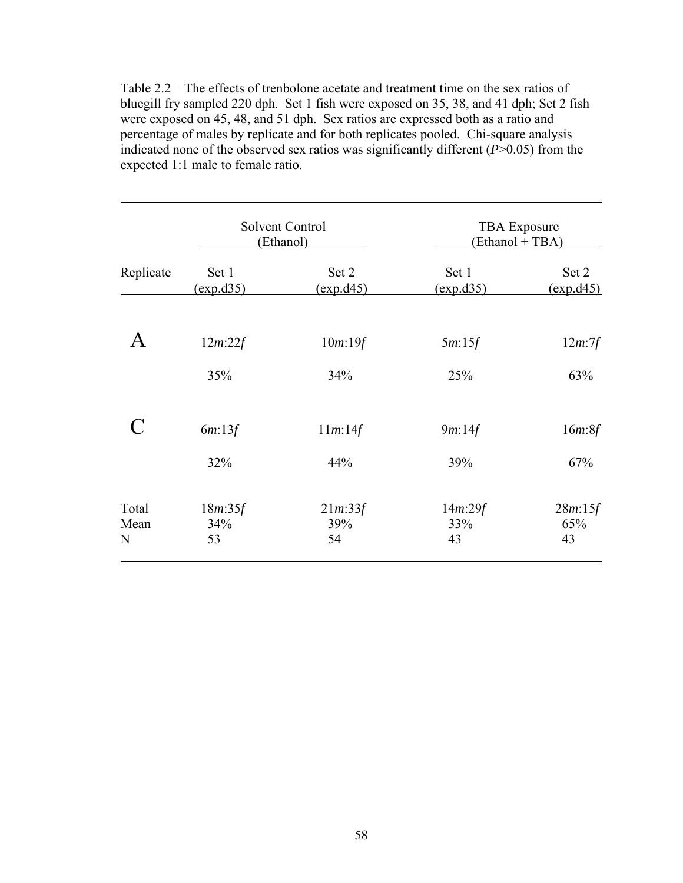Table 2.2 – The effects of trenbolone acetate and treatment time on the sex ratios of bluegill fry sampled 220 dph. Set 1 fish were exposed on 35, 38, and 41 dph; Set 2 fish were exposed on 45, 48, and 51 dph. Sex ratios are expressed both as a ratio and percentage of males by replicate and for both replicates pooled. Chi-square analysis indicated none of the observed sex ratios was significantly different  $(P>0.05)$  from the expected 1:1 male to female ratio.

 $\overline{a}$ 

|                                                           |                    | <b>TBA</b> Exposure<br>(Ethanol + TBA)                    |                                       |  |
|-----------------------------------------------------------|--------------------|-----------------------------------------------------------|---------------------------------------|--|
| Set 1<br>$\left(\frac{\text{exp}.d35}{\text{exp}}\right)$ | Set 2<br>(exp.d45) | Set 1<br>$\left(\frac{\text{exp}.d35}{\text{exp}}\right)$ | Set 2<br>$\frac{\text{(exp. d45)}}{}$ |  |
| 12m:22f                                                   | 10m:19f            | 5m:15f                                                    | $12m$ :7f                             |  |
| 35%                                                       | 34%                | 25%                                                       | 63%                                   |  |
| 6m:13f                                                    | 11m:14f            | 9m:14f                                                    | 16m.8f                                |  |
| 32%                                                       | 44%                | 39%                                                       | 67%                                   |  |
| 18m:35f<br>34%                                            | 21m:33f<br>39%     | 14m:29f<br>33%                                            | 28m:15f<br>65%<br>43                  |  |
|                                                           | 53                 | Solvent Control<br>(Ethanol)<br>54                        | 43                                    |  |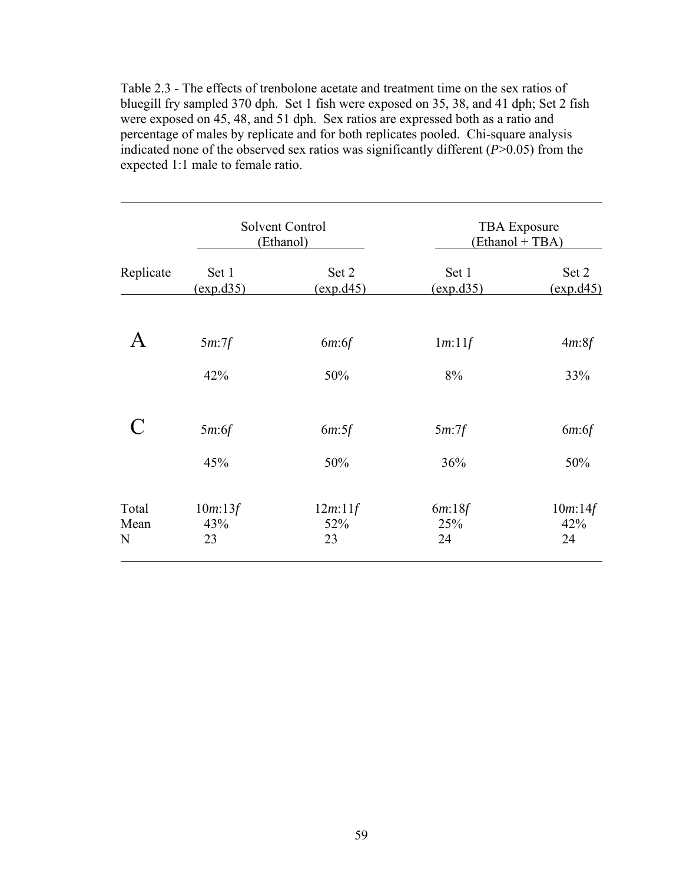Table 2.3 - The effects of trenbolone acetate and treatment time on the sex ratios of bluegill fry sampled 370 dph. Set 1 fish were exposed on 35, 38, and 41 dph; Set 2 fish were exposed on 45, 48, and 51 dph. Sex ratios are expressed both as a ratio and percentage of males by replicate and for both replicates pooled. Chi-square analysis indicated none of the observed sex ratios was significantly different  $(P>0.05)$  from the expected 1:1 male to female ratio.

 $\overline{a}$ 

| Replicate          |                                       | Solvent Control<br>(Ethanol) | <b>TBA</b> Exposure<br>(Ethanol + TBA)                    |                                       |  |
|--------------------|---------------------------------------|------------------------------|-----------------------------------------------------------|---------------------------------------|--|
|                    | Set 1<br>$\frac{\text{(exp. d35)}}{}$ | Set 2<br>(exp.d45)           | Set 1<br>$\left(\frac{\text{exp}.d35}{\text{exp}}\right)$ | Set 2<br>$\frac{\text{(exp. d45)}}{}$ |  |
|                    | 5m:7f                                 | 6m:6f                        | 1m:11f                                                    | 4m.8f                                 |  |
|                    | 42%                                   | 50%                          | 8%                                                        | 33%                                   |  |
|                    | 5m:6f                                 | 6m:5f                        | $5m$ : $7f$                                               | 6m:6f                                 |  |
|                    | 45%                                   | 50%                          | 36%                                                       | 50%                                   |  |
| Total<br>Mean<br>N | 10m:13f<br>43%<br>23                  | 12m:11f<br>52%<br>23         | 6m:18f<br>25%<br>24                                       | $10m$ :14f<br>42%<br>24               |  |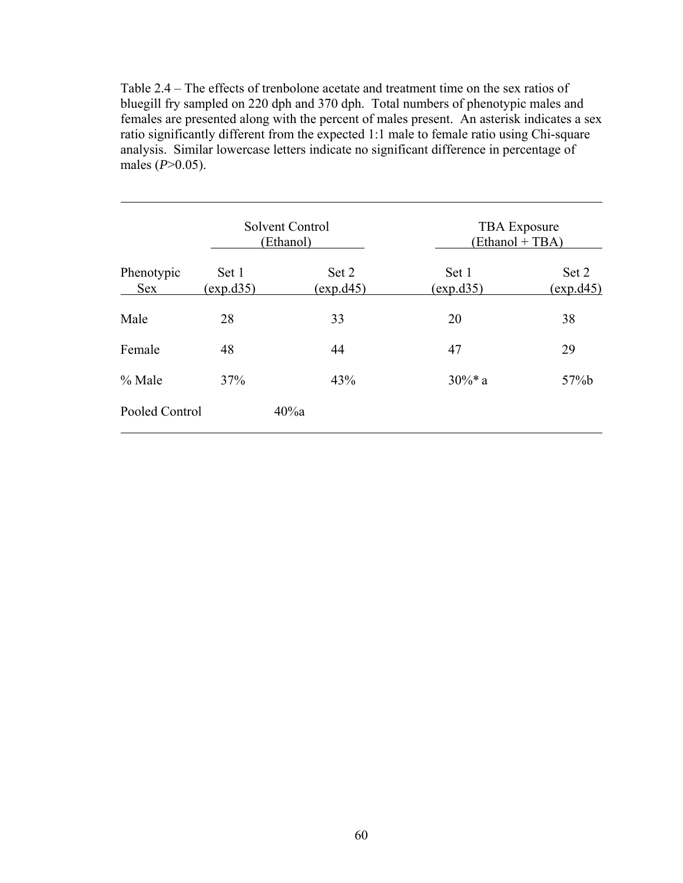Table 2.4 – The effects of trenbolone acetate and treatment time on the sex ratios of bluegill fry sampled on 220 dph and 370 dph. Total numbers of phenotypic males and females are presented along with the percent of males present. An asterisk indicates a sex ratio significantly different from the expected 1:1 male to female ratio using Chi-square analysis. Similar lowercase letters indicate no significant difference in percentage of males (*P*>0.05).

 $\overline{a}$ 

|                          |                           | Solvent Control<br>(Ethanol) | <b>TBA</b> Exposure<br>(Ethanol + TBA) |                           |  |
|--------------------------|---------------------------|------------------------------|----------------------------------------|---------------------------|--|
| Phenotypic<br><b>Sex</b> | Set 1<br><u>(exp.d35)</u> | Set 2<br><u>(exp.d45)</u>    | Set 1<br>(exp.d35)                     | Set 2<br><u>(exp.d45)</u> |  |
| Male                     | 28                        | 33                           | 20                                     | 38                        |  |
| Female                   | 48                        | 44                           | 47                                     | 29                        |  |
| $%$ Male                 | 37%                       | 43%                          | $30\%$ * a                             | 57%b                      |  |
| Pooled Control           |                           | 40%a                         |                                        |                           |  |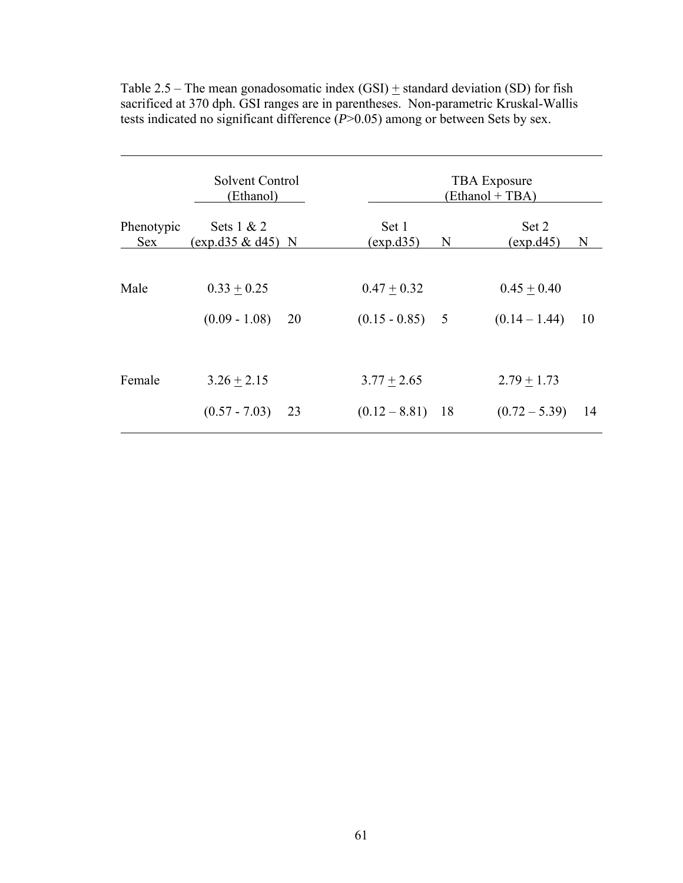|                          | Solvent Control<br>(Ethanol)          |    |                                     | <b>TBA</b> Exposure<br>(Ethanol + TBA) |                                        |  |  |  |
|--------------------------|---------------------------------------|----|-------------------------------------|----------------------------------------|----------------------------------------|--|--|--|
| Phenotypic<br><b>Sex</b> | Sets $1 & 2$<br>$(exp. d35 \& d45)$ N |    | Set 1<br>(exp.d35)                  | N                                      | Set 2<br>(exp.d45)<br>N                |  |  |  |
| Male                     | $0.33 + 0.25$<br>$(0.09 - 1.08)$      | 20 | $0.47 + 0.32$<br>$(0.15 - 0.85)$    | - 5                                    | $0.45 + 0.40$<br>$(0.14 - 1.44)$<br>10 |  |  |  |
| Female                   | $3.26 \pm 2.15$<br>$(0.57 - 7.03)$    | 23 | $3.77 + 2.65$<br>$(0.12 - 8.81)$ 18 |                                        | $2.79 + 1.73$<br>$(0.72 - 5.39)$<br>14 |  |  |  |

Table 2.5 – The mean gonadosomatic index  $(GSI)$  + standard deviation  $(SD)$  for fish sacrificed at 370 dph. GSI ranges are in parentheses. Non-parametric Kruskal-Wallis tests indicated no significant difference (*P*>0.05) among or between Sets by sex.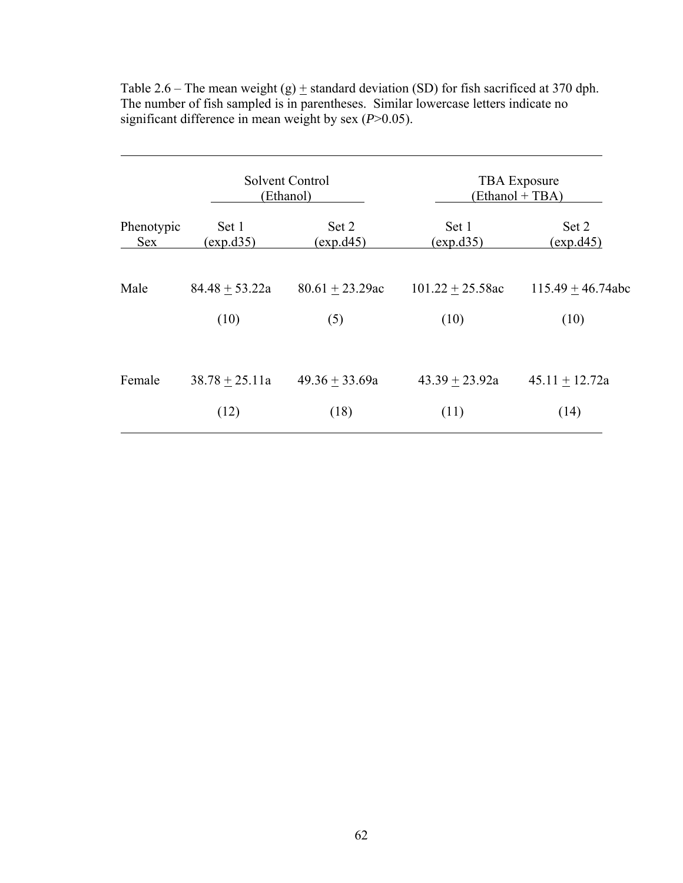|            |                  | Solvent Control<br>(Ethanol) | <b>TBA</b> Exposure<br>(Ethanol + TBA) |                     |  |
|------------|------------------|------------------------------|----------------------------------------|---------------------|--|
| Phenotypic | Set 1            | Set 2                        | Set 1                                  | Set 2               |  |
| <b>Sex</b> | (exp.d35)        | (exp.d45)                    | (exp.d35)                              | (exp.d45)           |  |
| Male       | $84.48 + 53.22a$ | $80.61 + 23.29$ ac           | $101.22 + 25.58ac$                     | $115.49 + 46.74abc$ |  |
|            | (10)             | (5)                          | (10)                                   | (10)                |  |
| Female     | $38.78 + 25.11a$ | $49.36 + 33.69a$             | $43.39 + 23.92a$                       | $45.11 + 12.72a$    |  |
|            | (12)             | (18)                         | (11)                                   | (14)                |  |

Table 2.6 – The mean weight (g)  $\pm$  standard deviation (SD) for fish sacrificed at 370 dph. The number of fish sampled is in parentheses. Similar lowercase letters indicate no significant difference in mean weight by sex (*P*>0.05).

l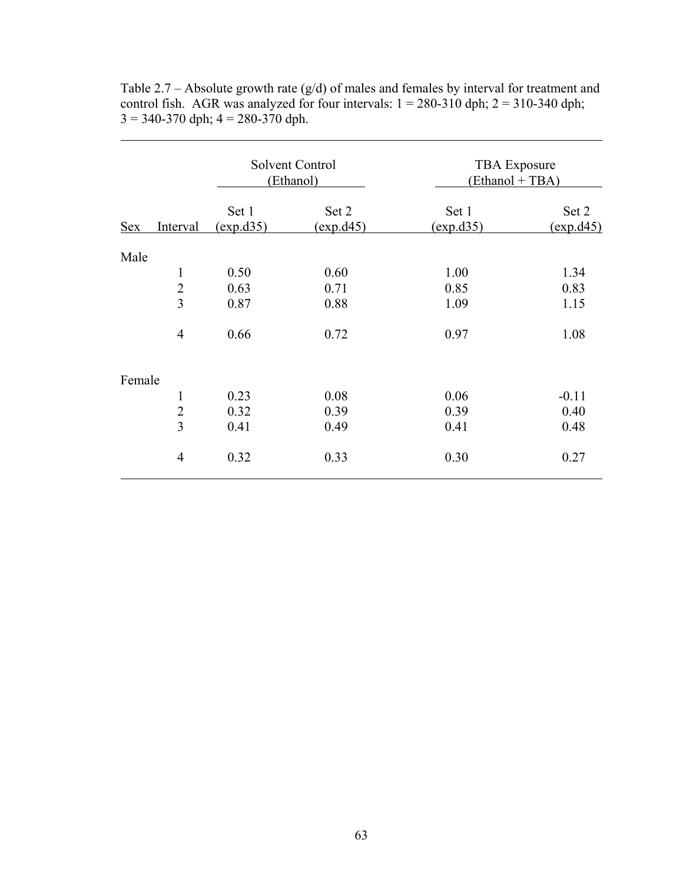|            |                |                    | Solvent Control<br>(Ethanol) | <b>TBA</b> Exposure<br>(Ethanol + TBA) |                    |  |
|------------|----------------|--------------------|------------------------------|----------------------------------------|--------------------|--|
| <b>Sex</b> | Interval       | Set 1<br>(exp.d35) | Set 2<br>(exp.d45)           | Set 1<br>(exp.d35)                     | Set 2<br>(exp.d45) |  |
| Male       |                |                    |                              |                                        |                    |  |
|            | $\mathbf{1}$   | 0.50               | 0.60                         | 1.00                                   | 1.34               |  |
|            | $\overline{2}$ | 0.63               | 0.71                         | 0.85                                   | 0.83               |  |
|            | $\overline{3}$ | 0.87               | 0.88                         | 1.09                                   | 1.15               |  |
|            | $\overline{4}$ | 0.66               | 0.72                         | 0.97                                   | 1.08               |  |
| Female     |                |                    |                              |                                        |                    |  |
|            | $\mathbf{1}$   | 0.23               | 0.08                         | 0.06                                   | $-0.11$            |  |
|            | $\overline{2}$ | 0.32               | 0.39                         | 0.39                                   | 0.40               |  |
|            | $\overline{3}$ | 0.41               | 0.49                         | 0.41                                   | 0.48               |  |
|            | $\overline{4}$ | 0.32               | 0.33                         | 0.30                                   | 0.27               |  |

Table  $2.7 -$  Absolute growth rate (g/d) of males and females by interval for treatment and control fish. AGR was analyzed for four intervals:  $1 = 280-310$  dph;  $2 = 310-340$  dph;  $3 = 340-370$  dph;  $4 = 280-370$  dph.

 $\overline{a}$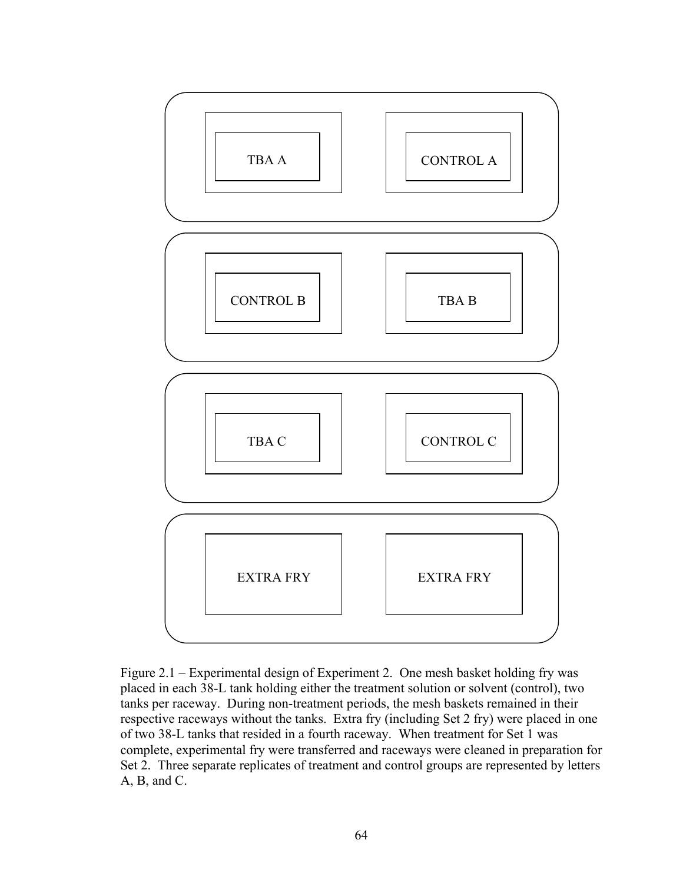

Figure 2.1 – Experimental design of Experiment 2. One mesh basket holding fry was placed in each 38-L tank holding either the treatment solution or solvent (control), two tanks per raceway. During non-treatment periods, the mesh baskets remained in their respective raceways without the tanks. Extra fry (including Set 2 fry) were placed in one of two 38-L tanks that resided in a fourth raceway. When treatment for Set 1 was complete, experimental fry were transferred and raceways were cleaned in preparation for Set 2. Three separate replicates of treatment and control groups are represented by letters A, B, and C.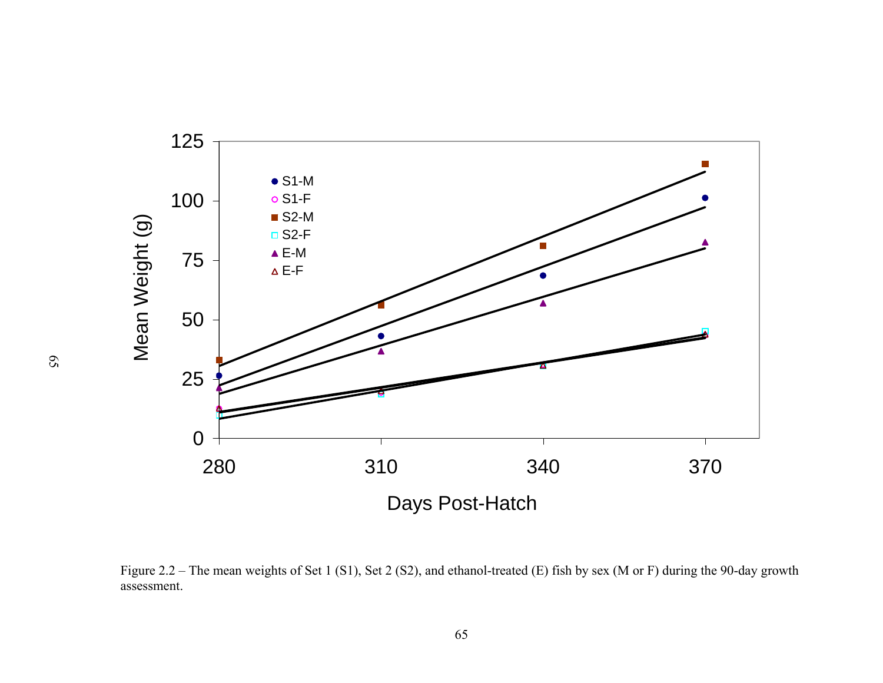

Figure 2.2 – The mean weights of Set 1 (S1), Set 2 (S2), and ethanol-treated (E) fish by sex (M or F) during the 90-day growth assessment.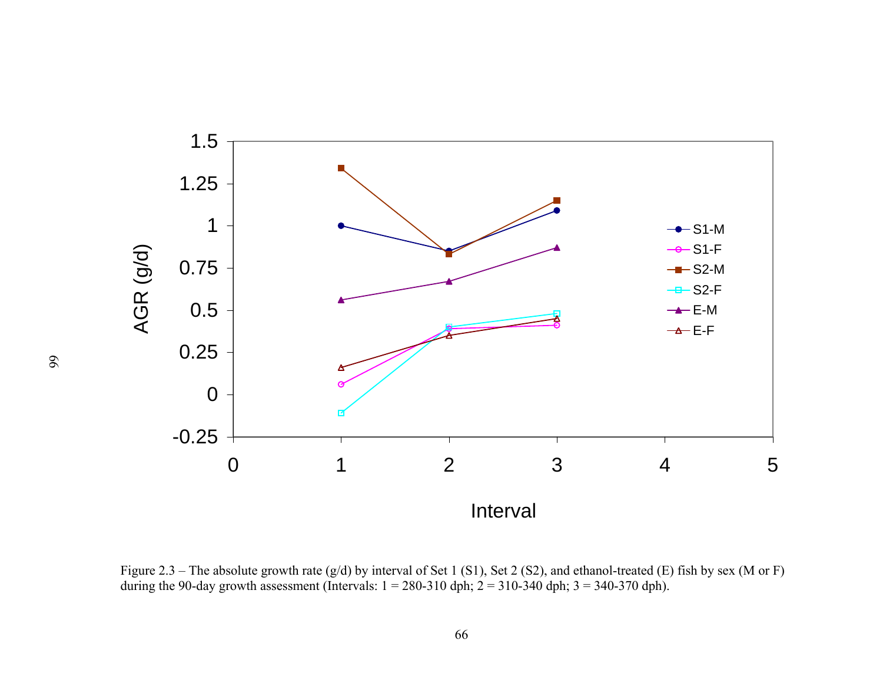

Figure 2.3 – The absolute growth rate (g/d) by interval of Set 1 (S1), Set 2 (S2), and ethanol-treated (E) fish by sex (M or F) during the 90-day growth assessment (Intervals:  $1 = 280-310$  dph;  $2 = 310-340$  dph;  $3 = 340-370$  dph).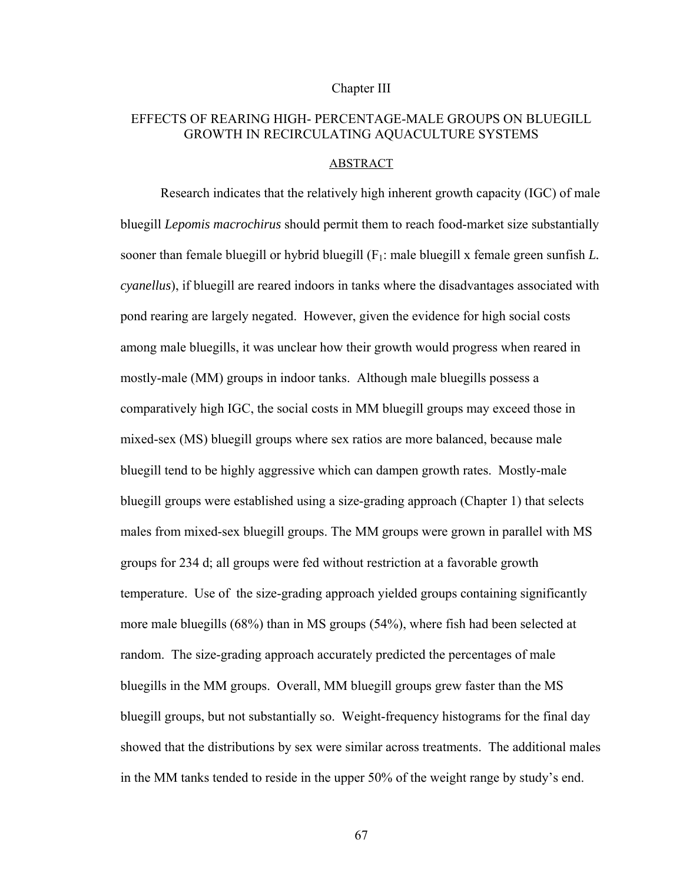### Chapter III

# EFFECTS OF REARING HIGH- PERCENTAGE-MALE GROUPS ON BLUEGILL GROWTH IN RECIRCULATING AQUACULTURE SYSTEMS

#### ABSTRACT

Research indicates that the relatively high inherent growth capacity (IGC) of male bluegill *Lepomis macrochirus* should permit them to reach food-market size substantially sooner than female bluegill or hybrid bluegill (F1: male bluegill x female green sunfish *L. cyanellus*), if bluegill are reared indoors in tanks where the disadvantages associated with pond rearing are largely negated. However, given the evidence for high social costs among male bluegills, it was unclear how their growth would progress when reared in mostly-male (MM) groups in indoor tanks. Although male bluegills possess a comparatively high IGC, the social costs in MM bluegill groups may exceed those in mixed-sex (MS) bluegill groups where sex ratios are more balanced, because male bluegill tend to be highly aggressive which can dampen growth rates. Mostly-male bluegill groups were established using a size-grading approach (Chapter 1) that selects males from mixed-sex bluegill groups. The MM groups were grown in parallel with MS groups for 234 d; all groups were fed without restriction at a favorable growth temperature. Use of the size-grading approach yielded groups containing significantly more male bluegills (68%) than in MS groups (54%), where fish had been selected at random. The size-grading approach accurately predicted the percentages of male bluegills in the MM groups. Overall, MM bluegill groups grew faster than the MS bluegill groups, but not substantially so. Weight-frequency histograms for the final day showed that the distributions by sex were similar across treatments. The additional males in the MM tanks tended to reside in the upper 50% of the weight range by study's end.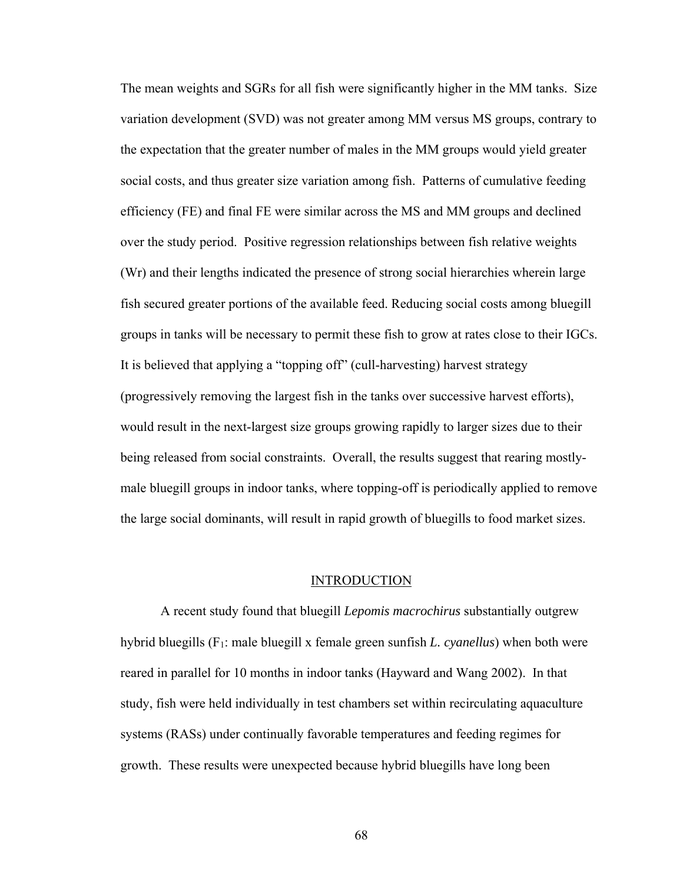The mean weights and SGRs for all fish were significantly higher in the MM tanks. Size variation development (SVD) was not greater among MM versus MS groups, contrary to the expectation that the greater number of males in the MM groups would yield greater social costs, and thus greater size variation among fish. Patterns of cumulative feeding efficiency (FE) and final FE were similar across the MS and MM groups and declined over the study period. Positive regression relationships between fish relative weights (Wr) and their lengths indicated the presence of strong social hierarchies wherein large fish secured greater portions of the available feed. Reducing social costs among bluegill groups in tanks will be necessary to permit these fish to grow at rates close to their IGCs. It is believed that applying a "topping off" (cull-harvesting) harvest strategy (progressively removing the largest fish in the tanks over successive harvest efforts), would result in the next-largest size groups growing rapidly to larger sizes due to their being released from social constraints. Overall, the results suggest that rearing mostlymale bluegill groups in indoor tanks, where topping-off is periodically applied to remove the large social dominants, will result in rapid growth of bluegills to food market sizes.

#### INTRODUCTION

A recent study found that bluegill *Lepomis macrochirus* substantially outgrew hybrid bluegills (F1: male bluegill x female green sunfish *L. cyanellus*) when both were reared in parallel for 10 months in indoor tanks (Hayward and Wang 2002). In that study, fish were held individually in test chambers set within recirculating aquaculture systems (RASs) under continually favorable temperatures and feeding regimes for growth. These results were unexpected because hybrid bluegills have long been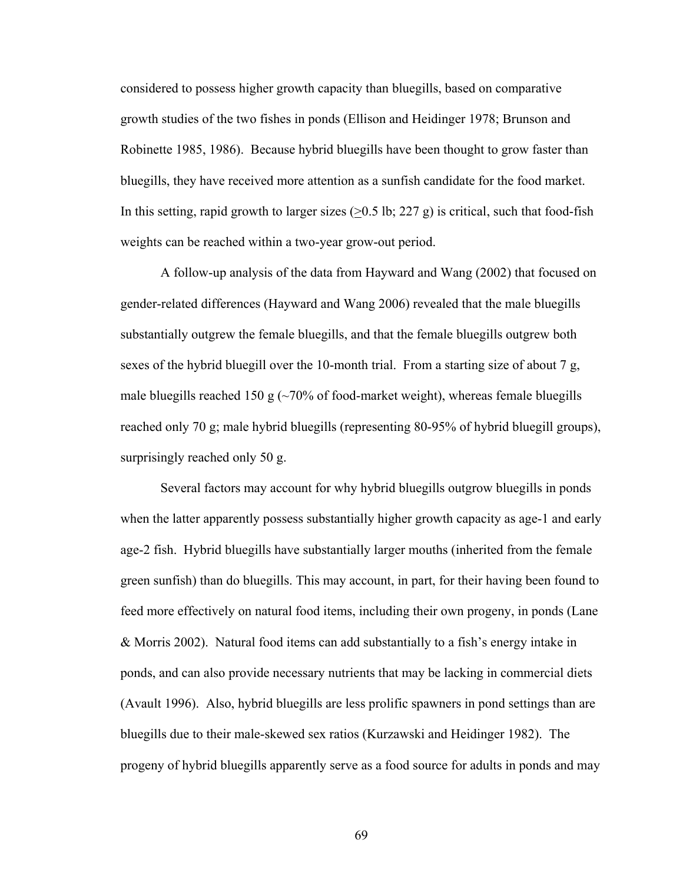considered to possess higher growth capacity than bluegills, based on comparative growth studies of the two fishes in ponds (Ellison and Heidinger 1978; Brunson and Robinette 1985, 1986). Because hybrid bluegills have been thought to grow faster than bluegills, they have received more attention as a sunfish candidate for the food market. In this setting, rapid growth to larger sizes  $(≥0.5$  lb; 227 g) is critical, such that food-fish weights can be reached within a two-year grow-out period.

A follow-up analysis of the data from Hayward and Wang (2002) that focused on gender-related differences (Hayward and Wang 2006) revealed that the male bluegills substantially outgrew the female bluegills, and that the female bluegills outgrew both sexes of the hybrid bluegill over the 10-month trial. From a starting size of about 7 g, male bluegills reached 150 g  $\left(\frac{1}{20}\right)$  of food-market weight), whereas female bluegills reached only 70 g; male hybrid bluegills (representing 80-95% of hybrid bluegill groups), surprisingly reached only 50 g.

Several factors may account for why hybrid bluegills outgrow bluegills in ponds when the latter apparently possess substantially higher growth capacity as age-1 and early age-2 fish. Hybrid bluegills have substantially larger mouths (inherited from the female green sunfish) than do bluegills. This may account, in part, for their having been found to feed more effectively on natural food items, including their own progeny, in ponds (Lane & Morris 2002). Natural food items can add substantially to a fish's energy intake in ponds, and can also provide necessary nutrients that may be lacking in commercial diets (Avault 1996). Also, hybrid bluegills are less prolific spawners in pond settings than are bluegills due to their male-skewed sex ratios (Kurzawski and Heidinger 1982). The progeny of hybrid bluegills apparently serve as a food source for adults in ponds and may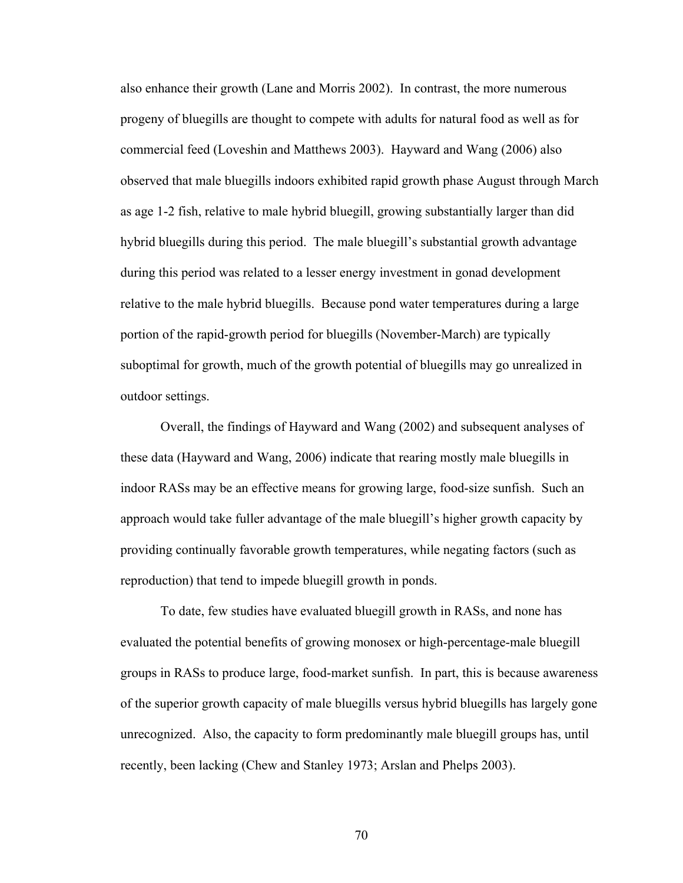also enhance their growth (Lane and Morris 2002). In contrast, the more numerous progeny of bluegills are thought to compete with adults for natural food as well as for commercial feed (Loveshin and Matthews 2003). Hayward and Wang (2006) also observed that male bluegills indoors exhibited rapid growth phase August through March as age 1-2 fish, relative to male hybrid bluegill, growing substantially larger than did hybrid bluegills during this period. The male bluegill's substantial growth advantage during this period was related to a lesser energy investment in gonad development relative to the male hybrid bluegills. Because pond water temperatures during a large portion of the rapid-growth period for bluegills (November-March) are typically suboptimal for growth, much of the growth potential of bluegills may go unrealized in outdoor settings.

Overall, the findings of Hayward and Wang (2002) and subsequent analyses of these data (Hayward and Wang, 2006) indicate that rearing mostly male bluegills in indoor RASs may be an effective means for growing large, food-size sunfish. Such an approach would take fuller advantage of the male bluegill's higher growth capacity by providing continually favorable growth temperatures, while negating factors (such as reproduction) that tend to impede bluegill growth in ponds.

 To date, few studies have evaluated bluegill growth in RASs, and none has evaluated the potential benefits of growing monosex or high-percentage-male bluegill groups in RASs to produce large, food-market sunfish. In part, this is because awareness of the superior growth capacity of male bluegills versus hybrid bluegills has largely gone unrecognized. Also, the capacity to form predominantly male bluegill groups has, until recently, been lacking (Chew and Stanley 1973; Arslan and Phelps 2003).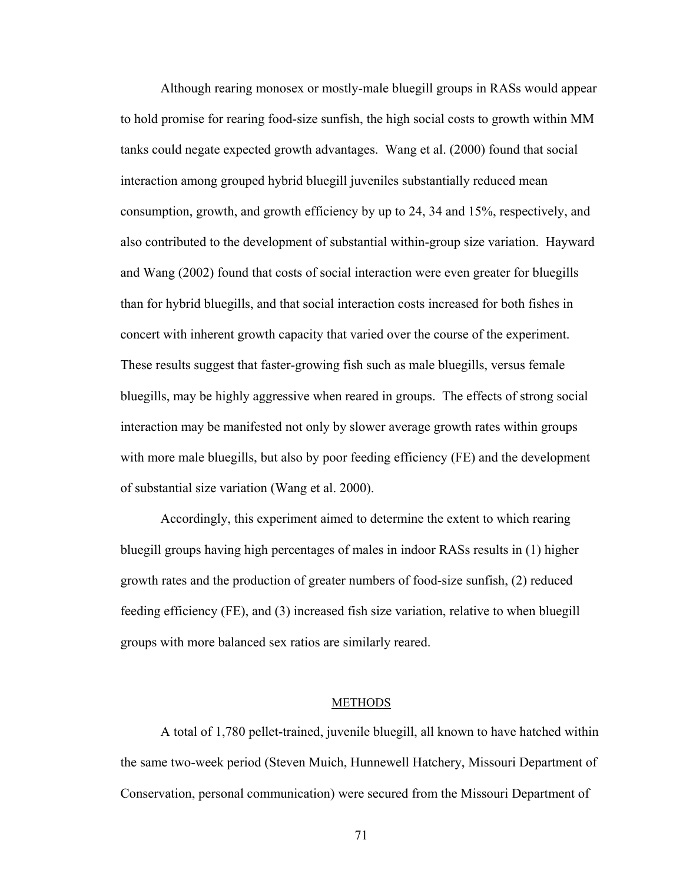Although rearing monosex or mostly-male bluegill groups in RASs would appear to hold promise for rearing food-size sunfish, the high social costs to growth within MM tanks could negate expected growth advantages. Wang et al. (2000) found that social interaction among grouped hybrid bluegill juveniles substantially reduced mean consumption, growth, and growth efficiency by up to 24, 34 and 15%, respectively, and also contributed to the development of substantial within-group size variation. Hayward and Wang (2002) found that costs of social interaction were even greater for bluegills than for hybrid bluegills, and that social interaction costs increased for both fishes in concert with inherent growth capacity that varied over the course of the experiment. These results suggest that faster-growing fish such as male bluegills, versus female bluegills, may be highly aggressive when reared in groups. The effects of strong social interaction may be manifested not only by slower average growth rates within groups with more male bluegills, but also by poor feeding efficiency (FE) and the development of substantial size variation (Wang et al. 2000).

Accordingly, this experiment aimed to determine the extent to which rearing bluegill groups having high percentages of males in indoor RASs results in (1) higher growth rates and the production of greater numbers of food-size sunfish, (2) reduced feeding efficiency (FE), and (3) increased fish size variation, relative to when bluegill groups with more balanced sex ratios are similarly reared.

#### METHODS

A total of 1,780 pellet-trained, juvenile bluegill, all known to have hatched within the same two-week period (Steven Muich, Hunnewell Hatchery, Missouri Department of Conservation, personal communication) were secured from the Missouri Department of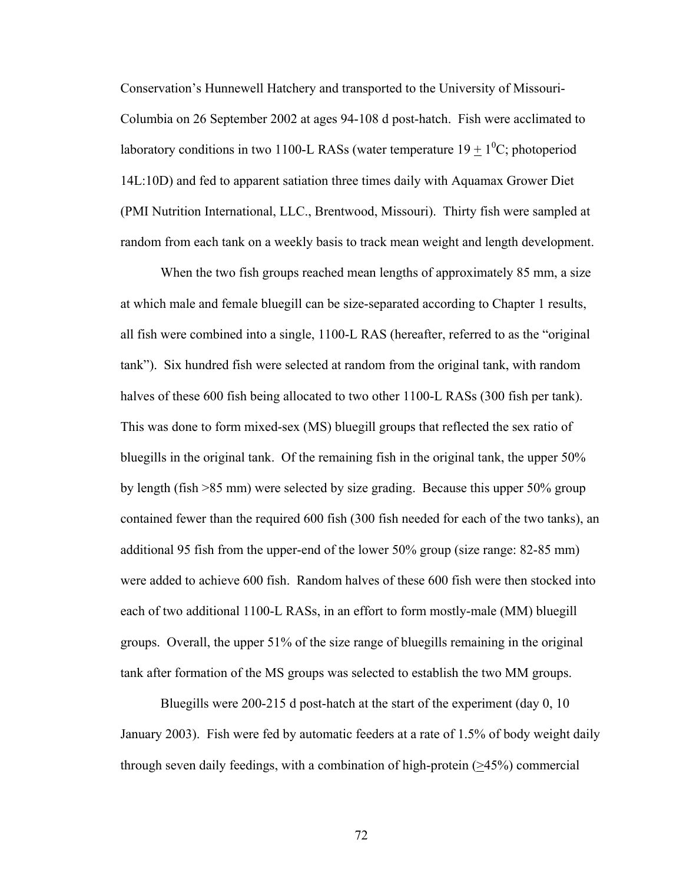Conservation's Hunnewell Hatchery and transported to the University of Missouri-Columbia on 26 September 2002 at ages 94-108 d post-hatch. Fish were acclimated to laboratory conditions in two 1100-L RASs (water temperature  $19 \pm 1^0C$ ; photoperiod 14L:10D) and fed to apparent satiation three times daily with Aquamax Grower Diet (PMI Nutrition International, LLC., Brentwood, Missouri). Thirty fish were sampled at random from each tank on a weekly basis to track mean weight and length development.

When the two fish groups reached mean lengths of approximately 85 mm, a size at which male and female bluegill can be size-separated according to Chapter 1 results, all fish were combined into a single, 1100-L RAS (hereafter, referred to as the "original tank"). Six hundred fish were selected at random from the original tank, with random halves of these 600 fish being allocated to two other 1100-L RASs (300 fish per tank). This was done to form mixed-sex (MS) bluegill groups that reflected the sex ratio of bluegills in the original tank. Of the remaining fish in the original tank, the upper 50% by length (fish >85 mm) were selected by size grading. Because this upper 50% group contained fewer than the required 600 fish (300 fish needed for each of the two tanks), an additional 95 fish from the upper-end of the lower 50% group (size range: 82-85 mm) were added to achieve 600 fish. Random halves of these 600 fish were then stocked into each of two additional 1100-L RASs, in an effort to form mostly-male (MM) bluegill groups. Overall, the upper 51% of the size range of bluegills remaining in the original tank after formation of the MS groups was selected to establish the two MM groups.

Bluegills were 200-215 d post-hatch at the start of the experiment (day 0, 10 January 2003). Fish were fed by automatic feeders at a rate of 1.5% of body weight daily through seven daily feedings, with a combination of high-protein (>45%) commercial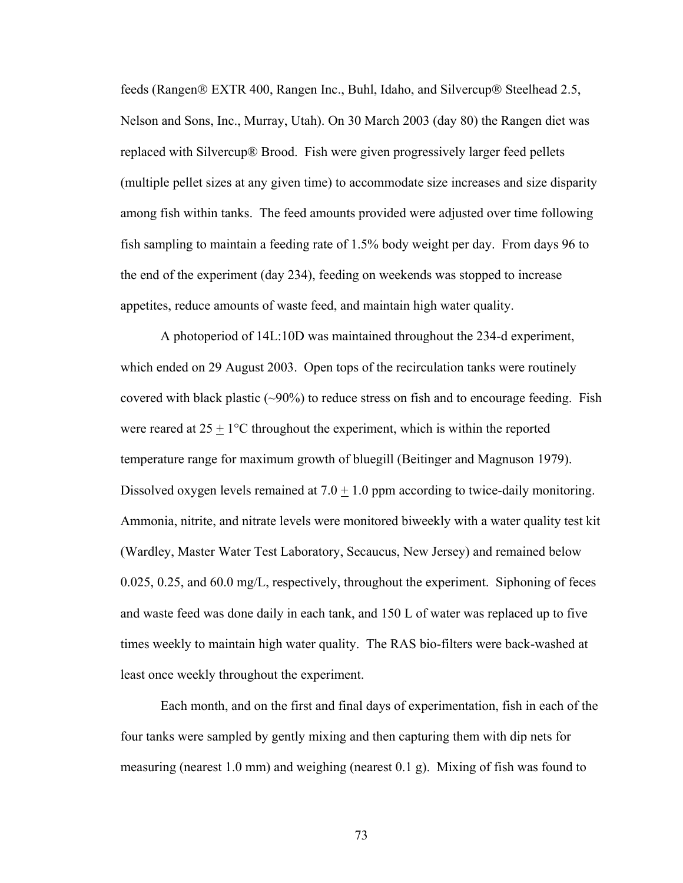feeds (Rangen® EXTR 400, Rangen Inc., Buhl, Idaho, and Silvercup® Steelhead 2.5, Nelson and Sons, Inc., Murray, Utah). On 30 March 2003 (day 80) the Rangen diet was replaced with Silvercup® Brood. Fish were given progressively larger feed pellets (multiple pellet sizes at any given time) to accommodate size increases and size disparity among fish within tanks. The feed amounts provided were adjusted over time following fish sampling to maintain a feeding rate of 1.5% body weight per day. From days 96 to the end of the experiment (day 234), feeding on weekends was stopped to increase appetites, reduce amounts of waste feed, and maintain high water quality.

A photoperiod of 14L:10D was maintained throughout the 234-d experiment, which ended on 29 August 2003. Open tops of the recirculation tanks were routinely covered with black plastic (~90%) to reduce stress on fish and to encourage feeding. Fish were reared at  $25 \pm 1$ °C throughout the experiment, which is within the reported temperature range for maximum growth of bluegill (Beitinger and Magnuson 1979). Dissolved oxygen levels remained at  $7.0 + 1.0$  ppm according to twice-daily monitoring. Ammonia, nitrite, and nitrate levels were monitored biweekly with a water quality test kit (Wardley, Master Water Test Laboratory, Secaucus, New Jersey) and remained below 0.025, 0.25, and 60.0 mg/L, respectively, throughout the experiment. Siphoning of feces and waste feed was done daily in each tank, and 150 L of water was replaced up to five times weekly to maintain high water quality. The RAS bio-filters were back-washed at least once weekly throughout the experiment.

Each month, and on the first and final days of experimentation, fish in each of the four tanks were sampled by gently mixing and then capturing them with dip nets for measuring (nearest 1.0 mm) and weighing (nearest 0.1 g). Mixing of fish was found to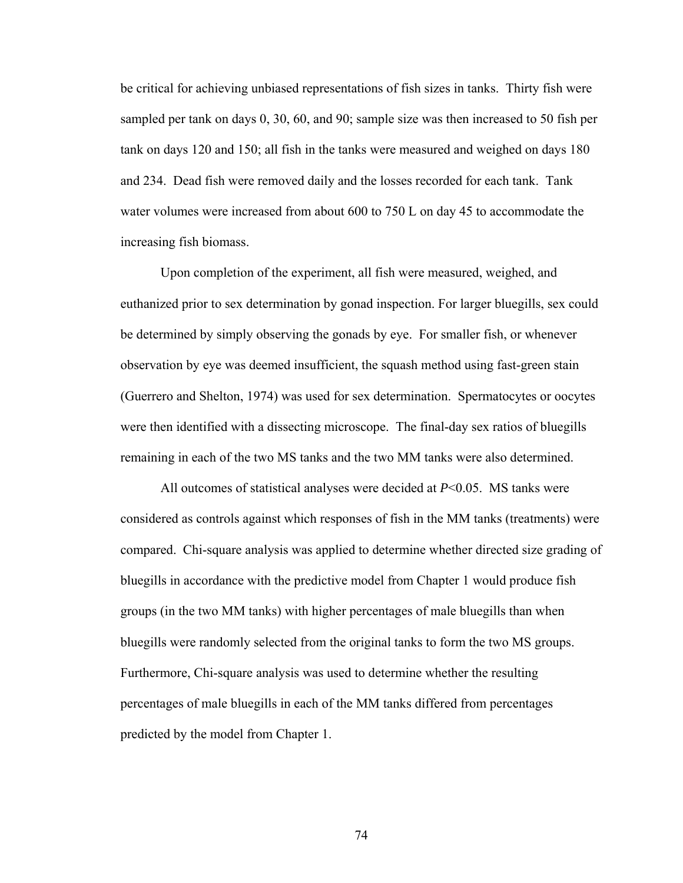be critical for achieving unbiased representations of fish sizes in tanks. Thirty fish were sampled per tank on days 0, 30, 60, and 90; sample size was then increased to 50 fish per tank on days 120 and 150; all fish in the tanks were measured and weighed on days 180 and 234. Dead fish were removed daily and the losses recorded for each tank. Tank water volumes were increased from about 600 to 750 L on day 45 to accommodate the increasing fish biomass.

Upon completion of the experiment, all fish were measured, weighed, and euthanized prior to sex determination by gonad inspection. For larger bluegills, sex could be determined by simply observing the gonads by eye. For smaller fish, or whenever observation by eye was deemed insufficient, the squash method using fast-green stain (Guerrero and Shelton, 1974) was used for sex determination. Spermatocytes or oocytes were then identified with a dissecting microscope. The final-day sex ratios of bluegills remaining in each of the two MS tanks and the two MM tanks were also determined.

All outcomes of statistical analyses were decided at *P*<0.05. MS tanks were considered as controls against which responses of fish in the MM tanks (treatments) were compared. Chi-square analysis was applied to determine whether directed size grading of bluegills in accordance with the predictive model from Chapter 1 would produce fish groups (in the two MM tanks) with higher percentages of male bluegills than when bluegills were randomly selected from the original tanks to form the two MS groups. Furthermore, Chi-square analysis was used to determine whether the resulting percentages of male bluegills in each of the MM tanks differed from percentages predicted by the model from Chapter 1.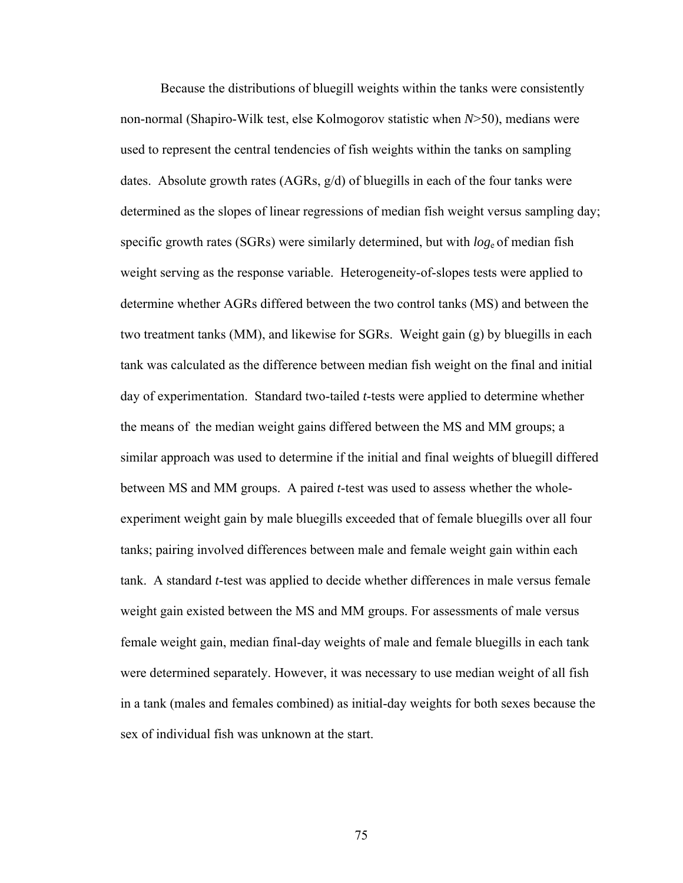Because the distributions of bluegill weights within the tanks were consistently non-normal (Shapiro-Wilk test, else Kolmogorov statistic when *N*>50), medians were used to represent the central tendencies of fish weights within the tanks on sampling dates. Absolute growth rates (AGRs, g/d) of bluegills in each of the four tanks were determined as the slopes of linear regressions of median fish weight versus sampling day; specific growth rates (SGRs) were similarly determined, but with *log*e of median fish weight serving as the response variable. Heterogeneity-of-slopes tests were applied to determine whether AGRs differed between the two control tanks (MS) and between the two treatment tanks (MM), and likewise for SGRs. Weight gain (g) by bluegills in each tank was calculated as the difference between median fish weight on the final and initial day of experimentation. Standard two-tailed *t*-tests were applied to determine whether the means of the median weight gains differed between the MS and MM groups; a similar approach was used to determine if the initial and final weights of bluegill differed between MS and MM groups. A paired *t*-test was used to assess whether the wholeexperiment weight gain by male bluegills exceeded that of female bluegills over all four tanks; pairing involved differences between male and female weight gain within each tank. A standard *t*-test was applied to decide whether differences in male versus female weight gain existed between the MS and MM groups. For assessments of male versus female weight gain, median final-day weights of male and female bluegills in each tank were determined separately. However, it was necessary to use median weight of all fish in a tank (males and females combined) as initial-day weights for both sexes because the sex of individual fish was unknown at the start.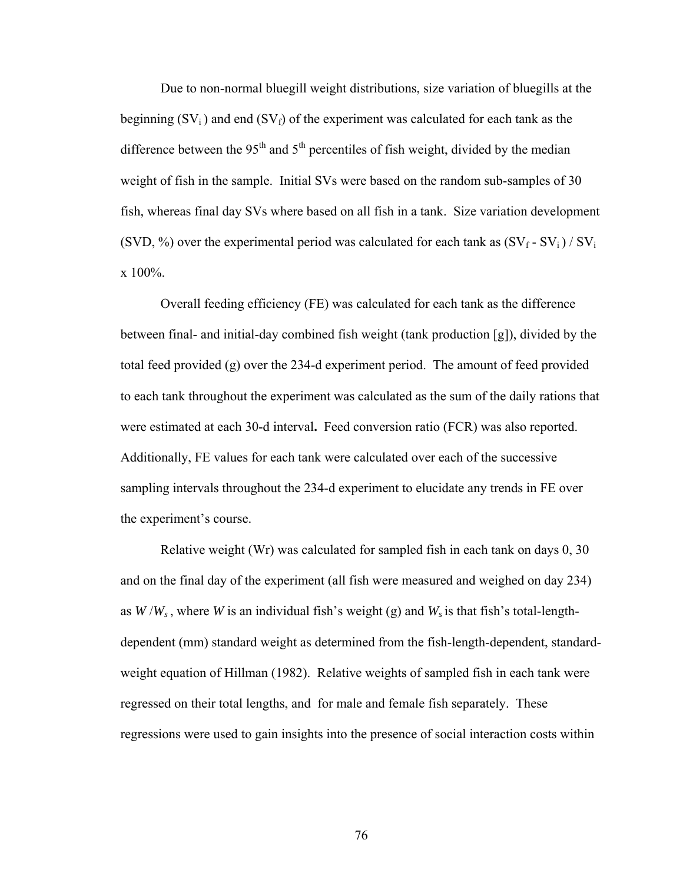Due to non-normal bluegill weight distributions, size variation of bluegills at the beginning  $(SV_i)$  and end  $(SV_f)$  of the experiment was calculated for each tank as the difference between the 95<sup>th</sup> and  $5<sup>th</sup>$  percentiles of fish weight, divided by the median weight of fish in the sample. Initial SVs were based on the random sub-samples of 30 fish, whereas final day SVs where based on all fish in a tank. Size variation development (SVD, %) over the experimental period was calculated for each tank as  $(SV_f - SV_i) / SV_i$ x 100%.

Overall feeding efficiency (FE) was calculated for each tank as the difference between final- and initial-day combined fish weight (tank production [g]), divided by the total feed provided (g) over the 234-d experiment period. The amount of feed provided to each tank throughout the experiment was calculated as the sum of the daily rations that were estimated at each 30-d interval**.** Feed conversion ratio (FCR) was also reported. Additionally, FE values for each tank were calculated over each of the successive sampling intervals throughout the 234-d experiment to elucidate any trends in FE over the experiment's course.

Relative weight (Wr) was calculated for sampled fish in each tank on days 0, 30 and on the final day of the experiment (all fish were measured and weighed on day 234) as  $W/W_s$ , where *W* is an individual fish's weight (g) and  $W_s$  is that fish's total-lengthdependent (mm) standard weight as determined from the fish-length-dependent, standardweight equation of Hillman (1982). Relative weights of sampled fish in each tank were regressed on their total lengths, and for male and female fish separately. These regressions were used to gain insights into the presence of social interaction costs within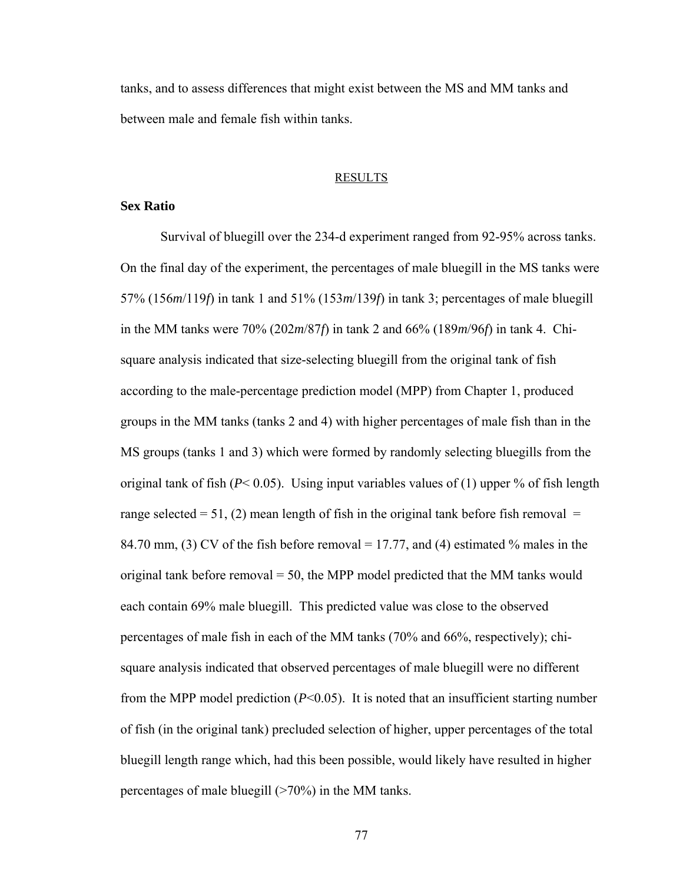tanks, and to assess differences that might exist between the MS and MM tanks and between male and female fish within tanks.

#### RESULTS

### **Sex Ratio**

Survival of bluegill over the 234-d experiment ranged from 92-95% across tanks. On the final day of the experiment, the percentages of male bluegill in the MS tanks were 57% (156*m*/119*f*) in tank 1 and 51% (153*m*/139*f*) in tank 3; percentages of male bluegill in the MM tanks were 70% (202*m*/87*f*) in tank 2 and 66% (189*m*/96*f*) in tank 4. Chisquare analysis indicated that size-selecting bluegill from the original tank of fish according to the male-percentage prediction model (MPP) from Chapter 1, produced groups in the MM tanks (tanks 2 and 4) with higher percentages of male fish than in the MS groups (tanks 1 and 3) which were formed by randomly selecting bluegills from the original tank of fish  $(P< 0.05)$ . Using input variables values of (1) upper % of fish length range selected  $= 51$ , (2) mean length of fish in the original tank before fish removal  $=$ 84.70 mm, (3) CV of the fish before removal = 17.77, and (4) estimated % males in the original tank before removal  $= 50$ , the MPP model predicted that the MM tanks would each contain 69% male bluegill. This predicted value was close to the observed percentages of male fish in each of the MM tanks (70% and 66%, respectively); chisquare analysis indicated that observed percentages of male bluegill were no different from the MPP model prediction (*P*<0.05). It is noted that an insufficient starting number of fish (in the original tank) precluded selection of higher, upper percentages of the total bluegill length range which, had this been possible, would likely have resulted in higher percentages of male bluegill (>70%) in the MM tanks.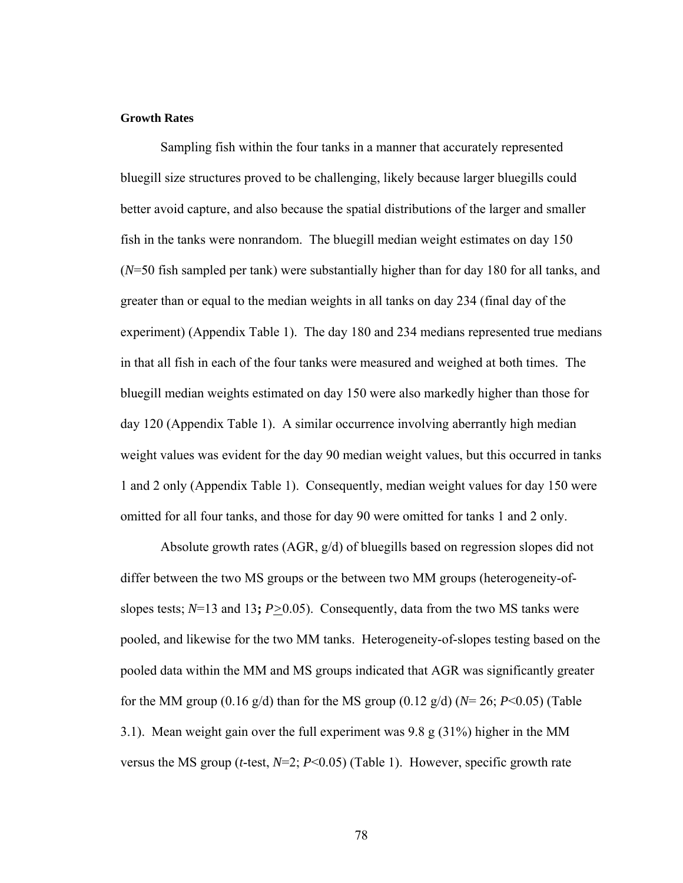#### **Growth Rates**

Sampling fish within the four tanks in a manner that accurately represented bluegill size structures proved to be challenging, likely because larger bluegills could better avoid capture, and also because the spatial distributions of the larger and smaller fish in the tanks were nonrandom. The bluegill median weight estimates on day 150 (*N*=50 fish sampled per tank) were substantially higher than for day 180 for all tanks, and greater than or equal to the median weights in all tanks on day 234 (final day of the experiment) (Appendix Table 1). The day 180 and 234 medians represented true medians in that all fish in each of the four tanks were measured and weighed at both times. The bluegill median weights estimated on day 150 were also markedly higher than those for day 120 (Appendix Table 1). A similar occurrence involving aberrantly high median weight values was evident for the day 90 median weight values, but this occurred in tanks 1 and 2 only (Appendix Table 1). Consequently, median weight values for day 150 were omitted for all four tanks, and those for day 90 were omitted for tanks 1 and 2 only.

Absolute growth rates (AGR, g/d) of bluegills based on regression slopes did not differ between the two MS groups or the between two MM groups (heterogeneity-ofslopes tests; *N*=13 and 13**;** *P>*0.05). Consequently, data from the two MS tanks were pooled, and likewise for the two MM tanks. Heterogeneity-of-slopes testing based on the pooled data within the MM and MS groups indicated that AGR was significantly greater for the MM group (0.16 g/d) than for the MS group (0.12 g/d) (*N*= 26; *P*<0.05) (Table 3.1). Mean weight gain over the full experiment was 9.8 g (31%) higher in the MM versus the MS group (*t*-test, *N*=2; *P*<0.05) (Table 1). However, specific growth rate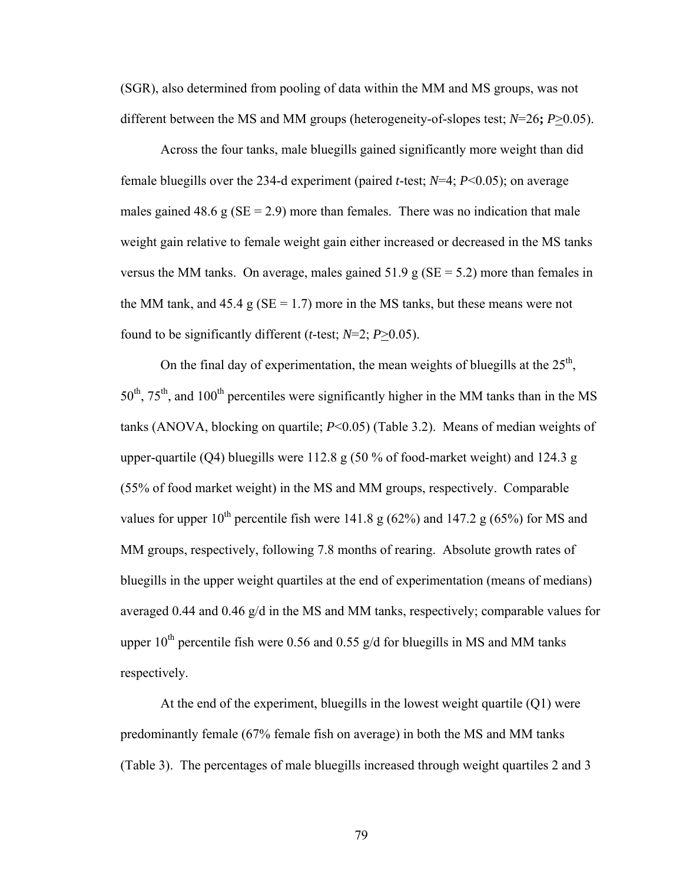(SGR), also determined from pooling of data within the MM and MS groups, was not different between the MS and MM groups (heterogeneity-of-slopes test; *N*=26**;** *P*>0.05).

Across the four tanks, male bluegills gained significantly more weight than did female bluegills over the 234-d experiment (paired *t*-test; *N*=4; *P*<0.05); on average males gained 48.6 g ( $SE = 2.9$ ) more than females. There was no indication that male weight gain relative to female weight gain either increased or decreased in the MS tanks versus the MM tanks. On average, males gained 51.9 g ( $SE = 5.2$ ) more than females in the MM tank, and  $45.4 \text{ g}$  (SE = 1.7) more in the MS tanks, but these means were not found to be significantly different (*t*-test; *N*=2; *P*>0.05).

On the final day of experimentation, the mean weights of bluegills at the  $25<sup>th</sup>$ ,  $50<sup>th</sup>$ ,  $75<sup>th</sup>$ , and  $100<sup>th</sup>$  percentiles were significantly higher in the MM tanks than in the MS tanks (ANOVA, blocking on quartile; *P*<0.05) (Table 3.2). Means of median weights of upper-quartile (Q4) bluegills were 112.8 g (50 % of food-market weight) and 124.3 g (55% of food market weight) in the MS and MM groups, respectively. Comparable values for upper  $10^{th}$  percentile fish were 141.8 g (62%) and 147.2 g (65%) for MS and MM groups, respectively, following 7.8 months of rearing. Absolute growth rates of bluegills in the upper weight quartiles at the end of experimentation (means of medians) averaged 0.44 and 0.46 g/d in the MS and MM tanks, respectively; comparable values for upper  $10^{th}$  percentile fish were 0.56 and 0.55 g/d for bluegills in MS and MM tanks respectively.

At the end of the experiment, bluegills in the lowest weight quartile  $(Q1)$  were predominantly female (67% female fish on average) in both the MS and MM tanks (Table 3). The percentages of male bluegills increased through weight quartiles 2 and 3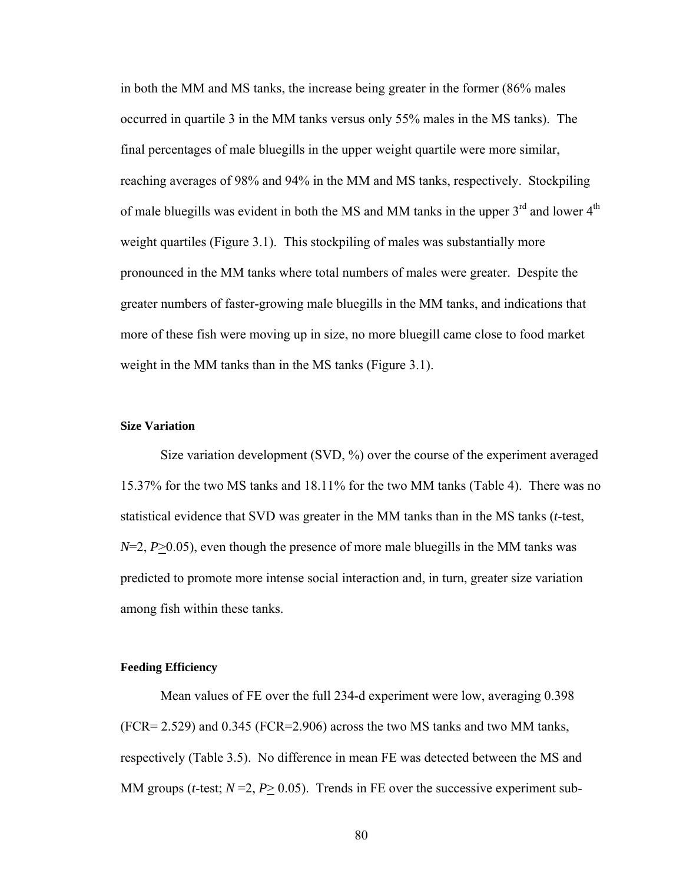in both the MM and MS tanks, the increase being greater in the former (86% males occurred in quartile 3 in the MM tanks versus only 55% males in the MS tanks). The final percentages of male bluegills in the upper weight quartile were more similar, reaching averages of 98% and 94% in the MM and MS tanks, respectively. Stockpiling of male bluegills was evident in both the MS and MM tanks in the upper  $3<sup>rd</sup>$  and lower  $4<sup>th</sup>$ weight quartiles (Figure 3.1). This stockpiling of males was substantially more pronounced in the MM tanks where total numbers of males were greater. Despite the greater numbers of faster-growing male bluegills in the MM tanks, and indications that more of these fish were moving up in size, no more bluegill came close to food market weight in the MM tanks than in the MS tanks (Figure 3.1).

### **Size Variation**

 Size variation development (SVD, %) over the course of the experiment averaged 15.37% for the two MS tanks and 18.11% for the two MM tanks (Table 4). There was no statistical evidence that SVD was greater in the MM tanks than in the MS tanks (*t*-test,  $N=2$ ,  $P>0.05$ ), even though the presence of more male bluegills in the MM tanks was predicted to promote more intense social interaction and, in turn, greater size variation among fish within these tanks.

#### **Feeding Efficiency**

Mean values of FE over the full 234-d experiment were low, averaging 0.398 (FCR= 2.529) and 0.345 (FCR=2.906) across the two MS tanks and two MM tanks, respectively (Table 3.5). No difference in mean FE was detected between the MS and MM groups (*t*-test;  $N = 2$ ,  $P \ge 0.05$ ). Trends in FE over the successive experiment sub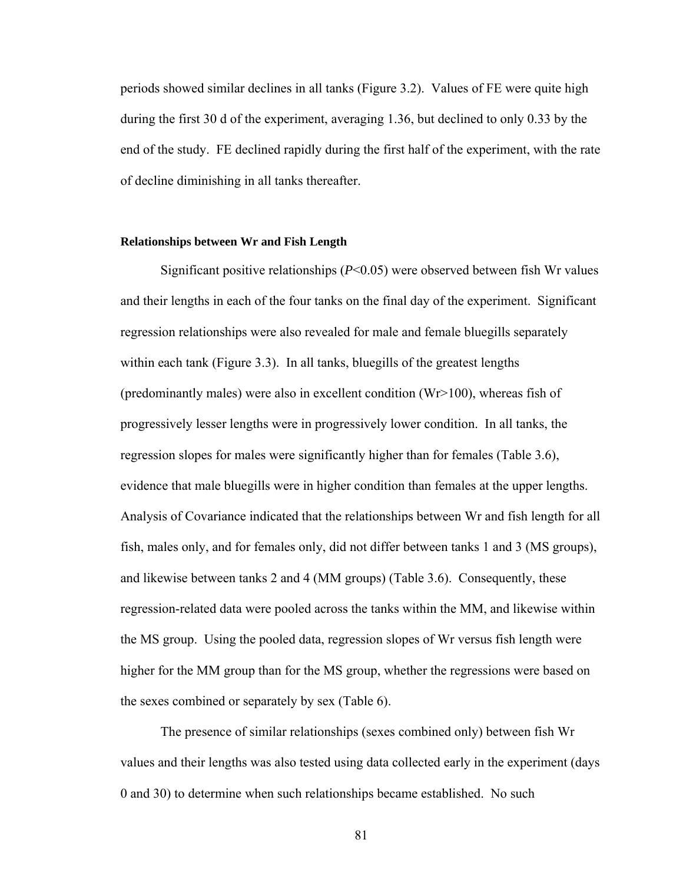periods showed similar declines in all tanks (Figure 3.2). Values of FE were quite high during the first 30 d of the experiment, averaging 1.36, but declined to only 0.33 by the end of the study. FE declined rapidly during the first half of the experiment, with the rate of decline diminishing in all tanks thereafter.

# **Relationships between Wr and Fish Length**

Significant positive relationships (*P*<0.05) were observed between fish Wr values and their lengths in each of the four tanks on the final day of the experiment. Significant regression relationships were also revealed for male and female bluegills separately within each tank (Figure 3.3). In all tanks, bluegills of the greatest lengths (predominantly males) were also in excellent condition (Wr>100), whereas fish of progressively lesser lengths were in progressively lower condition. In all tanks, the regression slopes for males were significantly higher than for females (Table 3.6), evidence that male bluegills were in higher condition than females at the upper lengths. Analysis of Covariance indicated that the relationships between Wr and fish length for all fish, males only, and for females only, did not differ between tanks 1 and 3 (MS groups), and likewise between tanks 2 and 4 (MM groups) (Table 3.6). Consequently, these regression-related data were pooled across the tanks within the MM, and likewise within the MS group. Using the pooled data, regression slopes of Wr versus fish length were higher for the MM group than for the MS group, whether the regressions were based on the sexes combined or separately by sex (Table 6).

The presence of similar relationships (sexes combined only) between fish Wr values and their lengths was also tested using data collected early in the experiment (days 0 and 30) to determine when such relationships became established. No such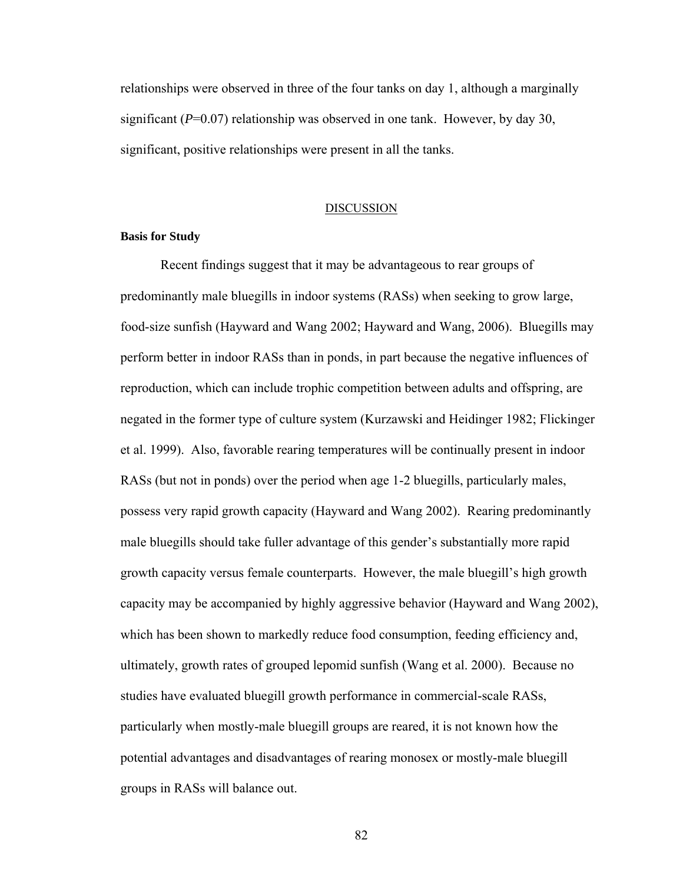relationships were observed in three of the four tanks on day 1, although a marginally significant  $(P=0.07)$  relationship was observed in one tank. However, by day 30, significant, positive relationships were present in all the tanks.

#### DISCUSSION

# **Basis for Study**

Recent findings suggest that it may be advantageous to rear groups of predominantly male bluegills in indoor systems (RASs) when seeking to grow large, food-size sunfish (Hayward and Wang 2002; Hayward and Wang, 2006). Bluegills may perform better in indoor RASs than in ponds, in part because the negative influences of reproduction, which can include trophic competition between adults and offspring, are negated in the former type of culture system (Kurzawski and Heidinger 1982; Flickinger et al. 1999). Also, favorable rearing temperatures will be continually present in indoor RASs (but not in ponds) over the period when age 1-2 bluegills, particularly males, possess very rapid growth capacity (Hayward and Wang 2002). Rearing predominantly male bluegills should take fuller advantage of this gender's substantially more rapid growth capacity versus female counterparts. However, the male bluegill's high growth capacity may be accompanied by highly aggressive behavior (Hayward and Wang 2002), which has been shown to markedly reduce food consumption, feeding efficiency and, ultimately, growth rates of grouped lepomid sunfish (Wang et al. 2000). Because no studies have evaluated bluegill growth performance in commercial-scale RASs, particularly when mostly-male bluegill groups are reared, it is not known how the potential advantages and disadvantages of rearing monosex or mostly-male bluegill groups in RASs will balance out.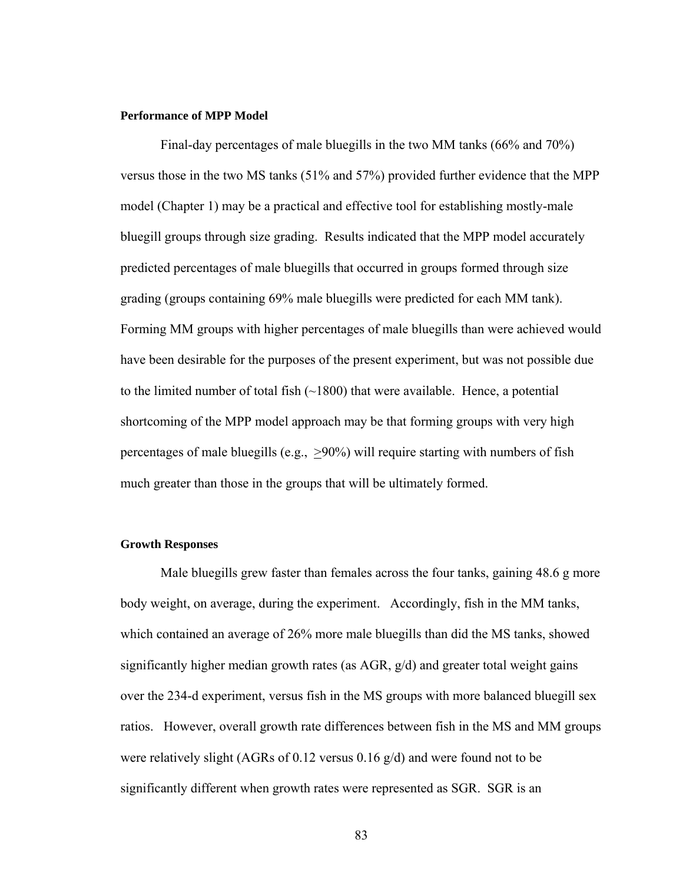#### **Performance of MPP Model**

Final-day percentages of male bluegills in the two MM tanks (66% and 70%) versus those in the two MS tanks (51% and 57%) provided further evidence that the MPP model (Chapter 1) may be a practical and effective tool for establishing mostly-male bluegill groups through size grading. Results indicated that the MPP model accurately predicted percentages of male bluegills that occurred in groups formed through size grading (groups containing 69% male bluegills were predicted for each MM tank). Forming MM groups with higher percentages of male bluegills than were achieved would have been desirable for the purposes of the present experiment, but was not possible due to the limited number of total fish  $(\sim 1800)$  that were available. Hence, a potential shortcoming of the MPP model approach may be that forming groups with very high percentages of male bluegills (e.g., >90%) will require starting with numbers of fish much greater than those in the groups that will be ultimately formed.

#### **Growth Responses**

Male bluegills grew faster than females across the four tanks, gaining 48.6 g more body weight, on average, during the experiment. Accordingly, fish in the MM tanks, which contained an average of 26% more male bluegills than did the MS tanks, showed significantly higher median growth rates (as  $AGR$ ,  $g/d$ ) and greater total weight gains over the 234-d experiment, versus fish in the MS groups with more balanced bluegill sex ratios. However, overall growth rate differences between fish in the MS and MM groups were relatively slight (AGRs of 0.12 versus 0.16 g/d) and were found not to be significantly different when growth rates were represented as SGR. SGR is an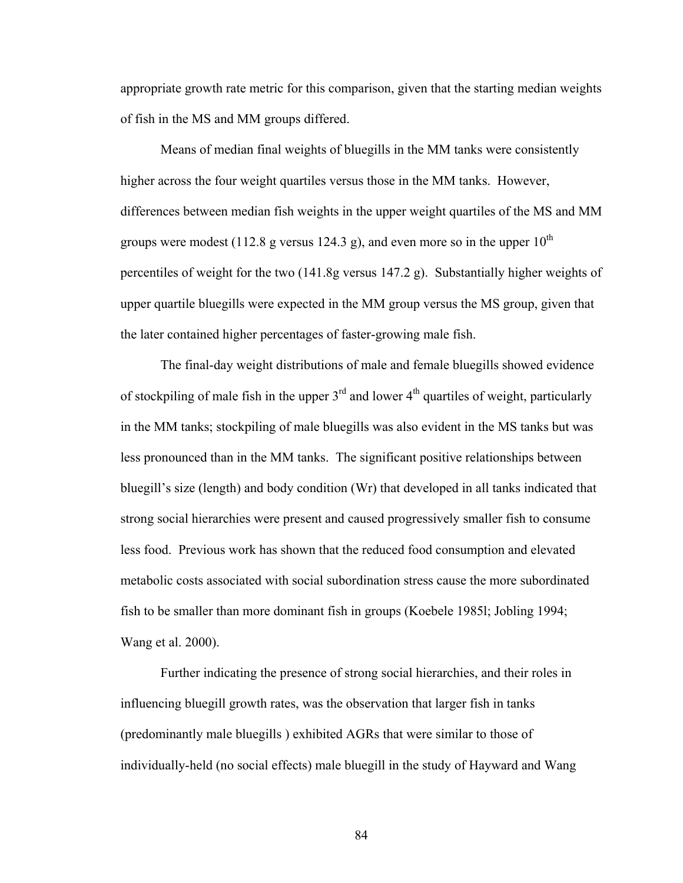appropriate growth rate metric for this comparison, given that the starting median weights of fish in the MS and MM groups differed.

Means of median final weights of bluegills in the MM tanks were consistently higher across the four weight quartiles versus those in the MM tanks. However, differences between median fish weights in the upper weight quartiles of the MS and MM groups were modest (112.8 g versus 124.3 g), and even more so in the upper  $10^{th}$ percentiles of weight for the two (141.8g versus 147.2 g). Substantially higher weights of upper quartile bluegills were expected in the MM group versus the MS group, given that the later contained higher percentages of faster-growing male fish.

 The final-day weight distributions of male and female bluegills showed evidence of stockpiling of male fish in the upper  $3<sup>rd</sup>$  and lower  $4<sup>th</sup>$  quartiles of weight, particularly in the MM tanks; stockpiling of male bluegills was also evident in the MS tanks but was less pronounced than in the MM tanks. The significant positive relationships between bluegill's size (length) and body condition (Wr) that developed in all tanks indicated that strong social hierarchies were present and caused progressively smaller fish to consume less food. Previous work has shown that the reduced food consumption and elevated metabolic costs associated with social subordination stress cause the more subordinated fish to be smaller than more dominant fish in groups (Koebele 1985l; Jobling 1994; Wang et al. 2000).

Further indicating the presence of strong social hierarchies, and their roles in influencing bluegill growth rates, was the observation that larger fish in tanks (predominantly male bluegills ) exhibited AGRs that were similar to those of individually-held (no social effects) male bluegill in the study of Hayward and Wang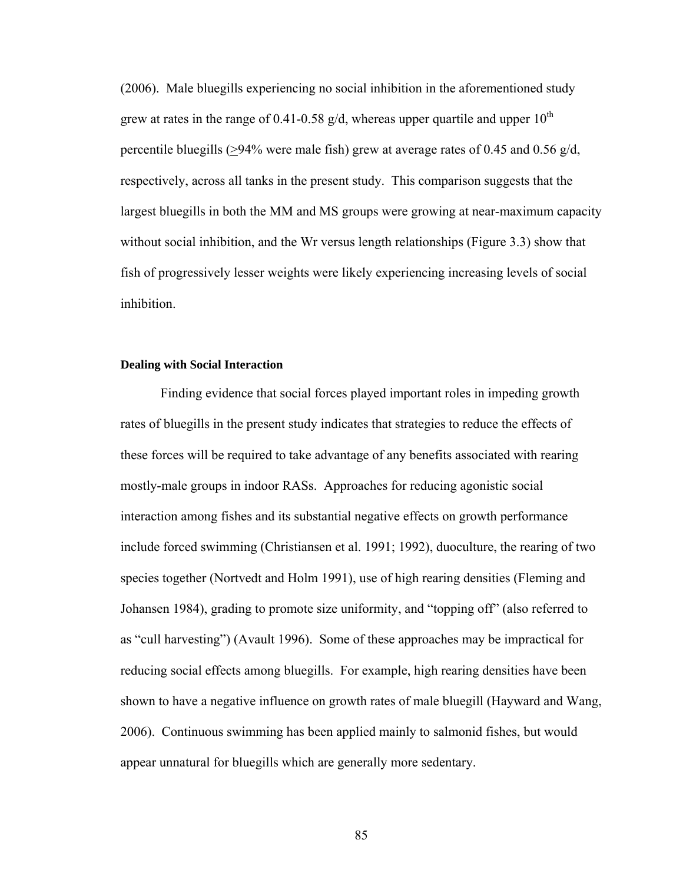(2006). Male bluegills experiencing no social inhibition in the aforementioned study grew at rates in the range of 0.41-0.58 g/d, whereas upper quartile and upper  $10^{th}$ percentile bluegills (>94% were male fish) grew at average rates of 0.45 and 0.56 g/d, respectively, across all tanks in the present study. This comparison suggests that the largest bluegills in both the MM and MS groups were growing at near-maximum capacity without social inhibition, and the Wr versus length relationships (Figure 3.3) show that fish of progressively lesser weights were likely experiencing increasing levels of social inhibition.

# **Dealing with Social Interaction**

Finding evidence that social forces played important roles in impeding growth rates of bluegills in the present study indicates that strategies to reduce the effects of these forces will be required to take advantage of any benefits associated with rearing mostly-male groups in indoor RASs. Approaches for reducing agonistic social interaction among fishes and its substantial negative effects on growth performance include forced swimming (Christiansen et al. 1991; 1992), duoculture, the rearing of two species together (Nortvedt and Holm 1991), use of high rearing densities (Fleming and Johansen 1984), grading to promote size uniformity, and "topping off" (also referred to as "cull harvesting") (Avault 1996). Some of these approaches may be impractical for reducing social effects among bluegills. For example, high rearing densities have been shown to have a negative influence on growth rates of male bluegill (Hayward and Wang, 2006). Continuous swimming has been applied mainly to salmonid fishes, but would appear unnatural for bluegills which are generally more sedentary.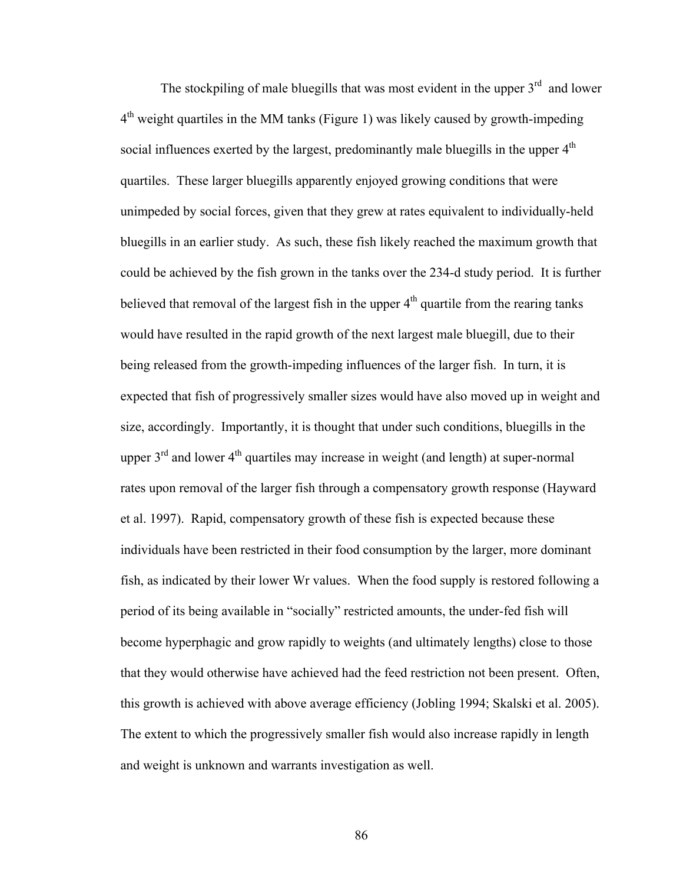The stockpiling of male bluegills that was most evident in the upper  $3<sup>rd</sup>$  and lower  $4<sup>th</sup>$  weight quartiles in the MM tanks (Figure 1) was likely caused by growth-impeding social influences exerted by the largest, predominantly male bluegills in the upper  $4<sup>th</sup>$ quartiles. These larger bluegills apparently enjoyed growing conditions that were unimpeded by social forces, given that they grew at rates equivalent to individually-held bluegills in an earlier study. As such, these fish likely reached the maximum growth that could be achieved by the fish grown in the tanks over the 234-d study period. It is further believed that removal of the largest fish in the upper  $4<sup>th</sup>$  quartile from the rearing tanks would have resulted in the rapid growth of the next largest male bluegill, due to their being released from the growth-impeding influences of the larger fish. In turn, it is expected that fish of progressively smaller sizes would have also moved up in weight and size, accordingly. Importantly, it is thought that under such conditions, bluegills in the upper  $3<sup>rd</sup>$  and lower  $4<sup>th</sup>$  quartiles may increase in weight (and length) at super-normal rates upon removal of the larger fish through a compensatory growth response (Hayward et al. 1997). Rapid, compensatory growth of these fish is expected because these individuals have been restricted in their food consumption by the larger, more dominant fish, as indicated by their lower Wr values. When the food supply is restored following a period of its being available in "socially" restricted amounts, the under-fed fish will become hyperphagic and grow rapidly to weights (and ultimately lengths) close to those that they would otherwise have achieved had the feed restriction not been present. Often, this growth is achieved with above average efficiency (Jobling 1994; Skalski et al. 2005). The extent to which the progressively smaller fish would also increase rapidly in length and weight is unknown and warrants investigation as well.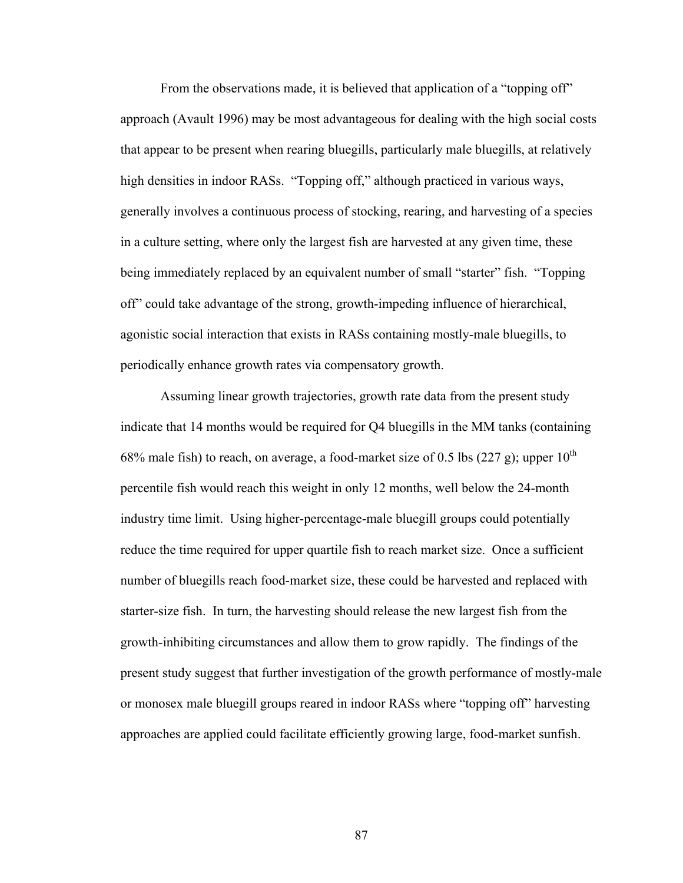From the observations made, it is believed that application of a "topping off" approach (Avault 1996) may be most advantageous for dealing with the high social costs that appear to be present when rearing bluegills, particularly male bluegills, at relatively high densities in indoor RASs. "Topping off," although practiced in various ways, generally involves a continuous process of stocking, rearing, and harvesting of a species in a culture setting, where only the largest fish are harvested at any given time, these being immediately replaced by an equivalent number of small "starter" fish. "Topping off" could take advantage of the strong, growth-impeding influence of hierarchical, agonistic social interaction that exists in RASs containing mostly-male bluegills, to periodically enhance growth rates via compensatory growth.

Assuming linear growth trajectories, growth rate data from the present study indicate that 14 months would be required for Q4 bluegills in the MM tanks (containing 68% male fish) to reach, on average, a food-market size of 0.5 lbs (227 g); upper  $10^{th}$ percentile fish would reach this weight in only 12 months, well below the 24-month industry time limit. Using higher-percentage-male bluegill groups could potentially reduce the time required for upper quartile fish to reach market size. Once a sufficient number of bluegills reach food-market size, these could be harvested and replaced with starter-size fish. In turn, the harvesting should release the new largest fish from the growth-inhibiting circumstances and allow them to grow rapidly. The findings of the present study suggest that further investigation of the growth performance of mostly-male or monosex male bluegill groups reared in indoor RASs where "topping off" harvesting approaches are applied could facilitate efficiently growing large, food-market sunfish.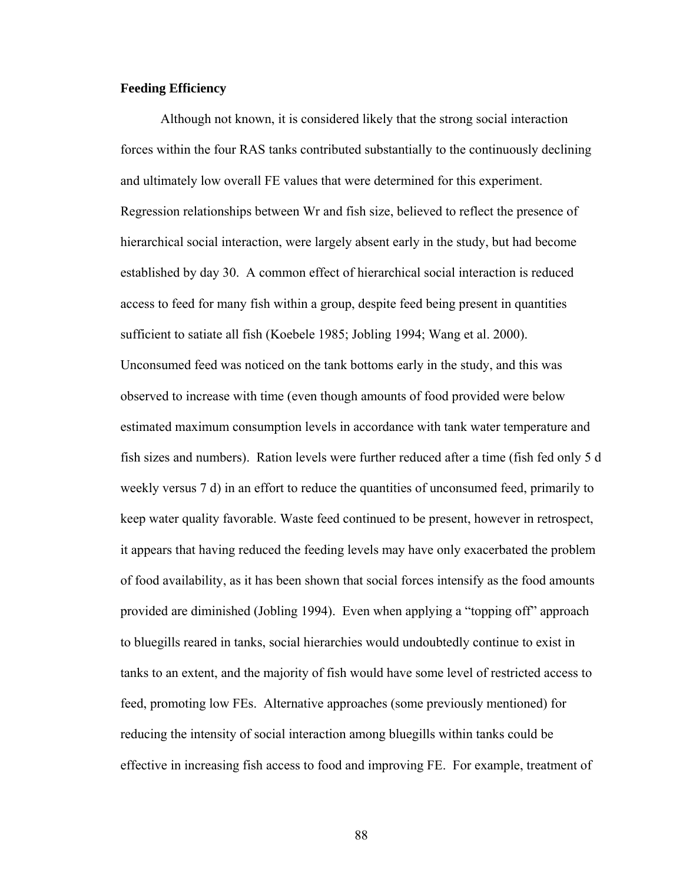# **Feeding Efficiency**

Although not known, it is considered likely that the strong social interaction forces within the four RAS tanks contributed substantially to the continuously declining and ultimately low overall FE values that were determined for this experiment. Regression relationships between Wr and fish size, believed to reflect the presence of hierarchical social interaction, were largely absent early in the study, but had become established by day 30. A common effect of hierarchical social interaction is reduced access to feed for many fish within a group, despite feed being present in quantities sufficient to satiate all fish (Koebele 1985; Jobling 1994; Wang et al. 2000). Unconsumed feed was noticed on the tank bottoms early in the study, and this was observed to increase with time (even though amounts of food provided were below estimated maximum consumption levels in accordance with tank water temperature and fish sizes and numbers). Ration levels were further reduced after a time (fish fed only 5 d weekly versus 7 d) in an effort to reduce the quantities of unconsumed feed, primarily to keep water quality favorable. Waste feed continued to be present, however in retrospect, it appears that having reduced the feeding levels may have only exacerbated the problem of food availability, as it has been shown that social forces intensify as the food amounts provided are diminished (Jobling 1994). Even when applying a "topping off" approach to bluegills reared in tanks, social hierarchies would undoubtedly continue to exist in tanks to an extent, and the majority of fish would have some level of restricted access to feed, promoting low FEs. Alternative approaches (some previously mentioned) for reducing the intensity of social interaction among bluegills within tanks could be effective in increasing fish access to food and improving FE. For example, treatment of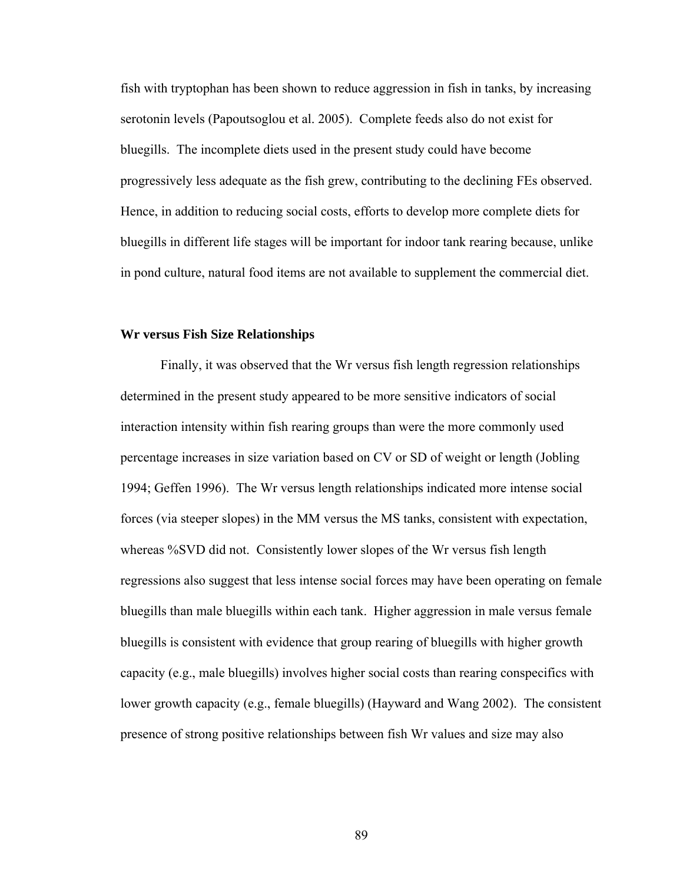fish with tryptophan has been shown to reduce aggression in fish in tanks, by increasing serotonin levels (Papoutsoglou et al. 2005). Complete feeds also do not exist for bluegills. The incomplete diets used in the present study could have become progressively less adequate as the fish grew, contributing to the declining FEs observed. Hence, in addition to reducing social costs, efforts to develop more complete diets for bluegills in different life stages will be important for indoor tank rearing because, unlike in pond culture, natural food items are not available to supplement the commercial diet.

### **Wr versus Fish Size Relationships**

Finally, it was observed that the Wr versus fish length regression relationships determined in the present study appeared to be more sensitive indicators of social interaction intensity within fish rearing groups than were the more commonly used percentage increases in size variation based on CV or SD of weight or length (Jobling 1994; Geffen 1996). The Wr versus length relationships indicated more intense social forces (via steeper slopes) in the MM versus the MS tanks, consistent with expectation, whereas %SVD did not. Consistently lower slopes of the Wr versus fish length regressions also suggest that less intense social forces may have been operating on female bluegills than male bluegills within each tank. Higher aggression in male versus female bluegills is consistent with evidence that group rearing of bluegills with higher growth capacity (e.g., male bluegills) involves higher social costs than rearing conspecifics with lower growth capacity (e.g., female bluegills) (Hayward and Wang 2002). The consistent presence of strong positive relationships between fish Wr values and size may also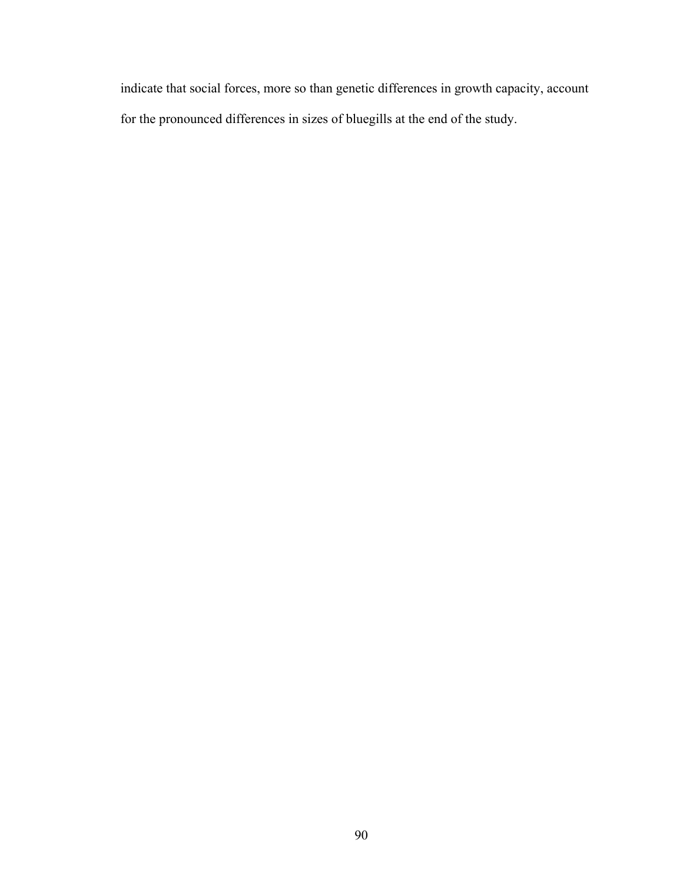indicate that social forces, more so than genetic differences in growth capacity, account for the pronounced differences in sizes of bluegills at the end of the study.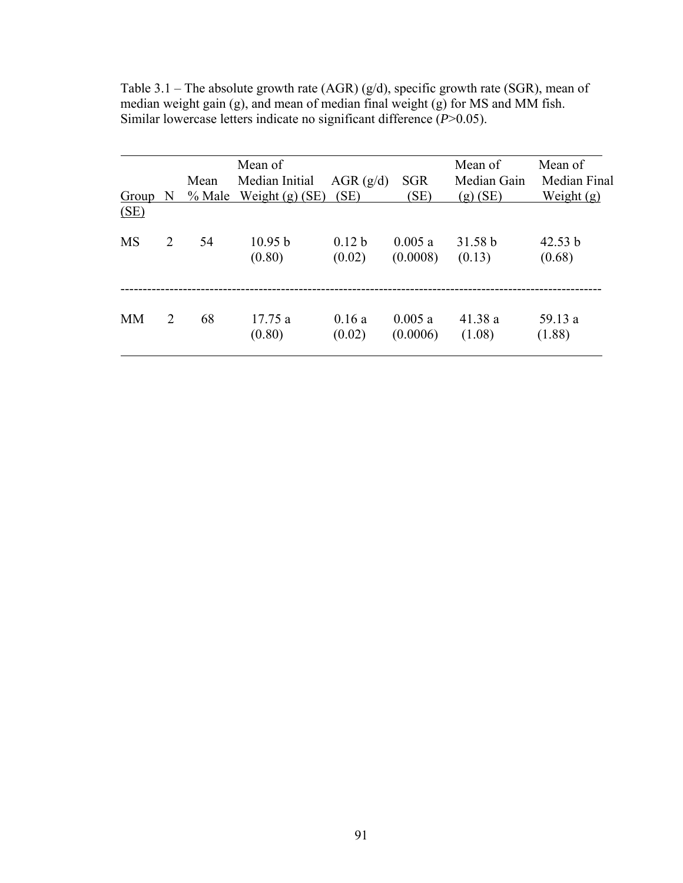|           |                       | Mean   | Mean of<br>Median Initial | AGR(g/d)                    | <b>SGR</b>         | Mean of<br>Median Gain | Mean of<br>Median Final |
|-----------|-----------------------|--------|---------------------------|-----------------------------|--------------------|------------------------|-------------------------|
| Group     | N                     | % Male | Weight $(g)$ (SE)         | (SE)                        | (SE)               | $(g)$ (SE)             | Weight $(g)$            |
| (SE)      |                       |        |                           |                             |                    |                        |                         |
| <b>MS</b> | $\mathcal{D}$         | 54     | 10.95 b<br>(0.80)         | 0.12 <sub>b</sub><br>(0.02) | 0.005a<br>(0.0008) | 31.58 b<br>(0.13)      | 42.53 b<br>(0.68)       |
| <b>MM</b> | $\mathcal{D}_{\cdot}$ | 68     | 17.75 a<br>(0.80)         | 0.16a<br>(0.02)             | 0.005a<br>(0.0006) | 41.38 a<br>(1.08)      | 59.13 a<br>(1.88)       |

Table 3.1 – The absolute growth rate (AGR) (g/d), specific growth rate (SGR), mean of median weight gain (g), and mean of median final weight (g) for MS and MM fish. Similar lowercase letters indicate no significant difference (*P*>0.05).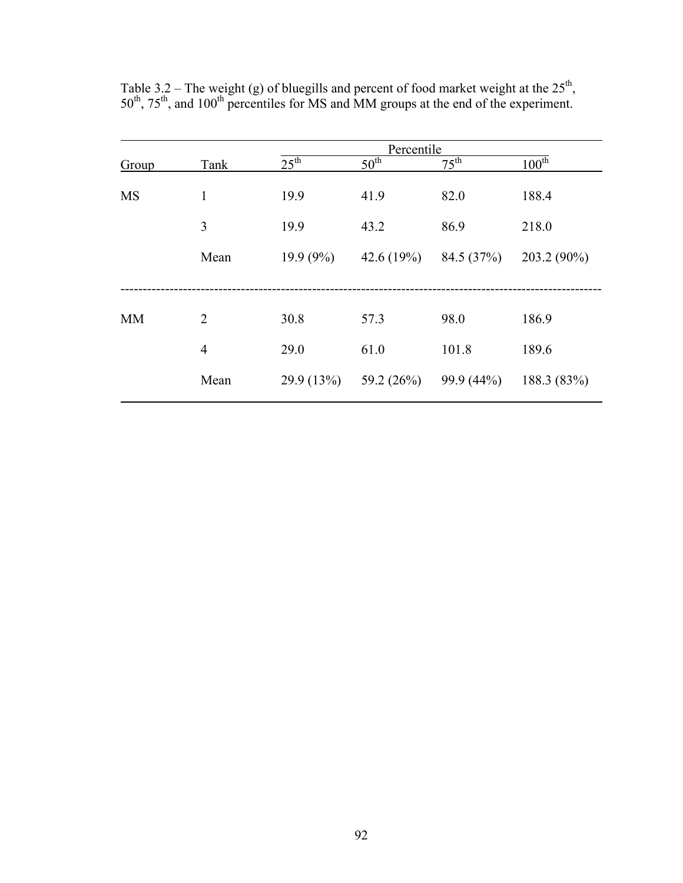|           |                |                  |                  | Percentile       |                       |
|-----------|----------------|------------------|------------------|------------------|-----------------------|
| Group     | Tank           | $25^{\text{th}}$ | 50 <sup>th</sup> | $75^{\text{th}}$ | $100^{\overline{th}}$ |
| <b>MS</b> | 1              | 19.9             | 41.9             | 82.0             | 188.4                 |
|           | 3              | 19.9             | 43.2             | 86.9             | 218.0                 |
|           | Mean           | $19.9(9\%)$      | 42.6 $(19%)$     | 84.5 (37%)       | 203.2 (90%)           |
|           |                |                  |                  |                  |                       |
| <b>MM</b> | $\overline{2}$ | 30.8             | 57.3             | 98.0             | 186.9                 |
|           | $\overline{4}$ | 29.0             | 61.0             | 101.8            | 189.6                 |
|           | Mean           | 29.9(13%)        | 59.2 (26%)       | 99.9 (44%)       | 188.3 (83%)           |

Table 3.2 – The weight (g) of bluegills and percent of food market weight at the  $25<sup>th</sup>$ , 50<sup>th</sup>, 75<sup>th</sup>, and 100<sup>th</sup> percentiles for MS and MM groups at the end of the experiment.

 $\overline{a}$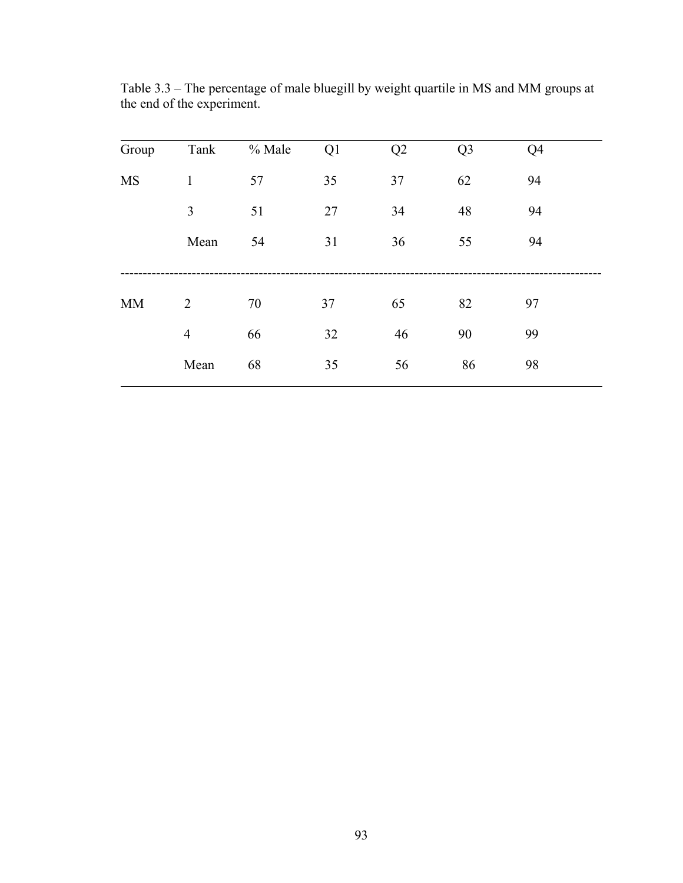| Group     | Tank           | % Male | Q1 | Q2 | Q <sub>3</sub> | Q <sub>4</sub> |  |
|-----------|----------------|--------|----|----|----------------|----------------|--|
|           |                |        |    |    |                |                |  |
| <b>MS</b> | $\mathbf{1}$   | 57     | 35 | 37 | 62             | 94             |  |
|           | 3              | 51     | 27 | 34 | 48             | 94             |  |
|           | Mean           | 54     | 31 | 36 | 55             | 94             |  |
|           |                |        |    |    |                |                |  |
| MM        | $\overline{2}$ | 70     | 37 | 65 | 82             | 97             |  |
|           | $\overline{4}$ | 66     | 32 | 46 | 90             | 99             |  |
|           | Mean           | 68     | 35 | 56 | 86             | 98             |  |

Table 3.3 – The percentage of male bluegill by weight quartile in MS and MM groups at the end of the experiment.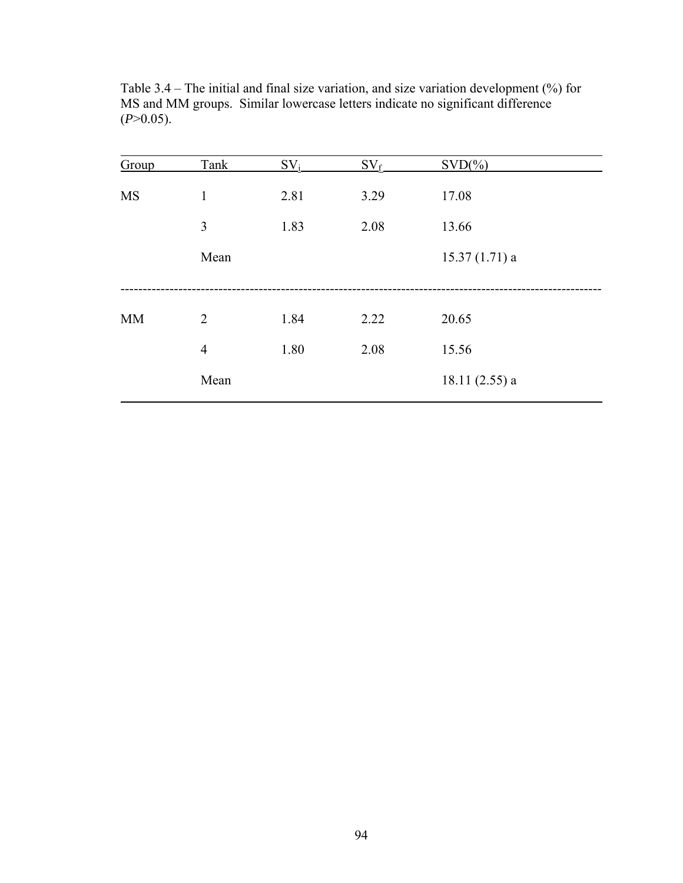| Group     | Tank           | $SV_i$ | $SV_f$ | $SVD(\% )$      |  |
|-----------|----------------|--------|--------|-----------------|--|
| <b>MS</b> | 1              | 2.81   | 3.29   | 17.08           |  |
|           | $\overline{3}$ | 1.83   | 2.08   | 13.66           |  |
|           | Mean           |        |        | $15.37(1.71)$ a |  |
|           |                |        |        |                 |  |
| <b>MM</b> | $\overline{2}$ | 1.84   | 2.22   | 20.65           |  |
|           | $\overline{4}$ | 1.80   | 2.08   | 15.56           |  |
|           | Mean           |        |        | $18.11(2.55)$ a |  |

Table 3.4 – The initial and final size variation, and size variation development (%) for MS and MM groups. Similar lowercase letters indicate no significant difference  $(P>0.05)$ .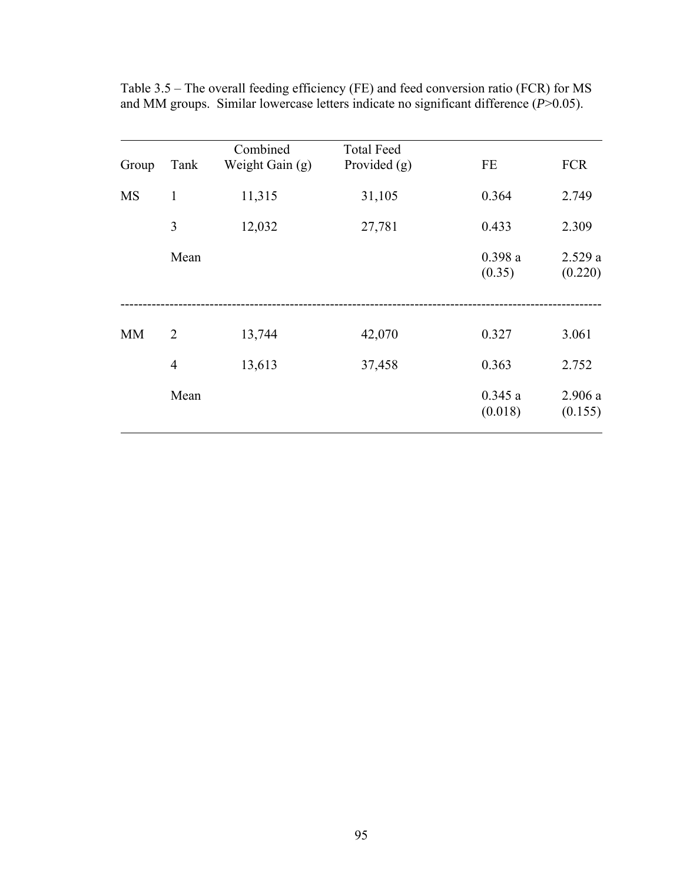| Group     | Tank           | Combined<br>Weight Gain (g) | <b>Total Feed</b><br>Provided $(g)$ | FE                | <b>FCR</b>        |
|-----------|----------------|-----------------------------|-------------------------------------|-------------------|-------------------|
| <b>MS</b> | 1              | 11,315                      | 31,105                              | 0.364             | 2.749             |
|           | 3              | 12,032                      | 27,781                              | 0.433             | 2.309             |
|           | Mean           |                             |                                     | 0.398a<br>(0.35)  | 2.529a<br>(0.220) |
| <b>MM</b> | $\overline{2}$ | 13,744                      | 42,070                              | 0.327             | 3.061             |
|           | $\overline{4}$ | 13,613                      | 37,458                              | 0.363             | 2.752             |
|           | Mean           |                             |                                     | 0.345a<br>(0.018) | 2.906a<br>(0.155) |

Table 3.5 – The overall feeding efficiency (FE) and feed conversion ratio (FCR) for MS and MM groups. Similar lowercase letters indicate no significant difference (*P*>0.05).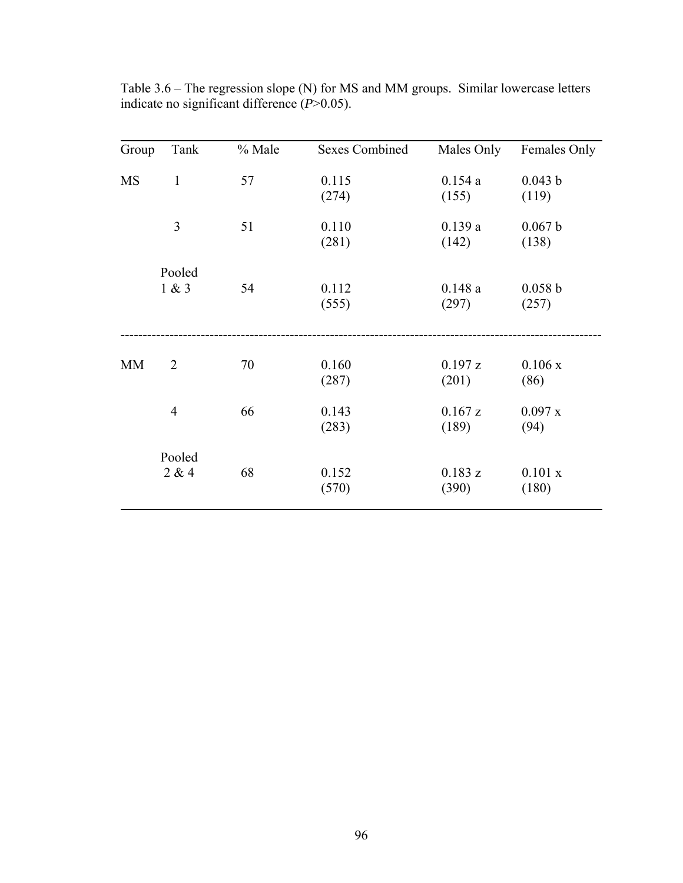| Group     | Tank            | % Male | <b>Sexes Combined</b> | Males Only       | Females Only     |
|-----------|-----------------|--------|-----------------------|------------------|------------------|
| <b>MS</b> | $\mathbf{1}$    | 57     | 0.115<br>(274)        | 0.154a<br>(155)  | 0.043 b<br>(119) |
|           | 3               | 51     | 0.110<br>(281)        | 0.139a<br>(142)  | 0.067 b<br>(138) |
|           | Pooled<br>1 & 3 | 54     | 0.112<br>(555)        | 0.148a<br>(297)  | 0.058 b<br>(257) |
| <b>MM</b> | $\overline{2}$  | 70     | 0.160<br>(287)        | 0.197 z<br>(201) | 0.106x<br>(86)   |
|           | $\overline{4}$  | 66     | 0.143<br>(283)        | 0.167 z<br>(189) | 0.097 x<br>(94)  |
|           | Pooled<br>2 & 4 | 68     | 0.152<br>(570)        | 0.183 z<br>(390) | 0.101 x<br>(180) |

Table 3.6 – The regression slope (N) for MS and MM groups. Similar lowercase letters indicate no significant difference (*P*>0.05).

 $\overline{a}$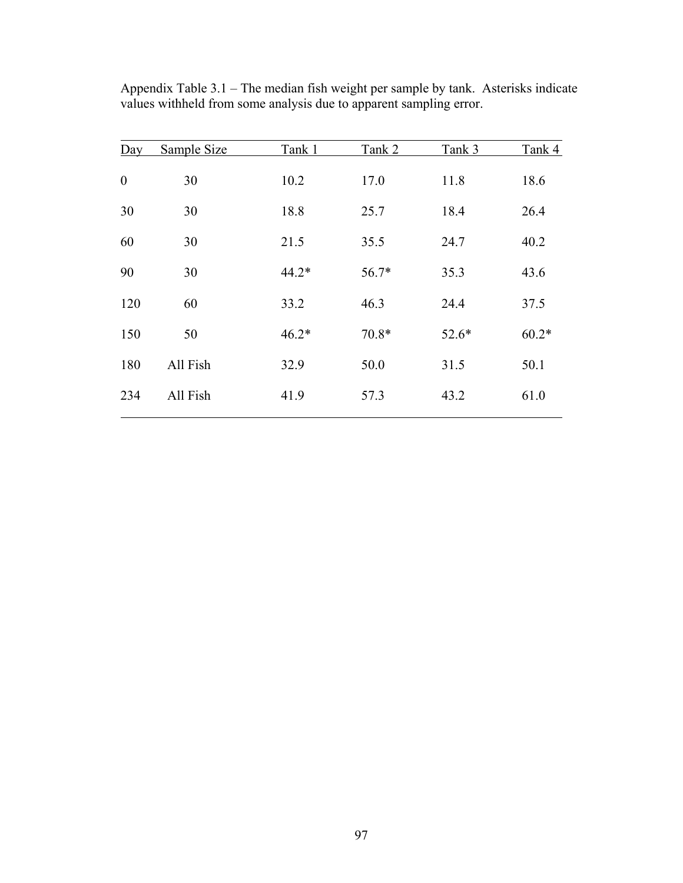| $\overline{Day}$ | Sample Size | Tank 1  | Tank 2  | Tank 3  | Tank 4  |
|------------------|-------------|---------|---------|---------|---------|
| $\boldsymbol{0}$ | 30          | 10.2    | 17.0    | 11.8    | 18.6    |
| 30               | 30          | 18.8    | 25.7    | 18.4    | 26.4    |
| 60               | 30          | 21.5    | 35.5    | 24.7    | 40.2    |
| 90               | 30          | $44.2*$ | 56.7*   | 35.3    | 43.6    |
| 120              | 60          | 33.2    | 46.3    | 24.4    | 37.5    |
| 150              | 50          | $46.2*$ | $70.8*$ | $52.6*$ | $60.2*$ |
| 180              | All Fish    | 32.9    | 50.0    | 31.5    | 50.1    |
| 234              | All Fish    | 41.9    | 57.3    | 43.2    | 61.0    |

Appendix Table 3.1 – The median fish weight per sample by tank. Asterisks indicate values withheld from some analysis due to apparent sampling error.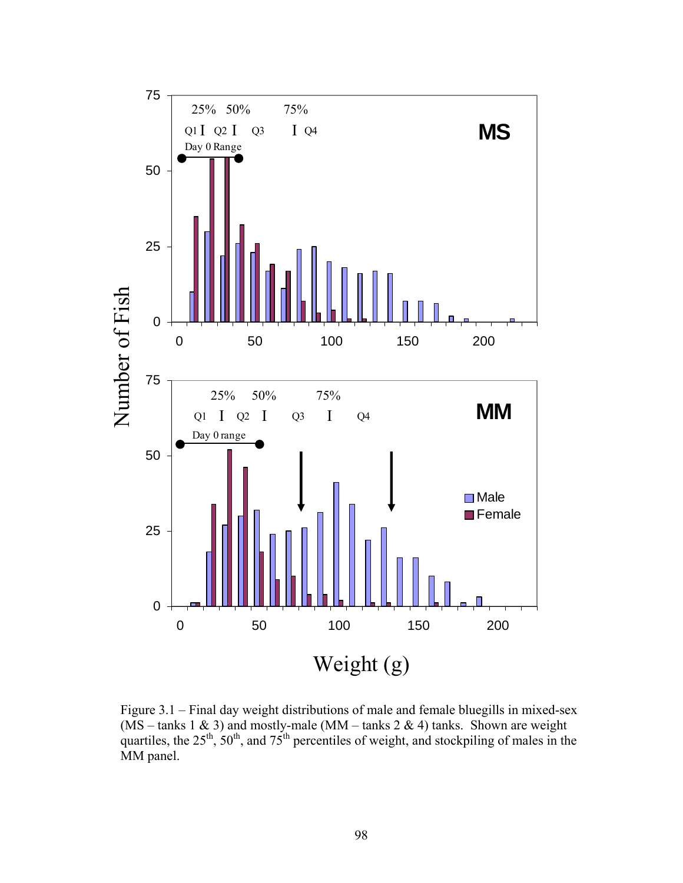

Figure 3.1 – Final day weight distributions of male and female bluegills in mixed-sex  $(MS - \text{tanks } 1 \& 3)$  and mostly-male  $(MM - \text{tanks } 2 \& 4)$  tanks. Shown are weight quartiles, the  $25^{th}$ ,  $50^{th}$ , and  $75^{th}$  percentiles of weight, and stockpiling of males in the MM panel.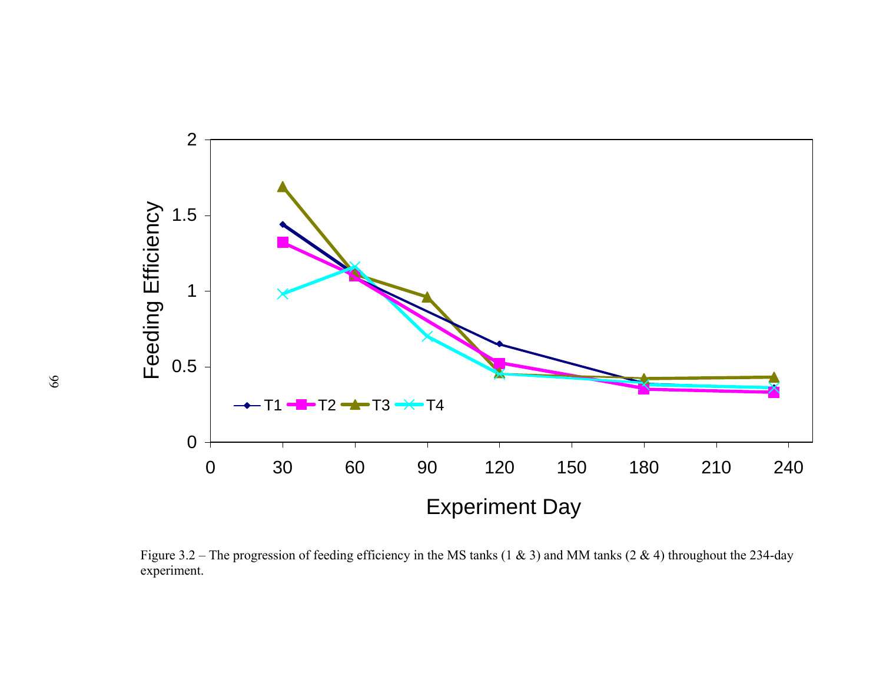

Figure 3.2 – The progression of feeding efficiency in the MS tanks (1 & 3) and MM tanks (2 & 4) throughout the 234-day experiment.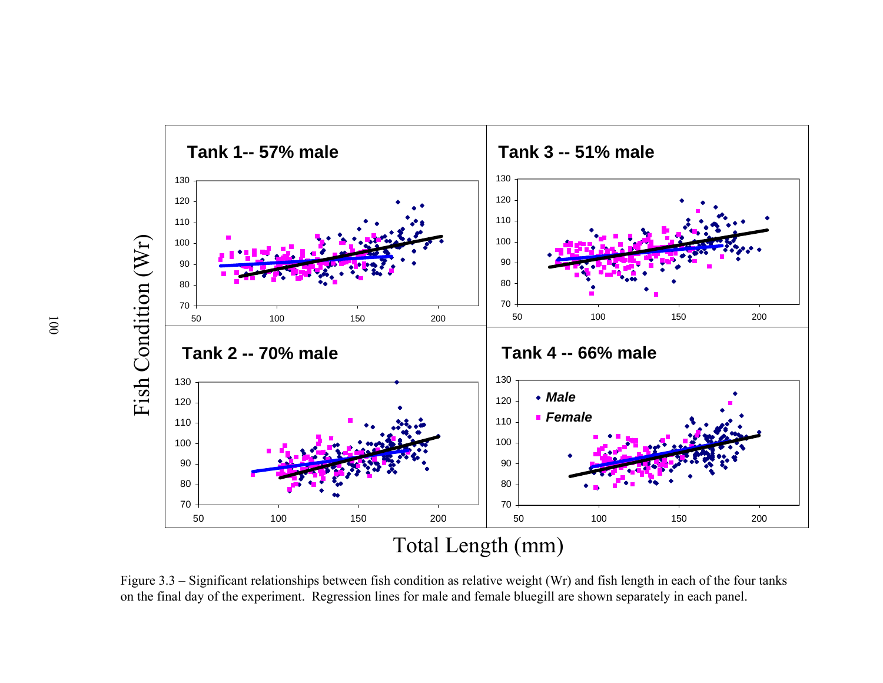

Figure 3.3 – Significant relationships between fish condition as relative weight (Wr) and fish length in each of the four tanks on the final day of the experiment. Regression lines for male and female bluegill are shown separately in each panel.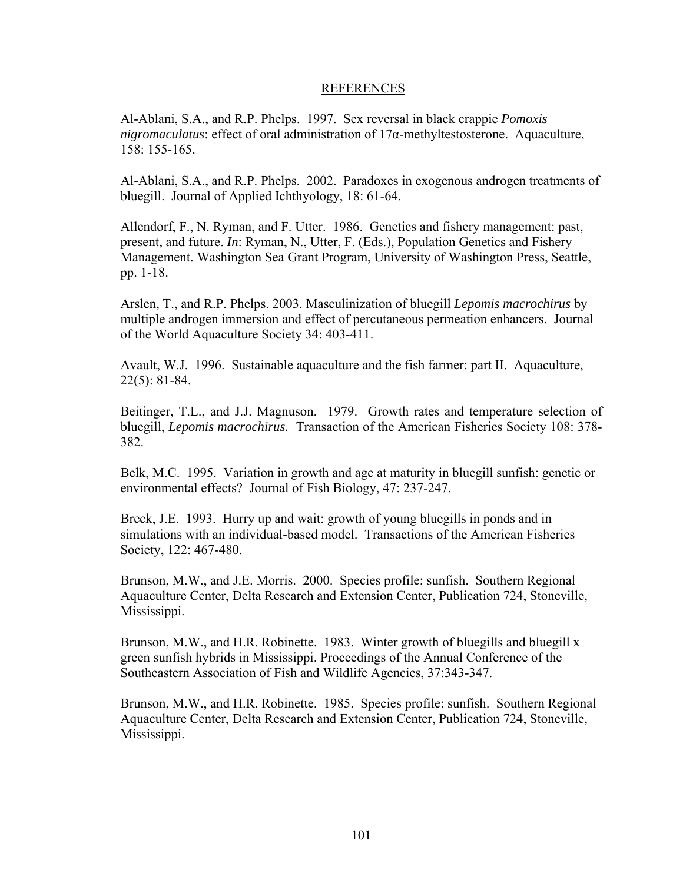## REFERENCES

Al-Ablani, S.A., and R.P. Phelps. 1997. Sex reversal in black crappie *Pomoxis nigromaculatus*: effect of oral administration of 17α-methyltestosterone. Aquaculture, 158: 155-165.

Al-Ablani, S.A., and R.P. Phelps. 2002. Paradoxes in exogenous androgen treatments of bluegill. Journal of Applied Ichthyology, 18: 61-64.

Allendorf, F., N. Ryman, and F. Utter. 1986. Genetics and fishery management: past, present, and future. *In*: Ryman, N., Utter, F. (Eds.), Population Genetics and Fishery Management. Washington Sea Grant Program, University of Washington Press, Seattle, pp. 1-18.

Arslen, T., and R.P. Phelps. 2003. Masculinization of bluegill *Lepomis macrochirus* by multiple androgen immersion and effect of percutaneous permeation enhancers. Journal of the World Aquaculture Society 34: 403-411.

Avault, W.J. 1996. Sustainable aquaculture and the fish farmer: part II. Aquaculture, 22(5): 81-84.

Beitinger, T.L., and J.J. Magnuson. 1979. Growth rates and temperature selection of bluegill, *Lepomis macrochirus.* Transaction of the American Fisheries Society 108: 378- 382.

Belk, M.C. 1995. Variation in growth and age at maturity in bluegill sunfish: genetic or environmental effects? Journal of Fish Biology, 47: 237-247.

Breck, J.E. 1993. Hurry up and wait: growth of young bluegills in ponds and in simulations with an individual-based model. Transactions of the American Fisheries Society, 122: 467-480.

Brunson, M.W., and J.E. Morris. 2000. Species profile: sunfish. Southern Regional Aquaculture Center, Delta Research and Extension Center, Publication 724, Stoneville, Mississippi.

Brunson, M.W., and H.R. Robinette. 1983. Winter growth of bluegills and bluegill x green sunfish hybrids in Mississippi. Proceedings of the Annual Conference of the Southeastern Association of Fish and Wildlife Agencies, 37:343-347.

Brunson, M.W., and H.R. Robinette. 1985. Species profile: sunfish. Southern Regional Aquaculture Center, Delta Research and Extension Center, Publication 724, Stoneville, Mississippi.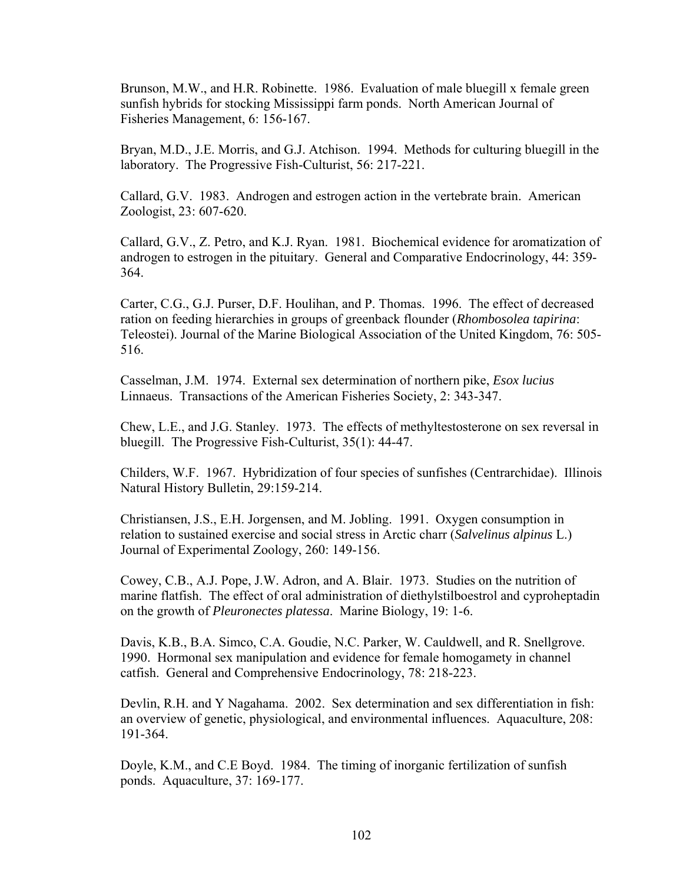Brunson, M.W., and H.R. Robinette. 1986. Evaluation of male bluegill x female green sunfish hybrids for stocking Mississippi farm ponds. North American Journal of Fisheries Management, 6: 156-167.

Bryan, M.D., J.E. Morris, and G.J. Atchison. 1994. Methods for culturing bluegill in the laboratory. The Progressive Fish-Culturist, 56: 217-221.

Callard, G.V. 1983. Androgen and estrogen action in the vertebrate brain. American Zoologist, 23: 607-620.

Callard, G.V., Z. Petro, and K.J. Ryan. 1981. Biochemical evidence for aromatization of androgen to estrogen in the pituitary. General and Comparative Endocrinology, 44: 359- 364.

Carter, C.G., G.J. Purser, D.F. Houlihan, and P. Thomas. 1996. The effect of decreased ration on feeding hierarchies in groups of greenback flounder (*Rhombosolea tapirina*: Teleostei). Journal of the Marine Biological Association of the United Kingdom, 76: 505- 516.

Casselman, J.M. 1974. External sex determination of northern pike, *Esox lucius*  Linnaeus. Transactions of the American Fisheries Society, 2: 343-347.

Chew, L.E., and J.G. Stanley. 1973. The effects of methyltestosterone on sex reversal in bluegill. The Progressive Fish-Culturist, 35(1): 44-47.

Childers, W.F. 1967. Hybridization of four species of sunfishes (Centrarchidae). Illinois Natural History Bulletin, 29:159-214.

Christiansen, J.S., E.H. Jorgensen, and M. Jobling. 1991. Oxygen consumption in relation to sustained exercise and social stress in Arctic charr (*Salvelinus alpinus* L.) Journal of Experimental Zoology, 260: 149-156.

Cowey, C.B., A.J. Pope, J.W. Adron, and A. Blair. 1973. Studies on the nutrition of marine flatfish. The effect of oral administration of diethylstilboestrol and cyproheptadin on the growth of *Pleuronectes platessa*. Marine Biology, 19: 1-6.

Davis, K.B., B.A. Simco, C.A. Goudie, N.C. Parker, W. Cauldwell, and R. Snellgrove. 1990. Hormonal sex manipulation and evidence for female homogamety in channel catfish. General and Comprehensive Endocrinology, 78: 218-223.

Devlin, R.H. and Y Nagahama. 2002. Sex determination and sex differentiation in fish: an overview of genetic, physiological, and environmental influences. Aquaculture, 208: 191-364.

Doyle, K.M., and C.E Boyd. 1984. The timing of inorganic fertilization of sunfish ponds. Aquaculture, 37: 169-177.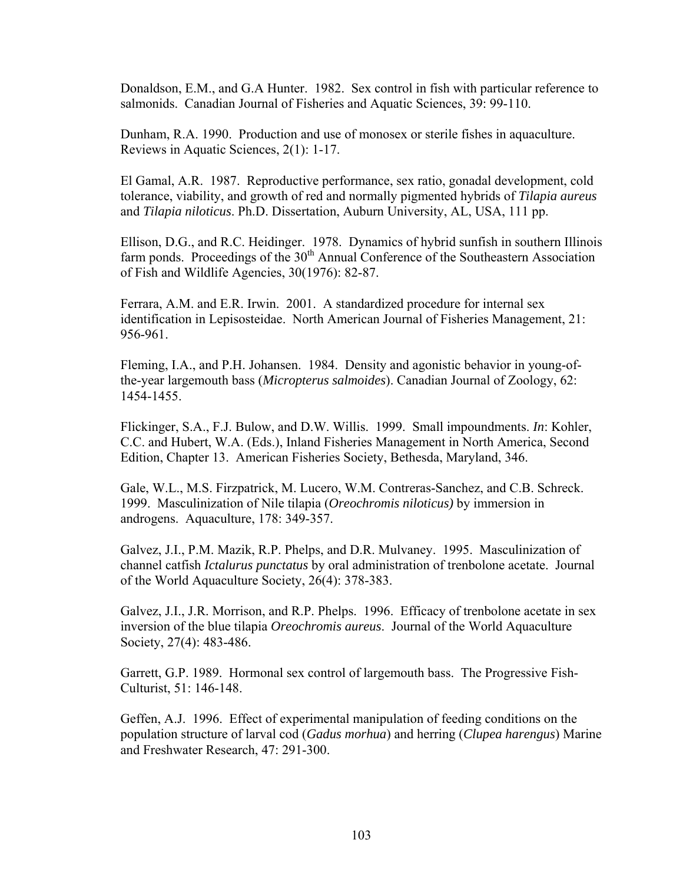Donaldson, E.M., and G.A Hunter. 1982. Sex control in fish with particular reference to salmonids. Canadian Journal of Fisheries and Aquatic Sciences, 39: 99-110.

Dunham, R.A. 1990. Production and use of monosex or sterile fishes in aquaculture. Reviews in Aquatic Sciences, 2(1): 1-17.

El Gamal, A.R. 1987. Reproductive performance, sex ratio, gonadal development, cold tolerance, viability, and growth of red and normally pigmented hybrids of *Tilapia aureus* and *Tilapia niloticus*. Ph.D. Dissertation, Auburn University, AL, USA, 111 pp.

Ellison, D.G., and R.C. Heidinger. 1978. Dynamics of hybrid sunfish in southern Illinois farm ponds. Proceedings of the 30<sup>th</sup> Annual Conference of the Southeastern Association of Fish and Wildlife Agencies, 30(1976): 82-87.

Ferrara, A.M. and E.R. Irwin. 2001. A standardized procedure for internal sex identification in Lepisosteidae. North American Journal of Fisheries Management, 21: 956-961.

Fleming, I.A., and P.H. Johansen. 1984. Density and agonistic behavior in young-ofthe-year largemouth bass (*Micropterus salmoides*). Canadian Journal of Zoology, 62: 1454-1455.

Flickinger, S.A., F.J. Bulow, and D.W. Willis. 1999. Small impoundments. *In*: Kohler, C.C. and Hubert, W.A. (Eds.), Inland Fisheries Management in North America, Second Edition, Chapter 13. American Fisheries Society, Bethesda, Maryland, 346.

Gale, W.L., M.S. Firzpatrick, M. Lucero, W.M. Contreras-Sanchez, and C.B. Schreck. 1999. Masculinization of Nile tilapia (*Oreochromis niloticus)* by immersion in androgens. Aquaculture, 178: 349-357.

Galvez, J.I., P.M. Mazik, R.P. Phelps, and D.R. Mulvaney. 1995. Masculinization of channel catfish *Ictalurus punctatus* by oral administration of trenbolone acetate. Journal of the World Aquaculture Society, 26(4): 378-383.

Galvez, J.I., J.R. Morrison, and R.P. Phelps. 1996. Efficacy of trenbolone acetate in sex inversion of the blue tilapia *Oreochromis aureus*. Journal of the World Aquaculture Society, 27(4): 483-486.

Garrett, G.P. 1989. Hormonal sex control of largemouth bass. The Progressive Fish-Culturist, 51: 146-148.

Geffen, A.J. 1996. Effect of experimental manipulation of feeding conditions on the population structure of larval cod (*Gadus morhua*) and herring (*Clupea harengus*) Marine and Freshwater Research, 47: 291-300.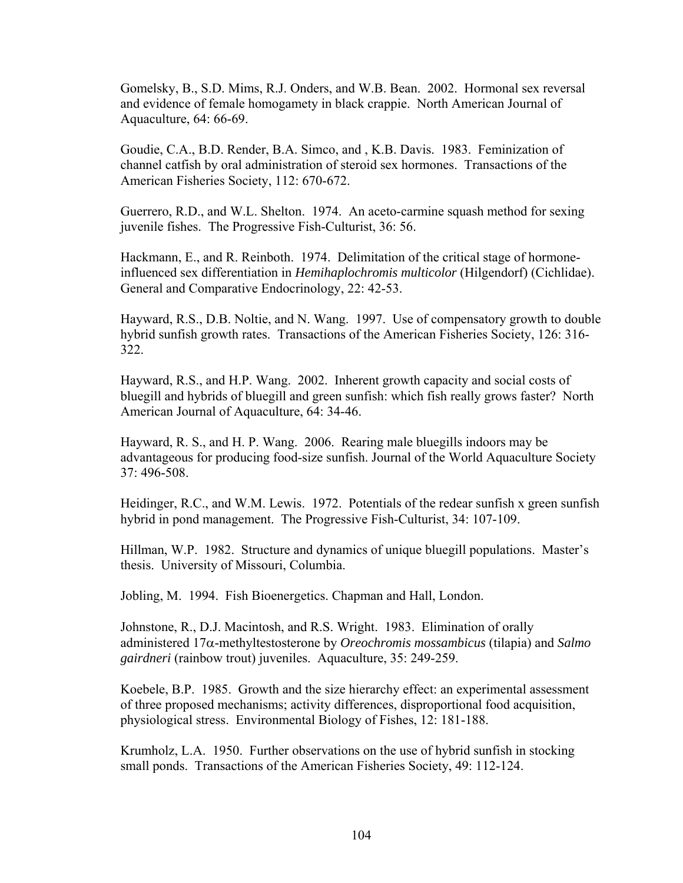Gomelsky, B., S.D. Mims, R.J. Onders, and W.B. Bean. 2002. Hormonal sex reversal and evidence of female homogamety in black crappie. North American Journal of Aquaculture, 64: 66-69.

Goudie, C.A., B.D. Render, B.A. Simco, and , K.B. Davis. 1983. Feminization of channel catfish by oral administration of steroid sex hormones. Transactions of the American Fisheries Society, 112: 670-672.

Guerrero, R.D., and W.L. Shelton. 1974. An aceto-carmine squash method for sexing juvenile fishes. The Progressive Fish-Culturist, 36: 56.

Hackmann, E., and R. Reinboth. 1974. Delimitation of the critical stage of hormoneinfluenced sex differentiation in *Hemihaplochromis multicolor* (Hilgendorf) (Cichlidae). General and Comparative Endocrinology, 22: 42-53.

Hayward, R.S., D.B. Noltie, and N. Wang. 1997. Use of compensatory growth to double hybrid sunfish growth rates. Transactions of the American Fisheries Society, 126: 316- 322.

Hayward, R.S., and H.P. Wang. 2002. Inherent growth capacity and social costs of bluegill and hybrids of bluegill and green sunfish: which fish really grows faster? North American Journal of Aquaculture, 64: 34-46.

Hayward, R. S., and H. P. Wang. 2006. Rearing male bluegills indoors may be advantageous for producing food-size sunfish. Journal of the World Aquaculture Society 37: 496-508.

Heidinger, R.C., and W.M. Lewis. 1972. Potentials of the redear sunfish x green sunfish hybrid in pond management. The Progressive Fish-Culturist, 34: 107-109.

Hillman, W.P. 1982. Structure and dynamics of unique bluegill populations. Master's thesis. University of Missouri, Columbia.

Jobling, M. 1994. Fish Bioenergetics. Chapman and Hall, London.

Johnstone, R., D.J. Macintosh, and R.S. Wright. 1983. Elimination of orally administered 17α-methyltestosterone by *Oreochromis mossambicus* (tilapia) and *Salmo gairdneri* (rainbow trout) juveniles. Aquaculture, 35: 249-259.

Koebele, B.P. 1985. Growth and the size hierarchy effect: an experimental assessment of three proposed mechanisms; activity differences, disproportional food acquisition, physiological stress. Environmental Biology of Fishes, 12: 181-188.

Krumholz, L.A. 1950. Further observations on the use of hybrid sunfish in stocking small ponds. Transactions of the American Fisheries Society, 49: 112-124.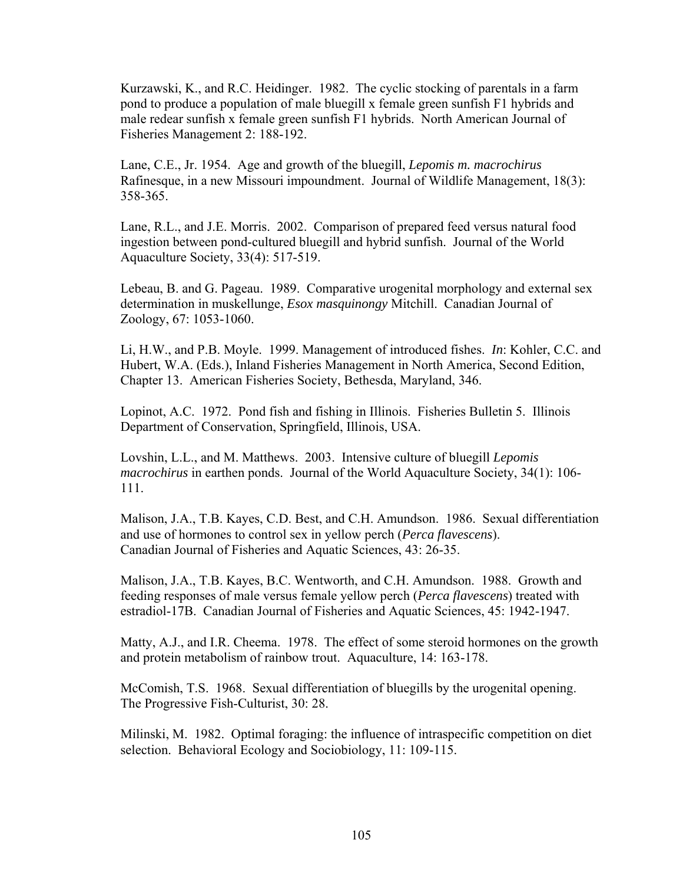Kurzawski, K., and R.C. Heidinger. 1982. The cyclic stocking of parentals in a farm pond to produce a population of male bluegill x female green sunfish F1 hybrids and male redear sunfish x female green sunfish F1 hybrids. North American Journal of Fisheries Management 2: 188-192.

Lane, C.E., Jr. 1954. Age and growth of the bluegill, *Lepomis m. macrochirus*  Rafinesque, in a new Missouri impoundment. Journal of Wildlife Management, 18(3): 358-365.

Lane, R.L., and J.E. Morris. 2002. Comparison of prepared feed versus natural food ingestion between pond-cultured bluegill and hybrid sunfish. Journal of the World Aquaculture Society, 33(4): 517-519.

Lebeau, B. and G. Pageau. 1989. Comparative urogenital morphology and external sex determination in muskellunge, *Esox masquinongy* Mitchill. Canadian Journal of Zoology, 67: 1053-1060.

Li, H.W., and P.B. Moyle. 1999. Management of introduced fishes. *In*: Kohler, C.C. and Hubert, W.A. (Eds.), Inland Fisheries Management in North America, Second Edition, Chapter 13. American Fisheries Society, Bethesda, Maryland, 346.

Lopinot, A.C. 1972. Pond fish and fishing in Illinois. Fisheries Bulletin 5. Illinois Department of Conservation, Springfield, Illinois, USA.

Lovshin, L.L., and M. Matthews. 2003. Intensive culture of bluegill *Lepomis macrochirus* in earthen ponds. Journal of the World Aquaculture Society, 34(1): 106- 111.

Malison, J.A., T.B. Kayes, C.D. Best, and C.H. Amundson. 1986. Sexual differentiation and use of hormones to control sex in yellow perch (*Perca flavescens*). Canadian Journal of Fisheries and Aquatic Sciences, 43: 26-35.

Malison, J.A., T.B. Kayes, B.C. Wentworth, and C.H. Amundson. 1988. Growth and feeding responses of male versus female yellow perch (*Perca flavescens*) treated with estradiol-17B. Canadian Journal of Fisheries and Aquatic Sciences, 45: 1942-1947.

Matty, A.J., and I.R. Cheema. 1978. The effect of some steroid hormones on the growth and protein metabolism of rainbow trout. Aquaculture, 14: 163-178.

McComish, T.S. 1968. Sexual differentiation of bluegills by the urogenital opening. The Progressive Fish-Culturist, 30: 28.

Milinski, M. 1982. Optimal foraging: the influence of intraspecific competition on diet selection. Behavioral Ecology and Sociobiology, 11: 109-115.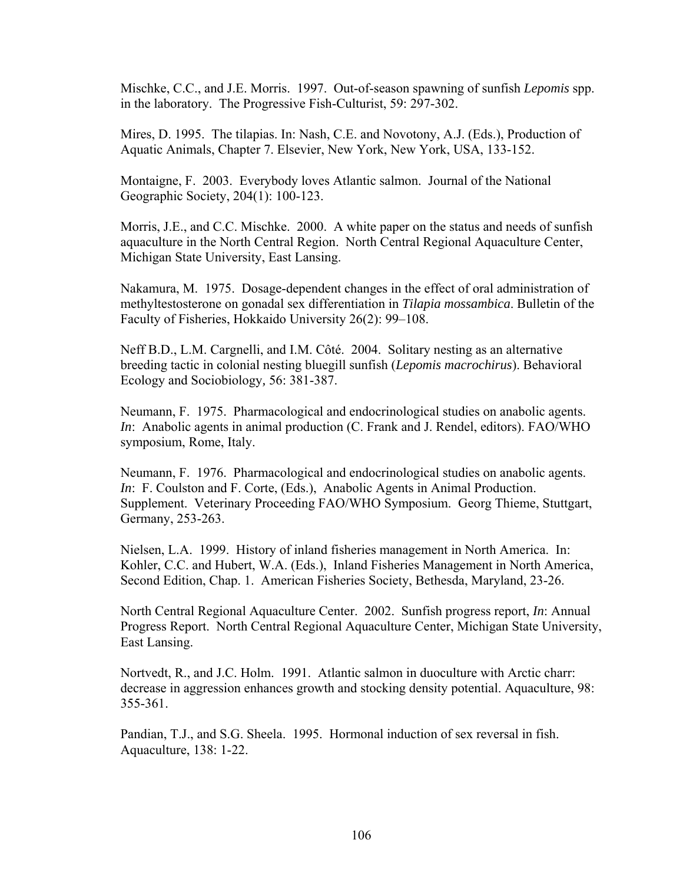Mischke, C.C., and J.E. Morris. 1997. Out-of-season spawning of sunfish *Lepomis* spp. in the laboratory. The Progressive Fish-Culturist, 59: 297-302.

Mires, D. 1995. The tilapias. In: Nash, C.E. and Novotony, A.J. (Eds.), Production of Aquatic Animals, Chapter 7. Elsevier, New York, New York, USA, 133-152.

Montaigne, F. 2003. Everybody loves Atlantic salmon. Journal of the National Geographic Society, 204(1): 100-123.

Morris, J.E., and C.C. Mischke. 2000. A white paper on the status and needs of sunfish aquaculture in the North Central Region. North Central Regional Aquaculture Center, Michigan State University, East Lansing.

Nakamura, M. 1975. Dosage-dependent changes in the effect of oral administration of methyltestosterone on gonadal sex differentiation in *Tilapia mossambica*. Bulletin of the Faculty of Fisheries, Hokkaido University 26(2): 99–108.

Neff B.D., L.M. Cargnelli, and I.M. Côté. 2004. Solitary nesting as an alternative breeding tactic in colonial nesting bluegill sunfish (*Lepomis macrochirus*). Behavioral Ecology and Sociobiology*,* 56: 381-387.

Neumann, F. 1975. Pharmacological and endocrinological studies on anabolic agents. *In*: Anabolic agents in animal production (C. Frank and J. Rendel, editors). FAO/WHO symposium, Rome, Italy.

Neumann, F. 1976. Pharmacological and endocrinological studies on anabolic agents. *In*: F. Coulston and F. Corte, (Eds.), Anabolic Agents in Animal Production. Supplement. Veterinary Proceeding FAO/WHO Symposium. Georg Thieme, Stuttgart, Germany, 253-263.

Nielsen, L.A. 1999. History of inland fisheries management in North America. In: Kohler, C.C. and Hubert, W.A. (Eds.), Inland Fisheries Management in North America, Second Edition, Chap. 1. American Fisheries Society, Bethesda, Maryland, 23-26.

North Central Regional Aquaculture Center. 2002. Sunfish progress report, *In*: Annual Progress Report. North Central Regional Aquaculture Center, Michigan State University, East Lansing.

Nortvedt, R., and J.C. Holm. 1991. Atlantic salmon in duoculture with Arctic charr: decrease in aggression enhances growth and stocking density potential. Aquaculture, 98: 355-361.

Pandian, T.J., and S.G. Sheela. 1995. Hormonal induction of sex reversal in fish. Aquaculture, 138: 1-22.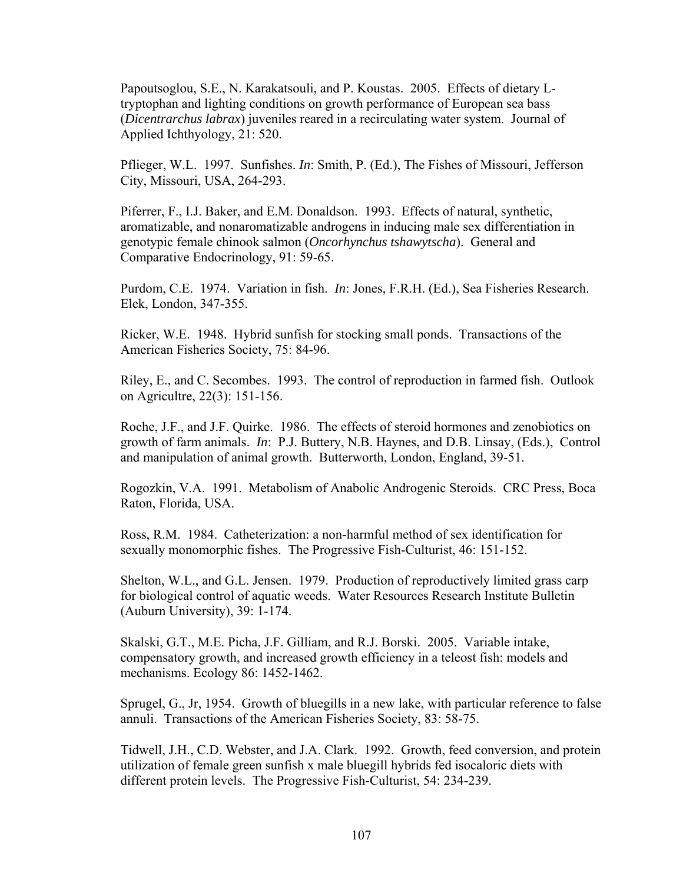Papoutsoglou, S.E., N. Karakatsouli, and P. Koustas. 2005. Effects of dietary Ltryptophan and lighting conditions on growth performance of European sea bass (*Dicentrarchus labrax*) juveniles reared in a recirculating water system. Journal of Applied Ichthyology, 21: 520.

Pflieger, W.L. 1997. Sunfishes. *In*: Smith, P. (Ed.), The Fishes of Missouri, Jefferson City, Missouri, USA, 264-293.

Piferrer, F., I.J. Baker, and E.M. Donaldson. 1993. Effects of natural, synthetic, aromatizable, and nonaromatizable androgens in inducing male sex differentiation in genotypic female chinook salmon (*Oncorhynchus tshawytscha*). General and Comparative Endocrinology, 91: 59-65.

Purdom, C.E. 1974. Variation in fish. *In*: Jones, F.R.H. (Ed.), Sea Fisheries Research. Elek, London, 347-355.

Ricker, W.E. 1948. Hybrid sunfish for stocking small ponds. Transactions of the American Fisheries Society, 75: 84-96.

Riley, E., and C. Secombes. 1993. The control of reproduction in farmed fish. Outlook on Agricultre, 22(3): 151-156.

Roche, J.F., and J.F. Quirke. 1986. The effects of steroid hormones and zenobiotics on growth of farm animals. *In*: P.J. Buttery, N.B. Haynes, and D.B. Linsay, (Eds.), Control and manipulation of animal growth. Butterworth, London, England, 39-51.

Rogozkin, V.A. 1991. Metabolism of Anabolic Androgenic Steroids. CRC Press, Boca Raton, Florida, USA.

Ross, R.M. 1984. Catheterization: a non-harmful method of sex identification for sexually monomorphic fishes. The Progressive Fish-Culturist, 46: 151-152.

Shelton, W.L., and G.L. Jensen. 1979. Production of reproductively limited grass carp for biological control of aquatic weeds. Water Resources Research Institute Bulletin (Auburn University), 39: 1-174.

Skalski, G.T., M.E. Picha, J.F. Gilliam, and R.J. Borski. 2005. Variable intake, compensatory growth, and increased growth efficiency in a teleost fish: models and mechanisms. Ecology 86: 1452-1462.

Sprugel, G., Jr, 1954. Growth of bluegills in a new lake, with particular reference to false annuli. Transactions of the American Fisheries Society, 83: 58-75.

Tidwell, J.H., C.D. Webster, and J.A. Clark. 1992. Growth, feed conversion, and protein utilization of female green sunfish x male bluegill hybrids fed isocaloric diets with different protein levels. The Progressive Fish-Culturist, 54: 234-239.